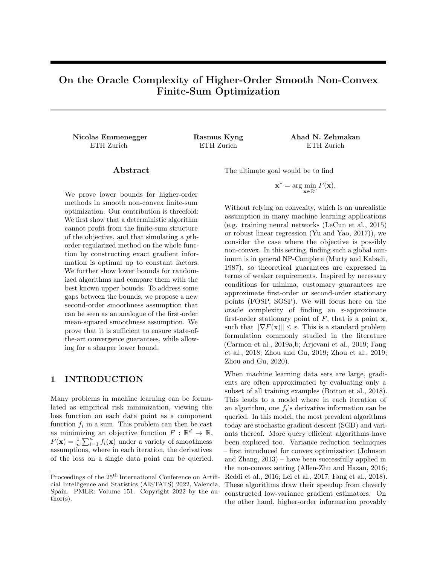# On the Oracle Complexity of Higher-Order Smooth Non-Convex Finite-Sum Optimization

Nicolas Emmenegger Rasmus Kyng Ahad N. Zehmakan ETH Zurich ETH Zurich ETH Zurich

## Abstract

We prove lower bounds for higher-order methods in smooth non-convex finite-sum optimization. Our contribution is threefold: We first show that a deterministic algorithm cannot profit from the finite-sum structure of the objective, and that simulating a pthorder regularized method on the whole function by constructing exact gradient information is optimal up to constant factors. We further show lower bounds for randomized algorithms and compare them with the best known upper bounds. To address some gaps between the bounds, we propose a new second-order smoothness assumption that can be seen as an analogue of the first-order mean-squared smoothness assumption. We prove that it is sufficient to ensure state-ofthe-art convergence guarantees, while allowing for a sharper lower bound.

## 1 INTRODUCTION

Many problems in machine learning can be formulated as empirical risk minimization, viewing the loss function on each data point as a component function  $f_i$  in a sum. This problem can then be cast as minimizing an objective function  $F: \mathbb{R}^d \to \mathbb{R}$ ,  $F(\mathbf{x}) = \frac{1}{n} \sum_{i=1}^{n} f_i(\mathbf{x})$  under a variety of smoothness assumptions, where in each iteration, the derivatives of the loss on a single data point can be queried.

The ultimate goal would be to find

$$
\mathbf{x}^* = \arg\min_{\mathbf{x} \in \mathbb{R}^d} F(\mathbf{x}).
$$

Without relying on convexity, which is an unrealistic assumption in many machine learning applications (e.g. training neural networks [\(LeCun et al., 2015\)](#page-8-0) or robust linear regression [\(Yu and Yao, 2017\)](#page-9-0)), we consider the case where the objective is possibly non-convex. In this setting, finding such a global minimum is in general NP-Complete [\(Murty and Kabadi,](#page-8-1) [1987\)](#page-8-1), so theoretical guarantees are expressed in terms of weaker requirements. Inspired by necessary conditions for minima, customary guarantees are approximate first-order or second-order stationary points (FOSP, SOSP). We will focus here on the oracle complexity of finding an  $\varepsilon$ -approximate first-order stationary point of  $F$ , that is a point  $x$ , such that  $\|\nabla F(\mathbf{x})\| \leq \varepsilon$ . This is a standard problem formulation commonly studied in the literature [\(Carmon et al., 2019a,](#page-8-2)[b;](#page-8-3) [Arjevani et al., 2019;](#page-8-4) [Fang](#page-8-5) [et al., 2018;](#page-8-5) [Zhou and Gu, 2019;](#page-9-1) [Zhou et al., 2019;](#page-9-2) [Zhou and Gu, 2020\)](#page-9-3).

When machine learning data sets are large, gradients are often approximated by evaluating only a subset of all training examples [\(Bottou et al., 2018\)](#page-8-6). This leads to a model where in each iteration of an algorithm, one  $f_i$ 's derivative information can be queried. In this model, the most prevalent algorithms today are stochastic gradient descent (SGD) and variants thereof. More query efficient algorithms have been explored too. Variance reduction techniques – first introduced for convex optimization [\(Johnson](#page-8-7) [and Zhang, 2013\)](#page-8-7) – have been successfully applied in the non-convex setting [\(Allen-Zhu and Hazan, 2016;](#page-8-8) [Reddi et al., 2016;](#page-9-4) [Lei et al., 2017;](#page-8-9) [Fang et al., 2018\)](#page-8-5). These algorithms draw their speedup from cleverly constructed low-variance gradient estimators. On the other hand, higher-order information provably

Proceedings of the 25<sup>th</sup> International Conference on Artificial Intelligence and Statistics (AISTATS) 2022, Valencia, Spain. PMLR: Volume 151. Copyright 2022 by the au- $\text{thor}(s)$ .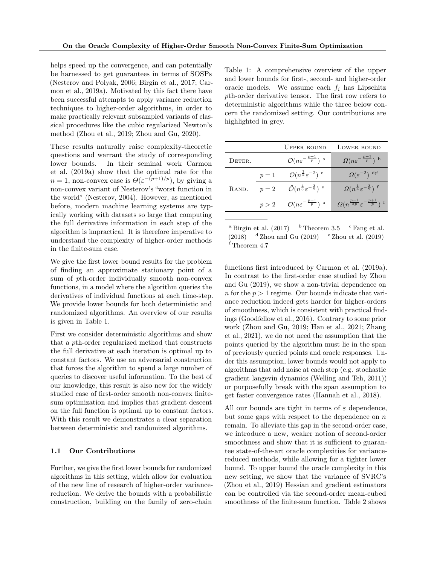helps speed up the convergence, and can potentially be harnessed to get guarantees in terms of SOSPs [\(Nesterov and Polyak, 2006;](#page-8-10) [Birgin et al., 2017;](#page-8-11) [Car](#page-8-2)[mon et al., 2019a\)](#page-8-2). Motivated by this fact there have been successful attempts to apply variance reduction techniques to higher-order algorithms, in order to make practically relevant subsampled variants of classical procedures like the cubic regularized Newton's method [\(Zhou et al., 2019;](#page-9-2) [Zhou and Gu, 2020\)](#page-9-3).

These results naturally raise complexity-theoretic questions and warrant the study of corresponding lower bounds. In their seminal work [Carmon](#page-8-2) [et al.](#page-8-2) [\(2019a\)](#page-8-2) show that the optimal rate for the  $n = 1$ , non-convex case is  $\Theta(\varepsilon^{-(p+1)/p})$ , by giving a non-convex variant of Nesterov's "worst function in the world" [\(Nesterov, 2004\)](#page-8-12). However, as mentioned before, modern machine learning systems are typically working with datasets so large that computing the full derivative information in each step of the algorithm is impractical. It is therefore imperative to understand the complexity of higher-order methods in the finite-sum case.

We give the first lower bound results for the problem of finding an approximate stationary point of a sum of pth-order individually smooth non-convex functions, in a model where the algorithm queries the derivatives of individual functions at each time-step. We provide lower bounds for both deterministic and randomized algorithms. An overview of our results is given in Table 1.

First we consider deterministic algorithms and show that a pth-order regularized method that constructs the full derivative at each iteration is optimal up to constant factors. We use an adversarial construction that forces the algorithm to spend a large number of queries to discover useful information. To the best of our knowledge, this result is also new for the widely studied case of first-order smooth non-convex finitesum optimization and implies that gradient descent on the full function is optimal up to constant factors. With this result we demonstrates a clear separation between deterministic and randomized algorithms.

### 1.1 Our Contributions

Further, we give the first lower bounds for randomized algorithms in this setting, which allow for evaluation of the new line of research of higher-order variancereduction. We derive the bounds with a probabilistic construction, building on the family of zero-chain Table 1: A comprehensive overview of the upper and lower bounds for first-, second- and higher-order oracle models. We assume each  $f_i$  has Lipschitz pth-order derivative tensor. The first row refers to deterministic algorithms while the three below concern the randomized setting. Our contributions are highlighted in grey.

|        |       | <b>UPPER BOUND</b>                                                  | LOWER BOUND                                                            |
|--------|-------|---------------------------------------------------------------------|------------------------------------------------------------------------|
| Deter. |       | $\mathcal{O}(n \varepsilon^{-\frac{p+1}{p}})$ <sup>a</sup>          | $\Omega(n\varepsilon^{-\frac{p+1}{p}})$ b                              |
|        | $p=1$ | $\mathcal{O}(n^{\frac{1}{2}} \varepsilon^{-2})$ c                   | $\Omega(\varepsilon^{-2})$ d;f                                         |
| RAND.  | $p=2$ | $\tilde{\mathcal{O}}(n^{\frac{4}{5}} \varepsilon^{-\frac{3}{2}})$ e | $\Omega(n^{\frac{1}{4}}\varepsilon^{-\frac{3}{2}})^{\frac{1}{2}}$      |
|        | p > 2 | $\mathcal{O}(n \varepsilon^{-\frac{p+1}{p}})$ <sup>a</sup>          | $\Omega(n^{\frac{p-1}{2p}}\varepsilon^{-\frac{p+1}{p}})^{\frac{p}{2}}$ |
|        |       |                                                                     |                                                                        |

<sup>a</sup> [Birgin et al.](#page-8-11)  $(2017)$  b Theorem [3.5](#page-5-0) c [Fang et al.](#page-8-5) [\(2018\)](#page-8-5)  $d$  [Zhou and Gu](#page-9-1) [\(2019\)](#page-9-2)  $e$  [Zhou et al.](#page-9-2) (2019) <sup>f</sup> Theorem [4.7](#page-6-0)

functions first introduced by [Carmon et al.](#page-8-2) [\(2019a\)](#page-8-2). In contrast to the first-order case studied by [Zhou](#page-9-1) [and Gu](#page-9-1) [\(2019\)](#page-9-1), we show a non-trivial dependence on n for the  $p > 1$  regime. Our bounds indicate that variance reduction indeed gets harder for higher-orders of smoothness, which is consistent with practical findings [\(Goodfellow et al., 2016\)](#page-8-13). Contrary to some prior work [\(Zhou and Gu, 2019;](#page-9-1) [Han et al., 2021;](#page-8-14) [Zhang](#page-9-5) [et al., 2021\)](#page-9-5), we do not need the assumption that the points queried by the algorithm must lie in the span of previously queried points and oracle responses. Under this assumption, lower bounds would not apply to algorithms that add noise at each step (e.g. stochastic gradient langevin dynamics [\(Welling and Teh, 2011\)](#page-9-6)) or purposefully break with the span assumption to get faster convergence rates [\(Hannah et al., 2018\)](#page-8-15).

All our bounds are tight in terms of  $\varepsilon$  dependence, but some gaps with respect to the dependence on  $n$ remain. To alleviate this gap in the second-order case, we introduce a new, weaker notion of second-order smoothness and show that it is sufficient to guarantee state-of-the-art oracle complexities for variancereduced methods, while allowing for a tighter lower bound. To upper bound the oracle complexity in this new setting, we show that the variance of SVRC's [\(Zhou et al., 2019\)](#page-9-2) Hessian and gradient estimators can be controlled via the second-order mean-cubed smoothness of the finite-sum function. Table 2 shows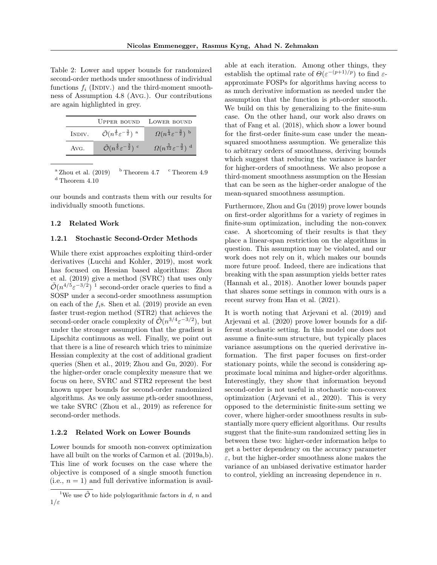Table 2: Lower and upper bounds for randomized second-order methods under smoothness of individual functions  $f_i$  (INDIV.) and the third-moment smoothness of Assumption [4.8](#page-7-0) (Avg.). Our contributions are again highlighted in grey.

|        |                                                                                | UPPER BOUND LOWER BOUND                                 |
|--------|--------------------------------------------------------------------------------|---------------------------------------------------------|
| INDIV. | $\tilde{\mathcal{O}}(n^{\frac{4}{5}} \varepsilon^{-\frac{3}{2}})^{\mathrm{a}}$ | $\Omega(n^{\frac{1}{4}}\varepsilon^{-\frac{3}{2}})^{b}$ |
| Avg.   | $\tilde{O}(n^{\frac{4}{5}} \varepsilon^{-\frac{3}{2}})$ c                      | $\Omega(n^{\frac{5}{12}}\varepsilon^{-\frac{3}{2}})^d$  |

<sup>a</sup> [Zhou et al.](#page-9-2)  $(2019)$  b Theorem [4.7](#page-6-0) c Theorem [4.9](#page-7-1) <sup>d</sup> Theorem [4.10](#page-7-2)

our bounds and contrasts them with our results for individually smooth functions.

### 1.2 Related Work

### 1.2.1 Stochastic Second-Order Methods

While there exist approaches exploiting third-order derivatives [\(Lucchi and Kohler, 2019\)](#page-8-16), most work has focused on Hessian based algorithms: [Zhou](#page-9-2) [et al.](#page-9-2) [\(2019\)](#page-9-2) give a method (SVRC) that uses only  $\tilde{\mathcal{O}}(n^{4/5} \varepsilon^{-3/2})$ <sup>[1](#page-2-0)</sup> second-order oracle queries to find a SOSP under a second-order smoothness assumption on each of the  $f_i$ s. [Shen et al.](#page-9-7) [\(2019\)](#page-9-7) provide an even faster trust-region method (STR2) that achieves the second-order oracle complexity of  $\tilde{\mathcal{O}}(n^{3/4} \varepsilon^{-3/2})$ , but under the stronger assumption that the gradient is Lipschitz continuous as well. Finally, we point out that there is a line of research which tries to minimize Hessian complexity at the cost of additional gradient queries [\(Shen et al., 2019;](#page-9-7) [Zhou and Gu, 2020\)](#page-9-3). For the higher-order oracle complexity measure that we focus on here, SVRC and STR2 represent the best known upper bounds for second-order randomized algorithms. As we only assume pth-order smoothness, we take SVRC [\(Zhou et al., 2019\)](#page-9-2) as reference for second-order methods.

## 1.2.2 Related Work on Lower Bounds

Lower bounds for smooth non-convex optimization have all built on the works of [Carmon et al.](#page-8-2)  $(2019a,b)$  $(2019a,b)$ . This line of work focuses on the case where the objective is composed of a single smooth function (i.e.,  $n = 1$ ) and full derivative information is available at each iteration. Among other things, they establish the optimal rate of  $\Theta(\varepsilon^{-(p+1)/p})$  to find  $\varepsilon$ approximate FOSPs for algorithms having access to as much derivative information as needed under the assumption that the function is pth-order smooth. We build on this by generalizing to the finite-sum case. On the other hand, our work also draws on that of [Fang et al.](#page-8-5) [\(2018\)](#page-8-5), which show a lower bound for the first-order finite-sum case under the meansquared smoothness assumption. We generalize this to arbitrary orders of smoothness, deriving bounds which suggest that reducing the variance is harder for higher-orders of smoothness. We also propose a third-moment smoothness assumption on the Hessian that can be seen as the higher-order analogue of the mean-squared smoothness assumption.

Furthermore, [Zhou and Gu](#page-9-1) [\(2019\)](#page-9-1) prove lower bounds on first-order algorithms for a variety of regimes in finite-sum optimization, including the non-convex case. A shortcoming of their results is that they place a linear-span restriction on the algorithms in question. This assumption may be violated, and our work does not rely on it, which makes our bounds more future proof. Indeed, there are indications that breaking with the span assumption yields better rates [\(Hannah et al., 2018\)](#page-8-15). Another lower bounds paper that shares some settings in common with ours is a recent survey from [Han et al.](#page-8-14) [\(2021\)](#page-8-14).

It is worth noting that [Arjevani et al.](#page-8-4) [\(2019\)](#page-8-4) and [Arjevani et al.](#page-8-17) [\(2020\)](#page-8-17) prove lower bounds for a different stochastic setting. In this model one does not assume a finite-sum structure, but typically places variance assumptions on the queried derivative information. The first paper focuses on first-order stationary points, while the second is considering approximate local minima and higher-order algorithms. Interestingly, they show that information beyond second-order is not useful in stochastic non-convex optimization [\(Arjevani et al., 2020\)](#page-8-17). This is very opposed to the deterministic finite-sum setting we cover, where higher-order smoothness results in substantially more query efficient algorithms. Our results suggest that the finite-sum randomized setting lies in between these two: higher-order information helps to get a better dependency on the accuracy parameter  $\varepsilon$ , but the higher-order smoothness alone makes the variance of an unbiased derivative estimator harder to control, yielding an increasing dependence in  $n$ .

<span id="page-2-0"></span><sup>&</sup>lt;sup>1</sup>We use  $\tilde{\mathcal{O}}$  to hide polylogarithmic factors in d, n and  $1/\varepsilon$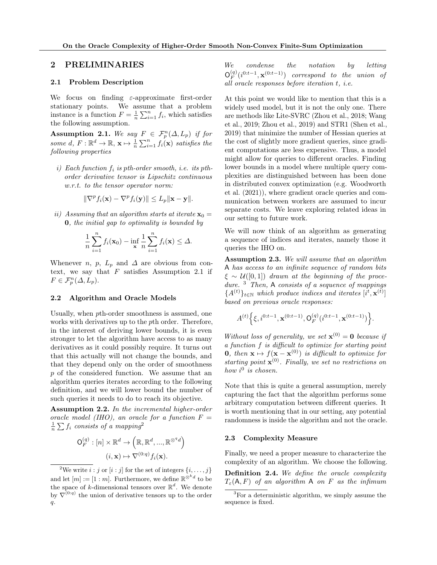# 2 PRELIMINARIES

### 2.1 Problem Description

We focus on finding  $\varepsilon$ -approximate first-order stationary points. We assume that a problem instance is a function  $F = \frac{1}{n} \sum_{i=1}^{n} f_i$ , which satisfies the following assumption.

<span id="page-3-0"></span>**Assumption 2.1.** We say  $F \in \mathcal{F}_p^n(\Delta, L_p)$  if for some d,  $F: \mathbb{R}^d \to \mathbb{R}$ ,  $\mathbf{x} \mapsto \frac{1}{n} \sum_{i=1}^n f_i(\mathbf{x})$  satisfies the following properties

i) Each function  $f_i$  is pth-order smooth, i.e. its pthorder derivative tensor is Lipschitz continuous w.r.t. to the tensor operator norm:

$$
\|\nabla^p f_i(\mathbf{x}) - \nabla^p f_i(\mathbf{y})\| \le L_p \|\mathbf{x} - \mathbf{y}\|.
$$

ii) Assuming that an algorithm starts at iterate  $\mathbf{x}_0 =$ 0, the initial gap to optimality is bounded by

$$
\frac{1}{n}\sum_{i=1}^n f_i(\mathbf{x}_0) - \inf_{\mathbf{x}} \frac{1}{n}\sum_{i=1}^n f_i(\mathbf{x}) \le \Delta.
$$

Whenever *n*, *p*,  $L_p$  and  $\Delta$  are obvious from context, we say that  $F$  satisfies Assumption [2.1](#page-3-0) if  $F \in \mathcal{F}_p^n(\Delta, L_p).$ 

## 2.2 Algorithm and Oracle Models

Usually, when pth-order smoothness is assumed, one works with derivatives up to the pth order. Therefore, in the interest of deriving lower bounds, it is even stronger to let the algorithm have access to as many derivatives as it could possibly require. It turns out that this actually will not change the bounds, and that they depend only on the order of smoothness p of the considered function. We assume that an algorithm queries iterates according to the following definition, and we will lower bound the number of such queries it needs to do to reach its objective.

Assumption 2.2. In the incremental higher-order oracle model (IHO), an oracle for a function  $F =$  $\frac{1}{n}\sum f_i$  consists of a mapping<sup>[2](#page-3-1)</sup>

$$
\mathsf{O}_{F}^{(q)}:[n] \times \mathbb{R}^{d} \to (\mathbb{R}, \mathbb{R}^{d}, ..., \mathbb{R}^{\otimes qd})
$$

$$
(i, \mathbf{x}) \mapsto \nabla^{(0:q)} f_{i}(\mathbf{x}).
$$

We condense the notation by letting  $\mathsf{O}_F^{(q)}$  $\mathcal{L}_{F}^{(q)}(i^{0:t-1},\mathbf{x}^{(0:t-1)})$  correspond to the union of all oracle responses before iteration t, i.e.

At this point we would like to mention that this is a widely used model, but it is not the only one. There are methods like Lite-SVRC [\(Zhou et al., 2018;](#page-9-8) [Wang](#page-9-9) [et al., 2019;](#page-9-9) [Zhou et al., 2019\)](#page-9-2) and STR1 [\(Shen et al.,](#page-9-7) [2019\)](#page-9-7) that minimize the number of Hessian queries at the cost of slightly more gradient queries, since gradient computations are less expensive. Thus, a model might allow for queries to different oracles. Finding lower bounds in a model where multiple query complexities are distinguished between has been done in distributed convex optimization (e.g. [Woodworth](#page-9-10) [et al.](#page-9-10) [\(2021\)](#page-9-10)), where gradient oracle queries and communication between workers are assumed to incur separate costs. We leave exploring related ideas in our setting to future work.

We will now think of an algorithm as generating a sequence of indices and iterates, namely those it queries the IHO on.

<span id="page-3-3"></span>Assumption 2.3. We will assume that an algorithm A has access to an infinite sequence of random bits  $\xi \sim \mathcal{U}([0,1])$  drawn at the beginning of the procedure.  $3$  Then, A consists of a sequence of mappings  $\{A^{(t)}\}_{t\in\mathbb{N}}$  which produce indices and iterates  $[i^t, \mathbf{x}^{(t)}]$ based on previous oracle responses:

$$
A^{(t)}\Big\{\xi, i^{0:t-1}, \mathbf{x}^{(0:t-1)}, \mathbf{O}_F^{(q)}(i^{0:t-1},\mathbf{x}^{(0:t-1)})\Big\}.
$$

Without loss of generality, we set  $\mathbf{x}^{(0)} = \mathbf{0}$  because if a function f is difficult to optimize for starting point **0**, then  $\mathbf{x} \mapsto f(\mathbf{x} - \mathbf{x}^{(0)})$  is difficult to optimize for starting point  $\mathbf{x}^{(0)}$ . Finally, we set no restrictions on how  $i^0$  is chosen.

Note that this is quite a general assumption, merely capturing the fact that the algorithm performs some arbitrary computation between different queries. It is worth mentioning that in our setting, any potential randomness is inside the algorithm and not the oracle.

### 2.3 Complexity Measure

Finally, we need a proper measure to characterize the complexity of an algorithm. We choose the following.

Definition 2.4. We define the oracle complexity  $T_{\varepsilon}(\mathsf{A}, F)$  of an algorithm **A** on *F* as the infimum

<span id="page-3-1"></span><sup>&</sup>lt;sup>2</sup>We write  $i : j$  or  $[i : j]$  for the set of integers  $\{i, \ldots, j\}$ and let  $[m] := [1 : m]$ . Furthermore, we define  $\mathbb{R}^{\otimes^k d}$  to be the space of k-dimensional tensors over  $\mathbb{R}^d$ . We denote by  $\nabla^{(0:q)}$  the union of derivative tensors up to the order  $q$ .

<span id="page-3-2"></span><sup>3</sup>For a deterministic algorithm, we simply assume the sequence is fixed.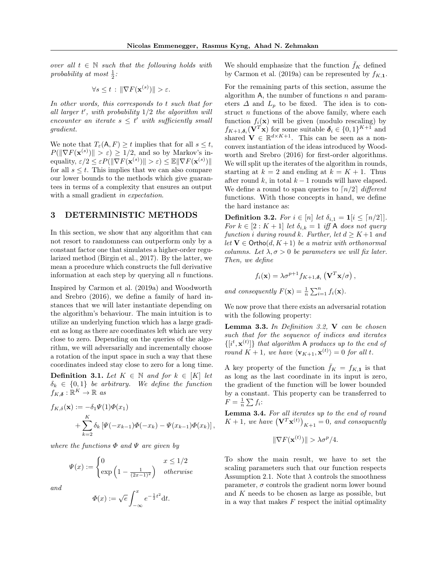over all  $t \in \mathbb{N}$  such that the following holds with probability at most  $\frac{1}{2}$ :

$$
\forall s \leq t : \|\nabla F(\mathbf{x}^{(s)})\| > \varepsilon.
$$

In other words, this corresponds to t such that for all larger  $t'$ , with probability  $1/2$  the algorithm will encounter an iterate  $s \leq t'$  with sufficiently small gradient.

We note that  $T_{\varepsilon}(\mathsf{A}, F) \geq t$  implies that for all  $s \leq t$ ,  $P(||\nabla F(\mathbf{x}^{(s)})|| > \varepsilon) \ge 1/2$ , and so by Markov's inequality,  $\varepsilon/2 \leq \varepsilon P(||\nabla F(\mathbf{x}^{(s)})|| > \varepsilon) \leq \mathbb{E} ||\nabla F(\mathbf{x}^{(s)})||$ for all  $s \leq t$ . This implies that we can also compare our lower bounds to the methods which give guarantees in terms of a complexity that ensures an output with a small gradient in expectation.

## <span id="page-4-3"></span>3 DETERMINISTIC METHODS

In this section, we show that any algorithm that can not resort to randomness can outperform only by a constant factor one that simulates a higher-order regularized method [\(Birgin et al., 2017\)](#page-8-11). By the latter, we mean a procedure which constructs the full derivative information at each step by querying all  $n$  functions.

Inspired by [Carmon et al.](#page-8-2) [\(2019a\)](#page-8-2) and [Woodworth](#page-9-11) [and Srebro](#page-9-11) [\(2016\)](#page-9-11), we define a family of hard instances that we will later instantiate depending on the algorithm's behaviour. The main intuition is to utilize an underlying function which has a large gradient as long as there are coordinates left which are very close to zero. Depending on the queries of the algorithm, we will adversarially and incrementally choose a rotation of the input space in such a way that these coordinates indeed stay close to zero for a long time.

<span id="page-4-1"></span>**Definition 3.1.** Let  $K \in \mathbb{N}$  and for  $k \in [K]$  let  $\delta_k \in \{0,1\}$  be arbitrary. We define the function  $f_{K,\boldsymbol{\delta}}:\mathbb{R}^K\to\mathbb{R}$  as

$$
f_{K,\delta}(\mathbf{x}) := -\delta_1 \Psi(1) \Phi(x_1)
$$
  
+  $\sum_{k=2}^{K} \delta_k \left[ \Psi(-x_{k-1}) \Phi(-x_k) - \Psi(x_{k-1}) \Phi(x_k) \right],$ 

where the functions  $\Phi$  and  $\Psi$  are given by

$$
\Psi(x) := \begin{cases} 0 & x \le 1/2 \\ \exp\left(1 - \frac{1}{(2x-1)^2}\right) & otherwise \end{cases}
$$

and

$$
\Phi(x) := \sqrt{e} \int_{-\infty}^{x} e^{-\frac{1}{2}t^2} dt.
$$

We should emphasize that the function  $f_K$  defined by [Carmon et al.](#page-8-2) [\(2019a\)](#page-8-2) can be represented by  $f_{K,1}$ .

For the remaining parts of this section, assume the algorithm A, the number of functions  $n$  and parameters  $\Delta$  and  $L_p$  to be fixed. The idea is to construct  $n$  functions of the above family, where each function  $f_i(\mathbf{x})$  will be given (modulo rescaling) by  $f_{K+1,\boldsymbol{\delta}_i}(\mathbf{V}^T\mathbf{x})$  for some suitable  $\boldsymbol{\delta}_i \in \{0,1\}^{K+1}$  and shared  $\mathbf{V} \in \mathbb{R}^{d \times K+1}$ . This can be seen as a nonconvex instantiation of the ideas introduced by [Wood](#page-9-11)[worth and Srebro](#page-9-11) [\(2016\)](#page-9-11) for first-order algorithms. We will split up the iterates of the algorithm in rounds, starting at  $k = 2$  and ending at  $k = K + 1$ . Thus after round k, in total  $k - 1$  rounds will have elapsed. We define a round to span queries to  $\lceil n/2 \rceil$  different functions. With those concepts in hand, we define the hard instance as:

<span id="page-4-0"></span>**Definition 3.2.** For  $i \in [n]$  let  $\delta_{i,1} = \mathbf{1}[i \leq \lceil n/2 \rceil]$ . For  $k \in [2:K+1]$  let  $\delta_{i,k} = 1$  iff A does not query function i during round k. Further, let  $d \geq K+1$  and let  $V \in \text{Ortho}(d, K+1)$  be a matrix with orthonormal columns. Let  $\lambda, \sigma > 0$  be parameters we will fix later. Then, we define

$$
f_i(\mathbf{x}) = \lambda \sigma^{p+1} f_{K+1, \delta_i} \left( \mathbf{V}^T \mathbf{x} / \sigma \right),
$$

and consequently  $F(\mathbf{x}) = \frac{1}{n} \sum_{i=1}^{n} f_i(\mathbf{x})$ .

We now prove that there exists an adversarial rotation with the following property:

<span id="page-4-4"></span>Lemma 3.3. In Definition [3.2,](#page-4-0) V can be chosen such that for the sequence of indices and iterates  $\{[i^t, \mathbf{x}^{(t)}]\}$  that algorithm A produces up to the end of round  $K + 1$ , we have  $\langle \mathbf{v}_{K+1}, \mathbf{x}^{(t)} \rangle = 0$  for all t.

A key property of the function  $\bar{f}_K = f_{K,1}$  is that as long as the last coordinate in its input is zero, the gradient of the function will be lower bounded by a constant. This property can be transferred to  $F = \frac{1}{n} \sum f_i$ 

<span id="page-4-2"></span>Lemma 3.4. For all iterates up to the end of round  $K+1$ , we have  $(\mathbf{V}^T\mathbf{x}^{(t)})_{K+1} = 0$ , and consequently

$$
\|\nabla F(\mathbf{x}^{(t)})\| > \lambda \sigma^p/4.
$$

To show the main result, we have to set the scaling parameters such that our function respects Assumption [2.1.](#page-3-0) Note that  $\lambda$  controls the smoothness parameter,  $\sigma$  controls the gradient norm lower bound and  $K$  needs to be chosen as large as possible, but in a way that makes  $F$  respect the initial optimality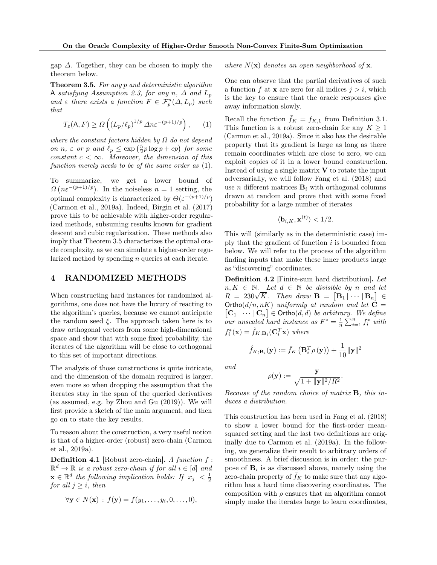gap  $\Delta$ . Together, they can be chosen to imply the theorem below.

<span id="page-5-0"></span>Theorem 3.5. For any p and deterministic algorithm A satisfying Assumption [2.3,](#page-3-3) for any n,  $\Delta$  and  $L_p$ and  $\varepsilon$  there exists a function  $F \in \mathcal{F}_p^n(\Delta, L_p)$  such that

<span id="page-5-1"></span>
$$
T_{\varepsilon}(\mathsf{A}, F) \ge \Omega\left( \left( L_p/\ell_p \right)^{1/p} \Delta n \varepsilon^{-(p+1)/p} \right), \qquad (1)
$$

where the constant factors hidden by  $\Omega$  do not depend on  $n, \varepsilon$  or  $p$  and  $\ell_p \leq \exp\left(\frac{5}{2}p\log p + cp\right)$  for some constant  $c < \infty$ . Moreover, the dimension of this function merely needs to be of the same order as [\(1\)](#page-5-1).

To summarize, we get a lower bound of  $\Omega\left(n\varepsilon^{-(p+1)/p}\right)$ . In the noiseless  $n=1$  setting, the optimal complexity is characterized by  $\Theta(\varepsilon^{-(p+1)/p})$ [\(Carmon et al., 2019a\)](#page-8-2). Indeed, [Birgin et al.](#page-8-11) [\(2017\)](#page-8-11) prove this to be achievable with higher-order regularized methods, subsuming results known for gradient descent and cubic regularization. These methods also imply that Theorem [3.5](#page-5-0) characterizes the optimal oracle complexity, as we can simulate a higher-order regularized method by spending n queries at each iterate.

# <span id="page-5-3"></span>4 RANDOMIZED METHODS

When constructing hard instances for randomized algorithms, one does not have the luxury of reacting to the algorithm's queries, because we cannot anticipate the random seed  $\xi$ . The approach taken here is to draw orthogonal vectors from some high-dimensional space and show that with some fixed probability, the iterates of the algorithm will be close to orthogonal to this set of important directions.

The analysis of those constructions is quite intricate, and the dimension of the domain required is larger, even more so when dropping the assumption that the iterates stay in the span of the queried derivatives (as assumed, e.g. by [Zhou and Gu](#page-9-1) [\(2019\)](#page-9-1)). We will first provide a sketch of the main argument, and then go on to state the key results.

To reason about the construction, a very useful notion is that of a higher-order (robust) zero-chain [\(Carmon](#page-8-2) [et al., 2019a\)](#page-8-2).

**Definition 4.1** [Robust zero-chain]. A function  $f$ :  $\mathbb{R}^d \to \mathbb{R}$  is a robust zero-chain if for all  $i \in [d]$  and  $\mathbf{x} \in \mathbb{R}^d$  the following implication holds: If  $|x_j| < \frac{1}{2}$ for all  $j \geq i$ , then

$$
\forall \mathbf{y} \in N(\mathbf{x}) : f(\mathbf{y}) = f(y_1, \dots, y_i, 0, \dots, 0),
$$

where  $N(\mathbf{x})$  denotes an open neighborhood of  $\mathbf{x}$ .

One can observe that the partial derivatives of such a function f at **x** are zero for all indices  $j > i$ , which is the key to ensure that the oracle responses give away information slowly.

Recall the function  $\bar{f}_K = f_{K,1}$  from Definition [3.1.](#page-4-1) This function is a robust zero-chain for any  $K \geq 1$ [\(Carmon et al., 2019a\)](#page-8-2). Since it also has the desirable property that its gradient is large as long as there remain coordinates which are close to zero, we can exploit copies of it in a lower bound construction. Instead of using a single matrix  $V$  to rotate the input adversarially, we will follow [Fang et al.](#page-8-5) [\(2018\)](#page-8-5) and use *n* different matrices  $\mathbf{B}_i$  with orthogonal columns drawn at random and prove that with some fixed probability for a large number of iterates

$$
\langle \mathbf{b}_{i,K}, \mathbf{x}^{(t)} \rangle < 1/2.
$$

This will (similarly as in the deterministic case) imply that the gradient of function  $i$  is bounded from below. We will refer to the process of the algorithm finding inputs that make these inner products large as "discovering" coordinates.

<span id="page-5-2"></span>Definition 4.2 [Finite-sum hard distribution]. Let  $n, K \in \mathbb{N}$ . Let  $d \in \mathbb{N}$  be divisible by n and let  $R = 230\sqrt{K}$ . Then draw  $\mathbf{B} = [\mathbf{B}_1 | \cdots | \mathbf{B}_n] \in$  $[\mathbf{C}_1 | \cdots | \mathbf{C}_n] \in \text{Ortho}(d,d)$  be arbitrary. We define  $Ortho(d/n, nK)$  uniformly at random and let  $C =$ our unscaled hard instance as  $F^* = \frac{1}{n} \sum_{i=1}^n f_i^*$  with  $f_i^*(\mathbf{x}) = \hat{f}_{K;\mathbf{B}_i}(\mathbf{C}_i^T\mathbf{x})$  where

$$
\hat{f}_{K;\mathbf{B}_{i}}(\mathbf{y}) := \bar{f}_{K}\left(\mathbf{B}_{i}^{T}\rho\left(\mathbf{y}\right)\right) + \frac{1}{10}
$$

and

$$
\rho(\mathbf{y}) := \frac{\mathbf{y}}{\sqrt{1 + \|\mathbf{y}\|^2/R^2}}.
$$

 $\frac{1}{10}$ ||y||<sup>2</sup>

Because of the random choice of matrix B, this induces a distribution.

This construction has been used in [Fang et al.](#page-8-5) [\(2018\)](#page-8-5) to show a lower bound for the first-order meansquared setting and the last two definitions are originally due to [Carmon et al.](#page-8-2) [\(2019a\)](#page-8-2). In the following, we generalize their result to arbitrary orders of smoothness. A brief discussion is in order: the purpose of  $B_i$  is as discussed above, namely using the zero-chain property of  $f_K$  to make sure that any algorithm has a hard time discovering coordinates. The composition with  $\rho$  ensures that an algorithm cannot simply make the iterates large to learn coordinates,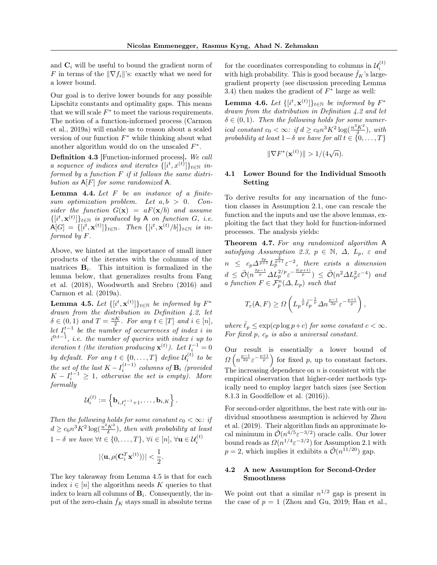and  $C_i$  will be useful to bound the gradient norm of F in terms of the  $\|\nabla f_i\|$ 's: exactly what we need for a lower bound.

Our goal is to derive lower bounds for any possible Lipschitz constants and optimality gaps. This means that we will scale  $F^*$  to meet the various requirements. The notion of a function-informed process [\(Carmon](#page-8-2) [et al., 2019a\)](#page-8-2) will enable us to reason about a scaled version of our function  $F^*$  while thinking about what another algorithm would do on the unscaled  $F^*$ .

Definition 4.3 [Function-informed process]. We call a sequence of indices and iterates  $\{[i^t, x^{(t)}]\}_{t \in \mathbb{N}}$  informed by a function F if it follows the same distribution as  $A[F]$  for some randomized A.

<span id="page-6-3"></span>**Lemma 4.4.** Let  $F$  be an instance of a finitesum optimization problem. Let  $a, b > 0$ . Consider the function  $G(\mathbf{x}) = aF(\mathbf{x}/b)$  and assume  $\{[i^t, \mathbf{x}^{(t)}]\}_{t \in \mathbb{N}}$  is produced by A on function G, i.e.  $\mathsf{A}[G] \ = \ \{[i^t, \mathbf{x}^{(t)}]\}_{t \in \mathbb{N}}. \quad Then \ \{[i^t, \mathbf{x}^{(t)}/b]\}_{t \in \mathbb{N}} \ \ is \ \ in$ formed by F.

Above, we hinted at the importance of small inner products of the iterates with the columns of the matrices  $\mathbf{B}_i$ . This intuition is formalized in the lemma below, that generalizes results from [Fang](#page-8-5) [et al.](#page-8-5) [\(2018\)](#page-8-5), [Woodworth and Srebro](#page-9-11) [\(2016\)](#page-9-11) and [Carmon et al.](#page-8-2) [\(2019a\)](#page-8-2).

<span id="page-6-1"></span>**Lemma 4.5.** Let  $\{[i^t, \mathbf{x}^{(t)}]\}_{t \in \mathbb{N}}$  be informed by  $F^*$ drawn from the distribution in Definition [4.2,](#page-5-2) let  $\delta \in (0,1)$  and  $T = \frac{nK}{2}$ . For any  $t \in [T]$  and  $i \in [n]$ , let  $I_i^{t-1}$  be the number of occurrences of index i in  $i^{0:t-1}$ , i.e. the number of queries with index i up to iteration t (the iteration producing  $\mathbf{x}^{(t)}$ ). Let  $I_i^{-1} = 0$ by default. For any  $t \in \{0, ..., T\}$  define  $\mathcal{U}_i^{(t)}$  to be the set of the last  $K - I_i^{(t-1)}$  columns of  $\mathbf{B}_i$  (provided  $K - I_i^{t-1} \geq 1$ , otherwise the set is empty). More formally

$$
\mathcal{U}_i^{(t)} := \left\{ \mathbf{b}_{i,I_i^{t-1}+1}, \ldots, \mathbf{b}_{i,K} \right\}.
$$

Then the following holds for some constant  $c_0 < \infty$ : if  $d \geq c_0 n^3 K^2 \log(\frac{n^2 K^2}{\delta})$ , then with probability at least  $1 - \delta$  we have  $\forall t \in \{0, ..., T\}, \forall i \in [n], \forall \mathbf{u} \in \mathcal{U}_i^{(t)}$ 

$$
|\langle \mathbf{u}, \rho(\mathbf{C}_i^T\mathbf{x}^{(t)}) \rangle| < \frac{1}{2}.
$$

The key takeaway from Lemma [4.5](#page-6-1) is that for each index  $i \in [n]$  the algorithm needs K queries to that index to learn all columns of  $\mathbf{B}_i$ . Consequently, the input of the zero-chain  $f_K$  stays small in absolute terms

for the coordinates corresponding to columns in  $\mathcal{U}_i^{(t)}$ with high probability. This is good because  $\bar{f}_K$ 's largegradient property (see discussion preceding Lemma [3.4\)](#page-4-2) then makes the gradient of  $F^*$  large as well:

<span id="page-6-4"></span>**Lemma 4.6.** Let  $\{[i^t, \mathbf{x}^{(t)}]\}_{t \in \mathbb{N}}$  be informed by  $F^*$ drawn from the distribution in Definition [4.2](#page-5-2) and let  $\delta \in (0,1)$ . Then the following holds for some numerical constant  $c_0 < \infty$ : if  $d \geq c_0 n^3 K^2 \log(\frac{n^2 K^2}{\delta})$ , with probability at least  $1-\delta$  we have for all  $t \in \{0,\ldots,T\}$ 

$$
\|\nabla F^*(\mathbf{x}^{(t)})\| > 1/(4\sqrt{n}).
$$

## <span id="page-6-2"></span>4.1 Lower Bound for the Individual Smooth Setting

To derive results for any incarnation of the function classes in Assumption [2.1,](#page-3-0) one can rescale the function and the inputs and use the above lemmas, exploiting the fact that they hold for function-informed processes. The analysis yields:

<span id="page-6-0"></span>Theorem 4.7. For any randomized algorithm A satisfying Assumption [2.3,](#page-3-3)  $p \in \mathbb{N}$ ,  $\Delta$ ,  $L_p$ ,  $\varepsilon$  and  $n \leq c_p \Delta^{\frac{2p}{p+1}} L_p^{\frac{2}{p+1}} \varepsilon^{-2}$ , there exists a dimension  $d \leq \tilde{\mathcal{O}}(n^{\frac{2p-1}{p}} \Delta L_p^{2/p} \varepsilon^{-\frac{2(p+1)}{p}}) \leq \tilde{\mathcal{O}}(n^2 \Delta L_p^2 \varepsilon^{-4})$  and a function  $F \in \mathcal{F}_p^n(\Delta, L_p)$  such that

$$
T_{\varepsilon}(\mathsf{A}, F) \geq \Omega \left( L_p^{\frac{1}{p}} \hat{\ell}_p^{-\frac{1}{p}} \Delta n^{\frac{p-1}{2p}} \varepsilon^{-\frac{p+1}{p}} \right),
$$

where  $\hat{\ell}_p \leq \exp(c p \log p + c)$  for some constant  $c < \infty$ . For fixed  $p, c_p$  is also a universal constant.

Our result is essentially a lower bound of  $\Omega\left(n^{\frac{p-1}{2p}}\varepsilon^{-\frac{p+1}{p}}\right)$  for fixed p, up to constant factors. The increasing dependence on  $n$  is consistent with the empirical observation that higher-order methods typically need to employ larger batch sizes (see Section 8.1.3 in [Goodfellow et al.](#page-8-13) [\(2016\)](#page-8-13)).

For second-order algorithms, the best rate with our individual smoothness assumption is achieved by [Zhou](#page-9-2) [et al.](#page-9-2) [\(2019\)](#page-9-2). Their algorithm finds an approximate local minimum in  $\tilde{\mathcal{O}}(n^{\tilde{4}/5}\varepsilon^{-3/2})$  oracle calls. Our lower bound reads as  $\Omega(n^{1/4}\varepsilon^{-3/2})$  for Assumption [2.1](#page-3-0) with  $p=2$ , which implies it exhibits a  $\tilde{\mathcal{O}}(n^{1/20})$  gap.

## 4.2 A new Assumption for Second-Order Smoothness

We point out that a similar  $n^{1/2}$  gap is present in the case of  $p = 1$  [\(Zhou and Gu, 2019;](#page-9-1) [Han et al.,](#page-8-14)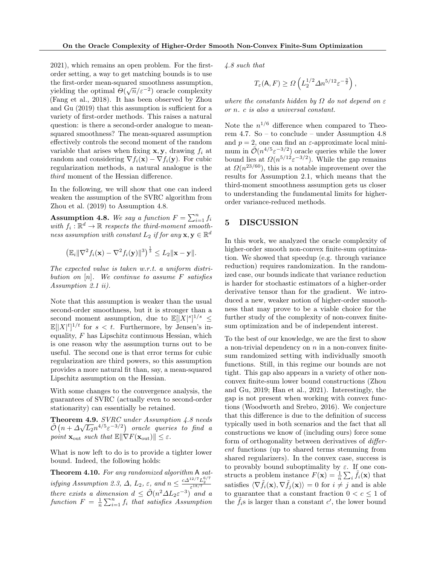[2021\)](#page-8-14), which remains an open problem. For the firstorder setting, a way to get matching bounds is to use the first-order mean-squared smoothness assumption, yielding the optimal  $\Theta(\sqrt{n}/\varepsilon^{-2})$  oracle complexity [\(Fang et al., 2018\)](#page-8-5). It has been observed by [Zhou](#page-9-1) [and Gu](#page-9-1) [\(2019\)](#page-9-1) that this assumption is sufficient for a variety of first-order methods. This raises a natural question: is there a second-order analogue to meansquared smoothness? The mean-squared assumption effectively controls the second moment of the random variable that arises when fixing  $x, y$ , drawing  $f_i$  at random and considering  $\nabla f_i(\mathbf{x}) - \nabla f_i(\mathbf{y})$ . For cubic regularization methods, a natural analogue is the third moment of the Hessian difference.

In the following, we will show that one can indeed weaken the assumption of the SVRC algorithm from [Zhou et al.](#page-9-2) [\(2019\)](#page-9-2) to Assumption [4.8.](#page-7-0)

<span id="page-7-0"></span>**Assumption 4.8.** We say a function  $F = \sum_{i=1}^{n} f_i$ with  $f_i: \mathbb{R}^d \to \mathbb{R}$  respects the third-moment smooth- $\emph{ness assumption with constant $L_2$ if for any $\mathbf{x},\mathbf{y}\in \mathbb{R}^d$}$ 

$$
\left(\mathbb{E}_i\|\nabla^2 f_i(\mathbf{x})-\nabla^2 f_i(\mathbf{y})\|^3\right)^{\frac{1}{3}}\leq L_2\|\mathbf{x}-\mathbf{y}\|.
$$

The expected value is taken w.r.t. a uniform distribution on  $[n]$ . We continue to assume  $F$  satisfies Assumption [2.1](#page-3-0) ii).

Note that this assumption is weaker than the usual second-order smoothness, but it is stronger than a second moment assumption, due to  $\mathbb{E}[|X|^s]^{1/s} \leq$  $\mathbb{E}[|X|^t]^{1/t}$  for  $s < t$ . Furthermore, by Jensen's inequality,  $F$  has Lipschitz continuous Hessian, which is one reason why the assumption turns out to be useful. The second one is that error terms for cubic regularization are third powers, so this assumption provides a more natural fit than, say, a mean-squared Lipschitz assumption on the Hessian.

With some changes to the convergence analysis, the guarantees of SVRC (actually even to second-order stationarity) can essentially be retained.

<span id="page-7-1"></span>**Theorem 4.9.** SVRC under Assumption [4.8](#page-7-0) needs  $\tilde{\mathcal{O}}\left(n + \Delta\sqrt{L_2}n^{4/5}\varepsilon^{-3/2}\right)$  oracle queries to find a point  $\mathbf{x}_{\text{out}}$  such that  $\mathbb{E} \|\nabla F(\mathbf{x}_{\text{out}})\| \leq \varepsilon$ .

What is now left to do is to provide a tighter lower bound. Indeed, the following holds:

<span id="page-7-2"></span>Theorem 4.10. For any randomized algorithm A sat-isfying Assumption [2.3,](#page-3-3)  $\Delta$ ,  $L_2$ ,  $\varepsilon$ , and  $n \leq \frac{c\Delta^{12/7}L_2^{6/7}}{\varepsilon^{18/7}}$ there exists a dimension  $d \leq \tilde{\mathcal{O}}(n^2 \Delta L_2 \varepsilon^{-3})$  and a function  $F = \frac{1}{n} \sum_{i=1}^{n} f_i$  that satisfies Assumption

[4.8](#page-7-0) such that

$$
T_{\varepsilon}(\mathsf{A}, F) \ge \Omega\left(L_2^{1/2} \Delta n^{5/12} \varepsilon^{-\frac{3}{2}}\right),
$$

where the constants hidden by  $\Omega$  do not depend on  $\varepsilon$ or n. c is also a universal constant.

Note the  $n^{1/6}$  difference when compared to Theorem [4.7.](#page-6-0) So – to conclude – under Assumption [4.8](#page-7-0) and  $p = 2$ , one can find an  $\varepsilon$ -approximate local minimum in  $\mathcal{O}(n^{4/5} \varepsilon^{-3/2})$  oracle queries while the lower bound lies at  $\Omega(n^{5/12} \varepsilon^{-3/2})$ . While the gap remains at  $\Omega(n^{23/60})$ , this is a notable improvement over the results for Assumption [2.1,](#page-3-0) which means that the third-moment smoothness assumption gets us closer to understanding the fundamental limits for higherorder variance-reduced methods.

# 5 DISCUSSION

In this work, we analyzed the oracle complexity of higher-order smooth non-convex finite-sum optimization. We showed that speedup (e.g. through variance reduction) requires randomization. In the randomized case, our bounds indicate that variance reduction is harder for stochastic estimators of a higher-order derivative tensor than for the gradient. We introduced a new, weaker notion of higher-order smoothness that may prove to be a viable choice for the further study of the complexity of non-convex finitesum optimization and be of independent interest.

To the best of our knowledge, we are the first to show a non-trivial dependency on  $n$  in a non-convex finitesum randomized setting with individually smooth functions. Still, in this regime our bounds are not tight. This gap also appears in a variety of other nonconvex finite-sum lower bound constructions [\(Zhou](#page-9-1) [and Gu, 2019;](#page-9-1) [Han et al., 2021\)](#page-8-14). Interestingly, the gap is not present when working with convex functions [\(Woodworth and Srebro, 2016\)](#page-9-11). We conjecture that this difference is due to the definition of success typically used in both scenarios and the fact that all constructions we know of (including ours) force some form of orthogonality between derivatives of different functions (up to shared terms stemming from shared regularizers). In the convex case, success is to provably bound suboptimality by  $\varepsilon$ . If one constructs a problem instance  $F(\mathbf{x}) = \frac{1}{n} \sum_i \tilde{f}_i(\mathbf{x})$  that satisfies  $\langle \nabla \tilde{f}_i(\mathbf{x}), \nabla \tilde{f}_j(\mathbf{x})\rangle = 0$  for  $i \neq j$  and is able to guarantee that a constant fraction  $0 < c \leq 1$  of the  $\tilde{f}_i$ s is larger than a constant c', the lower bound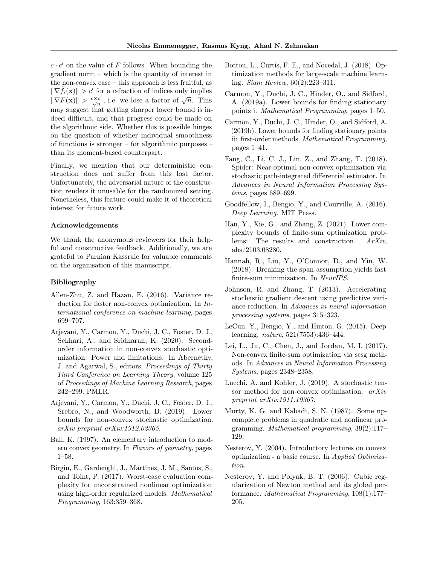$c \cdot c'$  on the value of F follows. When bounding the gradient norm – which is the quantity of interest in the non-convex case – this approach is less fruitful, as  $\|\nabla \tilde{f}_i(\mathbf{x})\| > c'$  for a c-fraction of indices only implies  $\|\nabla F(\mathbf{x})\| > \frac{c \times c'}{\sqrt{n}}$ , i.e. we lose a factor of  $\sqrt{n}$ . This may suggest that getting sharper lower bound is indeed difficult, and that progress could be made on the algorithmic side. Whether this is possible hinges on the question of whether individual smoothness of functions is stronger – for algorithmic purposes – than its moment-based counterpart.

Finally, we mention that our deterministic construction does not suffer from this lost factor. Unfortunately, the adversarial nature of the construction renders it unusable for the randomized setting. Nonetheless, this feature could make it of theoretical interest for future work.

### Acknowledgements

We thank the anonymous reviewers for their helpful and constructive feedback. Additionally, we are grateful to Parnian Kassraie for valuable comments on the organisation of this manuscript.

## Bibliography

- <span id="page-8-8"></span>Allen-Zhu, Z. and Hazan, E. (2016). Variance reduction for faster non-convex optimization. In International conference on machine learning, pages 699–707.
- <span id="page-8-17"></span>Arjevani, Y., Carmon, Y., Duchi, J. C., Foster, D. J., Sekhari, A., and Sridharan, K. (2020). Secondorder information in non-convex stochastic optimization: Power and limitations. In Abernethy, J. and Agarwal, S., editors, Proceedings of Thirty Third Conference on Learning Theory, volume 125 of Proceedings of Machine Learning Research, pages 242–299. PMLR.
- <span id="page-8-4"></span>Arjevani, Y., Carmon, Y., Duchi, J. C., Foster, D. J., Srebro, N., and Woodworth, B. (2019). Lower bounds for non-convex stochastic optimization. arXiv preprint arXiv:1912.02365.
- <span id="page-8-18"></span>Ball, K. (1997). An elementary introduction to modern convex geometry. In Flavors of geometry, pages 1–58.
- <span id="page-8-11"></span>Birgin, E., Gardenghi, J., Martínez, J. M., Santos, S., and Toint, P. (2017). Worst-case evaluation complexity for unconstrained nonlinear optimization using high-order regularized models. Mathematical Programming, 163:359–368.
- <span id="page-8-6"></span>Bottou, L., Curtis, F. E., and Nocedal, J. (2018). Optimization methods for large-scale machine learning. Siam Review, 60(2):223–311.
- <span id="page-8-2"></span>Carmon, Y., Duchi, J. C., Hinder, O., and Sidford, A. (2019a). Lower bounds for finding stationary points i. Mathematical Programming, pages 1–50.
- <span id="page-8-3"></span>Carmon, Y., Duchi, J. C., Hinder, O., and Sidford, A. (2019b). Lower bounds for finding stationary points ii: first-order methods. Mathematical Programming, pages 1–41.
- <span id="page-8-5"></span>Fang, C., Li, C. J., Lin, Z., and Zhang, T. (2018). Spider: Near-optimal non-convex optimization via stochastic path-integrated differential estimator. In Advances in Neural Information Processing Systems, pages 689–699.
- <span id="page-8-13"></span>Goodfellow, I., Bengio, Y., and Courville, A. (2016). Deep Learning. MIT Press.
- <span id="page-8-14"></span>Han, Y., Xie, G., and Zhang, Z. (2021). Lower complexity bounds of finite-sum optimization problems: The results and construction. ArXiv, abs/2103.08280.
- <span id="page-8-15"></span>Hannah, R., Liu, Y., O'Connor, D., and Yin, W. (2018). Breaking the span assumption yields fast finite-sum minimization. In NeurIPS.
- <span id="page-8-7"></span>Johnson, R. and Zhang, T. (2013). Accelerating stochastic gradient descent using predictive variance reduction. In Advances in neural information processing systems, pages 315–323.
- <span id="page-8-0"></span>LeCun, Y., Bengio, Y., and Hinton, G. (2015). Deep learning. nature, 521(7553):436–444.
- <span id="page-8-9"></span>Lei, L., Ju, C., Chen, J., and Jordan, M. I. (2017). Non-convex finite-sum optimization via scsg methods. In Advances in Neural Information Processing Systems, pages 2348–2358.
- <span id="page-8-16"></span>Lucchi, A. and Kohler, J. (2019). A stochastic tensor method for non-convex optimization.  $arXiv$ preprint arXiv:1911.10367.
- <span id="page-8-1"></span>Murty, K. G. and Kabadi, S. N. (1987). Some npcomplete problems in quadratic and nonlinear programming. Mathematical programming, 39(2):117– 129.
- <span id="page-8-12"></span>Nesterov, Y. (2004). Introductory lectures on convex optimization - a basic course. In Applied Optimization.
- <span id="page-8-10"></span>Nesterov, Y. and Polyak, B. T. (2006). Cubic regularization of Newton method and its global performance. Mathematical Programming, 108(1):177– 205.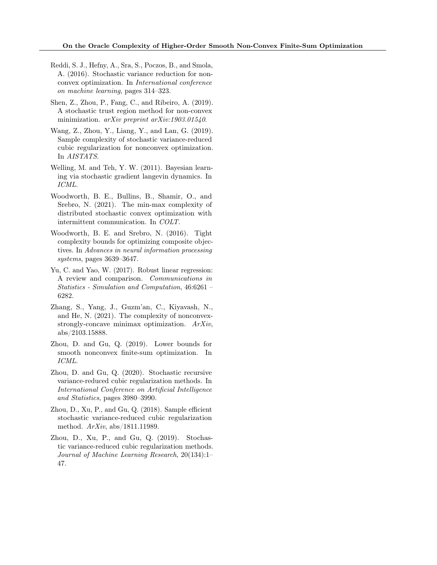- <span id="page-9-4"></span>Reddi, S. J., Hefny, A., Sra, S., Poczos, B., and Smola, A. (2016). Stochastic variance reduction for nonconvex optimization. In International conference on machine learning, pages 314–323.
- <span id="page-9-7"></span>Shen, Z., Zhou, P., Fang, C., and Ribeiro, A. (2019). A stochastic trust region method for non-convex minimization.  $arXiv$  preprint  $arXiv:1903.01540$ .
- <span id="page-9-9"></span>Wang, Z., Zhou, Y., Liang, Y., and Lan, G. (2019). Sample complexity of stochastic variance-reduced cubic regularization for nonconvex optimization. In AISTATS.
- <span id="page-9-6"></span>Welling, M. and Teh, Y. W. (2011). Bayesian learning via stochastic gradient langevin dynamics. In ICML.
- <span id="page-9-10"></span>Woodworth, B. E., Bullins, B., Shamir, O., and Srebro, N. (2021). The min-max complexity of distributed stochastic convex optimization with intermittent communication. In COLT.
- <span id="page-9-11"></span>Woodworth, B. E. and Srebro, N. (2016). Tight complexity bounds for optimizing composite objectives. In Advances in neural information processing systems, pages 3639–3647.
- <span id="page-9-0"></span>Yu, C. and Yao, W. (2017). Robust linear regression: A review and comparison. Communications in Statistics - Simulation and Computation, 46:6261 – 6282.
- <span id="page-9-5"></span>Zhang, S., Yang, J., Guzm'an, C., Kiyavash, N., and He, N. (2021). The complexity of nonconvexstrongly-concave minimax optimization. ArXiv, abs/2103.15888.
- <span id="page-9-1"></span>Zhou, D. and Gu, Q. (2019). Lower bounds for smooth nonconvex finite-sum optimization. In ICML.
- <span id="page-9-3"></span>Zhou, D. and Gu, Q. (2020). Stochastic recursive variance-reduced cubic regularization methods. In International Conference on Artificial Intelligence and Statistics, pages 3980–3990.
- <span id="page-9-8"></span>Zhou, D., Xu, P., and Gu, Q. (2018). Sample efficient stochastic variance-reduced cubic regularization method. ArXiv, abs/1811.11989.
- <span id="page-9-2"></span>Zhou, D., Xu, P., and Gu, Q. (2019). Stochastic variance-reduced cubic regularization methods. Journal of Machine Learning Research, 20(134):1– 47.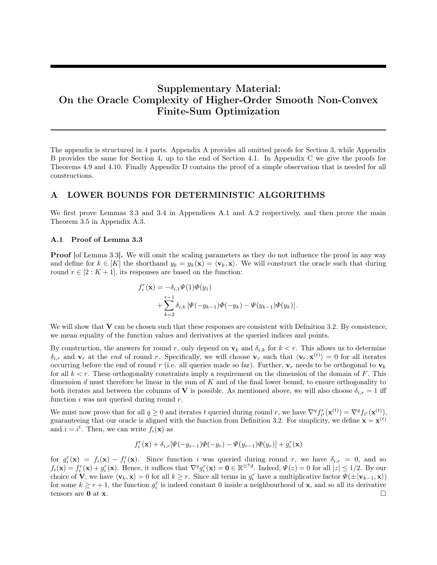# Supplementary Material: On the Oracle Complexity of Higher-Order Smooth Non-Convex Finite-Sum Optimization

The appendix is structured in 4 parts. Appendix [A](#page-10-0) provides all omitted proofs for Section [3,](#page-4-3) while Appendix B provides the same for Section [4,](#page-5-3) up to the end of Section [4.1.](#page-6-2) In Appendix [C](#page-24-0) we give the proofs for Theorems [4.9](#page-7-1) and [4.10.](#page-7-2) Finally Appendix [D](#page-33-0) contains the proof of a simple observation that is needed for all constructions.

# <span id="page-10-0"></span>A LOWER BOUNDS FOR DETERMINISTIC ALGORITHMS

We first prove Lemmas [3.3](#page-4-4) and [3.4](#page-4-2) in Appendices [A.1](#page-10-1) and [A.2](#page-11-0) respectively, and then prove the main Theorem [3.5](#page-5-0) in Appendix [A.3.](#page-11-1)

## <span id="page-10-1"></span>A.1 Proof of Lemma [3.3](#page-4-4)

**Proof** [of Lemma [3.3\]](#page-4-4). We will omit the scaling parameters as they do not influence the proof in any way and define for  $k \in [K]$  the shorthand  $y_k = y_k(\mathbf{x}) = \langle \mathbf{v}_k, \mathbf{x} \rangle$ . We will construct the oracle such that during round  $r \in [2:K+1]$ , its responses are based on the function:

$$
f_i^r(\mathbf{x}) = -\delta_{i,1} \Psi(1) \Phi(y_1)
$$
  
+ 
$$
\sum_{k=2}^{r-1} \delta_{i,k} \left[ \Psi(-y_{k-1}) \Phi(-y_k) - \Psi(y_{k-1}) \Phi(y_k) \right].
$$

We will show that  $V$  can be chosen such that these responses are consistent with Definition [3.2.](#page-4-0) By consistence, we mean equality of the function values and derivatives at the queried indices and points.

By construction, the answers for round r, only depend on  $\mathbf{v}_k$  and  $\delta_{i,k}$  for  $k < r$ . This allows us to determine  $\delta_{i,r}$  and  $\mathbf{v}_r$  at the end of round r. Specifically, we will choose  $\mathbf{v}_r$  such that  $\langle \mathbf{v}_r, \mathbf{x}^{(t)} \rangle = 0$  for all iterates occurring before the end of round r (i.e. all queries made so far). Further,  $\mathbf{v}_r$  needs to be orthogonal to  $\mathbf{v}_k$ for all  $k < r$ . These orthogonality constraints imply a requirement on the dimension of the domain of F. This dimension d must therefore be linear in the sum of  $K$  and of the final lower bound, to ensure orthogonality to both iterates and between the columns of **V** is possible. As mentioned above, we will also choose  $\delta_{i,r} = 1$  iff function  $i$  was not queried during round  $r$ .

We must now prove that for all  $q \geq 0$  and iterates t queried during round r, we have  $\nabla^q f_{it}^r(\mathbf{x}^{(t)}) = \nabla^q f_{it}(\mathbf{x}^{(t)}),$ guaranteeing that our oracle is aligned with the function from Definition [3.2.](#page-4-0) For simplicity, we define  $\mathbf{x} = \mathbf{x}^{(t)}$ and  $i = i^t$ . Then, we can write  $f_i(\mathbf{x})$  as

$$
f_i^r(\mathbf{x}) + \delta_{i,r}[\Psi(-y_{r-1})\Phi(-y_r) - \Psi(y_{r-1})\Phi(y_r)] + g_i^r(\mathbf{x})
$$

for  $g_i^r(\mathbf{x}) = f_i(\mathbf{x}) - f_i^r(\mathbf{x})$ . Since function i was queried during round r, we have  $\delta_{i,r} = 0$ , and so  $f_i(\mathbf{x}) = f_i^r(\mathbf{x}) + g_i^r(\mathbf{x})$ . Hence, it suffices that  $\nabla^q g_i^r(\mathbf{x}) = \mathbf{0} \in \mathbb{R}^{\otimes^q d}$ . Indeed,  $\Psi(z) = 0$  for all  $|z| \leq 1/2$ . By our choice of **V**, we have  $\langle \mathbf{v}_k, \mathbf{x} \rangle = 0$  for all  $k \geq r$ . Since all terms in  $g_i^r$  have a multiplicative factor  $\Psi(\pm \langle \mathbf{v}_{k-1}, \mathbf{x} \rangle)$ for some  $k \geq r+1$ , the function  $g_i^r$  is indeed constant 0 inside a neighbourhood of **x**, and so all its derivative tensors are 0 at  $x$ .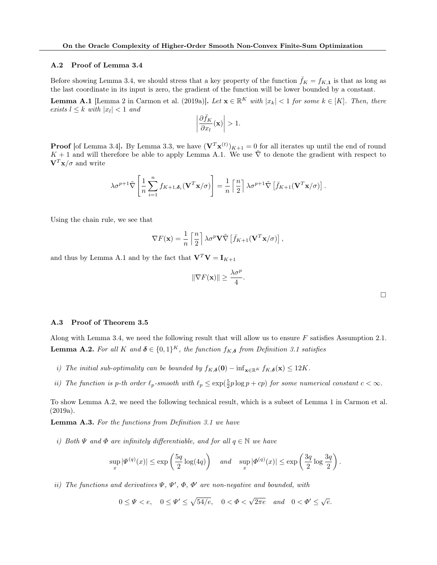## <span id="page-11-0"></span>A.2 Proof of Lemma [3.4](#page-4-2)

Before showing Lemma [3.4,](#page-4-2) we should stress that a key property of the function  $\bar{f}_K = f_{K,1}$  is that as long as the last coordinate in its input is zero, the gradient of the function will be lower bounded by a constant.

<span id="page-11-2"></span>**Lemma A.1** [Lemma 2 in [Carmon et al.](#page-8-2) [\(2019a\)](#page-8-2)]. Let  $\mathbf{x} \in \mathbb{R}^K$  with  $|x_k| < 1$  for some  $k \in [K]$ . Then, there exists  $l \leq k$  with  $|x_l| < 1$  and

$$
\left|\frac{\partial \bar{f}_K}{\partial x_l}(\mathbf{x})\right| > 1.
$$

**Proof** [of Lemma [3.4\]](#page-4-2). By Lemma [3.3,](#page-4-4) we have  $(\mathbf{V}^T \mathbf{x}^{(t)})_{K+1} = 0$  for all iterates up until the end of round K + 1 and will therefore be able to apply Lemma [A.1.](#page-11-2) We use  $\tilde{\nabla}$  to denote the gradient with respect to  $V^T x/\sigma$  and write

$$
\lambda \sigma^{p+1} \tilde{\nabla} \left[ \frac{1}{n} \sum_{i=1}^n f_{K+1,\boldsymbol{\delta}_i} (\mathbf{V}^T \mathbf{x}/\sigma) \right] = \frac{1}{n} \left[ \frac{n}{2} \right] \lambda \sigma^{p+1} \tilde{\nabla} \left[ \bar{f}_{K+1} (\mathbf{V}^T \mathbf{x}/\sigma) \right].
$$

Using the chain rule, we see that

$$
\nabla F(\mathbf{x}) = \frac{1}{n} \left[ \frac{n}{2} \right] \lambda \sigma^p \mathbf{V} \tilde{\nabla} \left[ \bar{f}_{K+1} (\mathbf{V}^T \mathbf{x}/\sigma) \right],
$$

and thus by Lemma [A.1](#page-11-2) and by the fact that  $V^T V = I_{K+1}$ 

$$
\|\nabla F(\mathbf{x})\| \ge \frac{\lambda \sigma^p}{4}.
$$

#### <span id="page-11-1"></span>A.3 Proof of Theorem [3.5](#page-5-0)

<span id="page-11-3"></span>Along with Lemma [3.4,](#page-4-2) we need the following result that will allow us to ensure F satisfies Assumption [2.1.](#page-3-0) **Lemma A.2.** For all K and  $\boldsymbol{\delta} \in \{0,1\}^K$ , the function  $f_{K,\boldsymbol{\delta}}$  from Definition [3.1](#page-4-1) satisfies

- i) The initial sub-optimality can be bounded by  $f_{K,\delta}(\mathbf{0}) \inf_{\mathbf{x} \in \mathbb{R}^K} f_{K,\delta}(\mathbf{x}) \leq 12K$ .
- ii) The function is p-th order  $\ell_p$ -smooth with  $\ell_p \leq \exp(\frac{5}{2}p \log p + cp)$  for some numerical constant  $c < \infty$ .

To show Lemma [A.2,](#page-11-3) we need the following technical result, which is a subset of Lemma 1 in [Carmon et al.](#page-8-2) [\(2019a\)](#page-8-2).

<span id="page-11-4"></span>Lemma A.3. For the functions from Definition [3.1](#page-4-1) we have

i) Both  $\Psi$  and  $\Phi$  are infinitely differentiable, and for all  $q \in \mathbb{N}$  we have

$$
\sup_x |\Psi^{(q)}(x)| \le \exp\left(\frac{5q}{2}\log(4q)\right) \quad \text{and} \quad \sup_x |\Phi^{(q)}(x)| \le \exp\left(\frac{3q}{2}\log\frac{3q}{2}\right).
$$

ii) The functions and derivatives  $\Psi, \Psi', \Phi, \Phi'$  are non-negative and bounded, with

$$
0 \le \Psi < e
$$
,  $0 \le \Psi' \le \sqrt{54/e}$ ,  $0 < \Phi < \sqrt{2\pi e}$  and  $0 < \Phi' \le \sqrt{e}$ .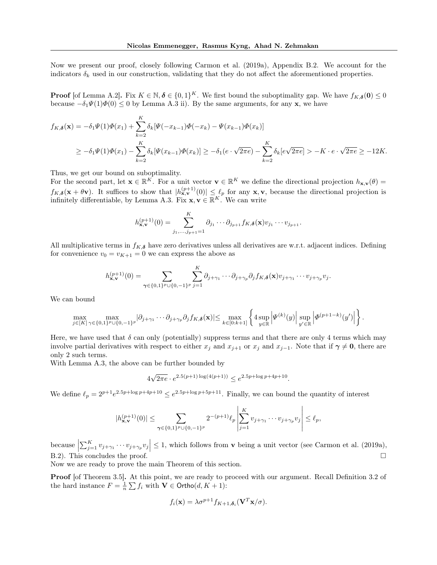Now we present our proof, closely following [Carmon et al.](#page-8-2) [\(2019a\)](#page-8-2), Appendix B.2. We account for the indicators  $\delta_k$  used in our construction, validating that they do not affect the aforementioned properties.

**Proof** [of Lemma [A.2\]](#page-11-3). Fix  $K \in \mathbb{N}, \delta \in \{0,1\}^K$ . We first bound the suboptimality gap. We have  $f_{K,\delta}(0) \leq 0$ because  $-\delta_1\Psi(1)\Phi(0) \le 0$  by Lemma [A.3](#page-11-4) ii). By the same arguments, for any **x**, we have

$$
f_{K,\delta}(\mathbf{x}) = -\delta_1 \Psi(1)\Phi(x_1) + \sum_{k=2}^{K} \delta_k [\Psi(-x_{k-1})\Phi(-x_k) - \Psi(x_{k-1})\Phi(x_k)]
$$
  
\n
$$
\geq -\delta_1 \Psi(1)\Phi(x_1) - \sum_{k=2}^{K} \delta_k [\Psi(x_{k-1})\Phi(x_k)] \geq -\delta_1 (e \cdot \sqrt{2\pi e}) - \sum_{k=2}^{K} \delta_k [e \sqrt{2\pi e}] > -K \cdot e \cdot \sqrt{2\pi e} \geq -12K.
$$

Thus, we get our bound on suboptimality.

For the second part, let  $\mathbf{x} \in \mathbb{R}^K$ . For a unit vector  $\mathbf{v} \in \mathbb{R}^K$  we define the directional projection  $h_{\mathbf{x},\mathbf{v}}(\theta)$  $f_{K,\delta}(\mathbf{x}+\theta \mathbf{v})$ . It suffices to show that  $|h_{\mathbf{x},\mathbf{v}}^{(p+1)}(0)| \leq \ell_p$  for any  $\mathbf{x},\mathbf{v}$ , because the directional projection is infinitely differentiable, by Lemma [A.3.](#page-11-4) Fix  $\mathbf{x}, \mathbf{v} \in \mathbb{R}^K$ . We can write

$$
h_{\mathbf{x},\mathbf{v}}^{(p+1)}(0) = \sum_{j_1,\ldots,j_{p+1}=1}^K \partial_{j_1} \cdots \partial_{j_{p+1}} f_{K,\boldsymbol{\delta}}(\mathbf{x}) v_{j_1} \cdots v_{j_{p+1}}.
$$

All multiplicative terms in  $f_{K,\delta}$  have zero derivatives unless all derivatives are w.r.t. adjacent indices. Defining for convenience  $v_0 = v_{K+1} = 0$  we can express the above as

$$
h_{\mathbf{x},\mathbf{v}}^{(p+1)}(0) = \sum_{\gamma \in \{0,1\}^p \cup \{0,-1\}^p} \sum_{j=1}^K \partial_{j+\gamma_1} \cdots \partial_{j+\gamma_p} \partial_j f_{K,\boldsymbol{\delta}}(\mathbf{x}) v_{j+\gamma_1} \cdots v_{j+\gamma_p} v_j.
$$

We can bound

$$
\max_{j\in[K]}\max_{\gamma\in\{0,1\}^p\cup\{0,-1\}^p}|\partial_{j+\gamma_1}\cdots\partial_{j+\gamma_p}\partial_jf_{K,\boldsymbol{\delta}}(\mathbf{x})|\leq \max_{k\in[0:k+1]}\left\{4\sup_{y\in\mathbb{R}}\left|\varPsi^{(k)}(y)\right|\sup_{y'\in\mathbb{R}}\left|\varPhi^{(p+1-k)}(y')\right|\right\}
$$

.

Here, we have used that  $\delta$  can only (potentially) suppress terms and that there are only 4 terms which may involve partial derivatives with respect to either  $x_j$  and  $x_{j+1}$  or  $x_j$  and  $x_{j-1}$ . Note that if  $\gamma \neq 0$ , there are only 2 such terms.

With Lemma [A.3,](#page-11-4) the above can be further bounded by

$$
4\sqrt{2\pi e} \cdot e^{2.5(p+1)\log(4(p+1))} \le e^{2.5p + \log p + 4p + 10}.
$$

We define  $\ell_p = 2^{p+1}e^{2.5p + \log p + 4p + 10} \leq e^{2.5p + \log p + 5p + 11}$ . Finally, we can bound the quantity of interest

$$
|h_{\mathbf{x},\mathbf{v}}^{(p+1)}(0)| \leq \sum_{\gamma \in \{0,1\}^p \cup \{0,-1\}^p} 2^{-(p+1)} \ell_p \left| \sum_{j=1}^K v_{j+\gamma_1} \cdots v_{j+\gamma_p} v_j \right| \leq \ell_p,
$$

because  $\left|\sum_{j=1}^K v_{j+\gamma_1} \cdots v_{j+\gamma_p} v_j\right| \leq 1$ , which follows from **v** being a unit vector (see [Carmon et al.](#page-8-2) [\(2019a\)](#page-8-2), B.2). This concludes the proof.  $\square$ 

Now we are ready to prove the main Theorem of this section.

**Proof** [of Theorem [3.5\]](#page-5-0). At this point, we are ready to proceed with our argument. Recall Definition [3.2](#page-4-0) of the hard instance  $F = \frac{1}{n} \sum f_i$  with  $\mathbf{V} \in \mathsf{Ortho}(d, K + 1)$ :

$$
f_i(\mathbf{x}) = \lambda \sigma^{p+1} f_{K+1, \delta_i}(\mathbf{V}^T \mathbf{x}/\sigma).
$$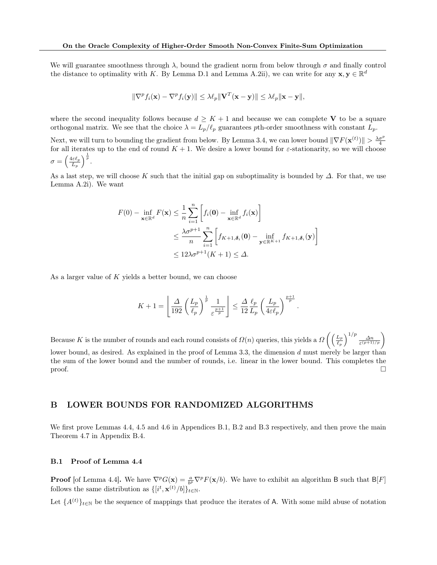We will guarantee smoothness through  $\lambda$ , bound the gradient norm from below through  $\sigma$  and finally control the distance to optimality with K. By Lemma [D.1](#page-33-1) and Lemma [A.2i](#page-11-3)i), we can write for any  $\mathbf{x}, \mathbf{y} \in \mathbb{R}^d$ 

$$
\|\nabla^p f_i(\mathbf{x}) - \nabla^p f_i(\mathbf{y})\| \le \lambda \ell_p \|\mathbf{V}^T(\mathbf{x} - \mathbf{y})\| \le \lambda \ell_p \|\mathbf{x} - \mathbf{y}\|,
$$

where the second inequality follows because  $d \geq K + 1$  and because we can complete V to be a square orthogonal matrix. We see that the choice  $\lambda = L_p/\ell_p$  guarantees pth-order smoothness with constant  $L_p$ .

Next, we will turn to bounding the gradient from below. By Lemma [3.4,](#page-4-2) we can lower bound  $\|\nabla F(\mathbf{x}^{(t)})\| > \frac{\lambda \sigma^p}{4}$ for all iterates up to the end of round  $K + 1$ . We desire a lower bound for *ε*-stationarity, so we will choose  $\sigma = \left(\frac{4\varepsilon\ell_p}{L}\right)$  $\frac{\ln \varepsilon \ell_p}{L_p}$  )  $^{\frac{1}{p}}$  .

As a last step, we will choose K such that the initial gap on suboptimality is bounded by  $\Delta$ . For that, we use Lemma [A.2i](#page-11-3)). We want

$$
F(0) - \inf_{\mathbf{x} \in \mathbb{R}^d} F(\mathbf{x}) \le \frac{1}{n} \sum_{i=1}^n \left[ f_i(\mathbf{0}) - \inf_{\mathbf{x} \in \mathbb{R}^d} f_i(\mathbf{x}) \right]
$$
  

$$
\le \frac{\lambda \sigma^{p+1}}{n} \sum_{i=1}^n \left[ f_{K+1, \delta_i}(\mathbf{0}) - \inf_{\mathbf{y} \in \mathbb{R}^{K+1}} f_{K+1, \delta_i}(\mathbf{y}) \right]
$$
  

$$
\le 12\lambda \sigma^{p+1} (K+1) \le \Delta.
$$

As a larger value of K yields a better bound, we can choose

$$
K + 1 = \left\lfloor \frac{\Delta}{192} \left( \frac{L_p}{\ell_p} \right)^{\frac{1}{p}} \frac{1}{\varepsilon^{\frac{p+1}{p}}} \right\rfloor \le \frac{\Delta}{12} \frac{\ell_p}{L_p} \left( \frac{L_p}{4\varepsilon \ell_p} \right)^{\frac{p+1}{p}}
$$

.

Because K is the number of rounds and each round consists of  $\Omega(n)$  queries, this yields a  $\Omega\left(\left(\frac{L_p}{\rho}\right)^2\right)$  $\frac{L_p}{\ell_p}\Big)^{1/p} \frac{\Delta n}{\varepsilon^{(p+1)/p}}$ lower bound, as desired. As explained in the proof of Lemma [3.3,](#page-4-4) the dimension d must merely be larger than the sum of the lower bound and the number of rounds, i.e. linear in the lower bound. This completes the  $\Box$ 

## B LOWER BOUNDS FOR RANDOMIZED ALGORITHMS

We first prove Lemmas [4.4,](#page-6-3) [4.5](#page-6-1) and [4.6](#page-6-4) in Appendices [B.1,](#page-13-0) [B.2](#page-15-0) and [B.3](#page-21-0) respectively, and then prove the main Theorem [4.7](#page-6-0) in Appendix [B.4.](#page-22-0)

### <span id="page-13-0"></span>B.1 Proof of Lemma [4.4](#page-6-3)

**Proof** [of Lemma [4.4\]](#page-6-3). We have  $\nabla^p G(\mathbf{x}) = \frac{a}{b^p} \nabla^p F(\mathbf{x}/b)$ . We have to exhibit an algorithm B such that  $B[F]$ follows the same distribution as  $\{[i^t, \mathbf{x}^{(t)}/b]\}_{t \in \mathbb{N}}$ .

Let  $\{A^{(t)}\}_{t\in\mathbb{N}}$  be the sequence of mappings that produce the iterates of A. With some mild abuse of notation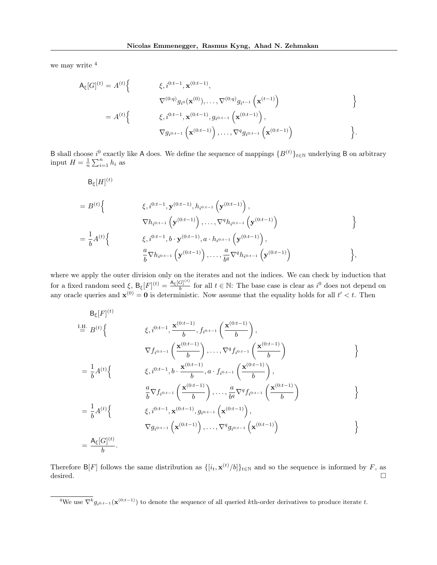we may write  $4$ 

 $\lambda$ 

$$
A_{\xi}[G]^{(t)} = A^{(t)} \Big\{ \begin{array}{c} \xi, i^{0:t-1}, \mathbf{x}^{(0:t-1)}, \\ \nabla^{(0:q)} g_{i^0}(\mathbf{x}^{(0)}), \dots, \nabla^{(0:q)} g_{i^{t-1}}(\mathbf{x}^{(t-1)}) \\ \n\vdots \\ \nabla g_i^{0:t-1}, \mathbf{x}^{(0:t-1)}, g_{i^{0:t-1}}(\mathbf{x}^{(0:t-1)}), \\ \nabla g_i^{0:t-1}(\mathbf{x}^{(0:t-1)}), \dots, \nabla^q g_{i^{0:t-1}}(\mathbf{x}^{(0:t-1)}) \end{array} \Big\}.
$$

B shall choose  $i^0$  exactly like A does. We define the sequence of mappings  $\{B^{(t)}\}_{t\in\mathbb{N}}$  underlying B on arbitrary input  $H = \frac{1}{n} \sum_{i=1}^{n} h_i$  as

$$
B_{\xi}[H]^{(t)}
$$
\n
$$
= B^{(t)} \Big\{ \n\xi, i^{0:t-1}, \mathbf{y}^{(0:t-1)}, h_{i^{0:t-1}}\left(\mathbf{y}^{(0:t-1)}\right),
$$
\n
$$
\nabla h_{i^{0:t-1}}\left(\mathbf{y}^{(0:t-1)}\right), \dots, \nabla^{q} h_{i^{0:t-1}}\left(\mathbf{y}^{(0:t-1)}\right)
$$
\n
$$
= \frac{1}{b} A^{(t)} \Big\{ \n\xi, i^{0:t-1}, b \cdot \mathbf{y}^{(0:t-1)}, a \cdot h_{i^{0:t-1}}\left(\mathbf{y}^{(0:t-1)}\right),
$$
\n
$$
\frac{a}{b} \nabla h_{i^{0:t-1}}\left(\mathbf{y}^{(0:t-1)}\right), \dots, \frac{a}{b^{q}} \nabla^{q} h_{i^{0:t-1}}\left(\mathbf{y}^{(0:t-1)}\right) \Big\},
$$

where we apply the outer division only on the iterates and not the indices. We can check by induction that for a fixed random seed  $\xi$ ,  $B_{\xi}[F]^{(t)} = \frac{A_{\xi}[G]^{(t)}}{b}$  $\frac{G}{b}$  for all  $t \in \mathbb{N}$ : The base case is clear as  $i^0$  does not depend on any oracle queries and  $\mathbf{x}^{(0)} = \mathbf{0}$  is deterministic. Now assume that the equality holds for all  $t' < t$ . Then

$$
B_{\xi}[F]^{(t)}
$$
  
\n
$$
I_{\frac{H}{=}B}^{(t)} \left\{ \n\begin{array}{c} \xi, i^{0:t-1}, \frac{\mathbf{x}^{(0:t-1)}}{b}, f_{i^{0:t-1}} \left( \frac{\mathbf{x}^{(0:t-1)}}{b} \right), \\ \n\nabla f_{i^{0:t-1}} \left( \frac{\mathbf{x}^{(0:t-1)}}{b} \right), \dots, \nabla^{q} f_{i^{0:t-1}} \left( \frac{\mathbf{x}^{(0:t-1)}}{b} \right) \n\end{array} \right\}
$$
  
\n
$$
= \frac{1}{b} A^{(t)} \left\{ \n\begin{array}{c} \xi, i^{0:t-1}, b \cdot \frac{\mathbf{x}^{(0:t-1)}}{b}, a \cdot f_{i^{0:t-1}} \left( \frac{\mathbf{x}^{(0:t-1)}}{b} \right), \\ \n\frac{a}{b} \nabla f_{i^{0:t-1}} \left( \frac{\mathbf{x}^{(0:t-1)}}{b} \right), \dots, \frac{a}{bq} \nabla^{q} f_{i^{0:t-1}} \left( \frac{\mathbf{x}^{(0:t-1)}}{b} \right) \n\end{array} \right\}
$$
  
\n
$$
= \frac{1}{b} A^{(t)} \left\{ \n\begin{array}{c} \xi, i^{0:t-1}, \mathbf{x}^{(0:t-1)}, g_{i^{0:t-1}} \left( \mathbf{x}^{(0:t-1)} \right), \\ \n\nabla g_{i^{0:t-1}} \left( \mathbf{x}^{(0:t-1)} \right), \dots, \nabla^{q} g_{i^{0:t-1}} \left( \mathbf{x}^{(0:t-1)} \right) \n\end{array} \right\}
$$
  
\n
$$
= \frac{A_{\xi}[G]^{(t)}}{b}.
$$

Therefore B[F] follows the same distribution as  $\{[i_t, \mathbf{x}^{(t)}/b]\}_{t\in\mathbb{N}}$  and so the sequence is informed by F, as desired.

<span id="page-14-0"></span><sup>&</sup>lt;sup>4</sup>We use  $\nabla^k g_{i^{0:t-1}}(\mathbf{x}^{(0:t-1)})$  to denote the sequence of all queried kth-order derivatives to produce iterate t.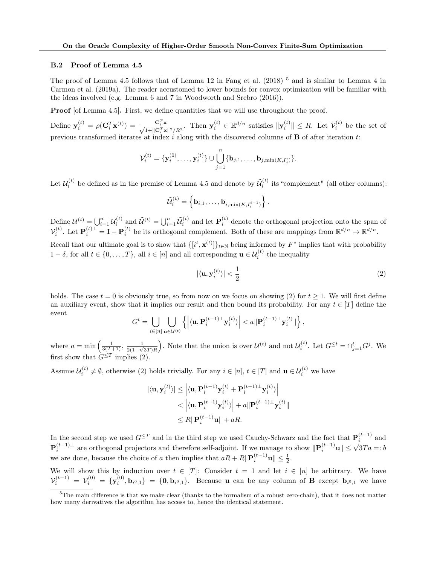### <span id="page-15-0"></span>B.2 Proof of Lemma [4.5](#page-6-1)

The proof of Lemma [4.5](#page-6-1) follows that of Lemma 12 in [Fang et al.](#page-8-5) [\(2018\)](#page-8-5)<sup>[5](#page-15-1)</sup> and is similar to Lemma 4 in [Carmon et al.](#page-8-2) [\(2019a\)](#page-8-2). The reader accustomed to lower bounds for convex optimization will be familiar with the ideas involved (e.g. Lemma 6 and 7 in [Woodworth and Srebro](#page-9-11) [\(2016\)](#page-9-11)).

**Proof** [of Lemma [4.5\]](#page-6-1). First, we define quantities that we will use throughout the proof.

Define  $\mathbf{y}_i^{(t)} = \rho(\mathbf{C}_i^T \mathbf{x}^{(t)}) = \frac{\mathbf{C}_i^T \mathbf{x}}{\sqrt{1 + ||\mathbf{C}_i^T \mathbf{x}||^2/R^2}}$ . Then  $\mathbf{y}_i^{(t)} \in \mathbb{R}^{d/n}$  satisfies  $\|\mathbf{y}_i^{(t)}\| \leq R$ . Let  $\mathcal{V}_i^{(t)}$  be the set of previous transformed iterates at index i along with the discovered columns of  $\bf{B}$  of after iteration t:

$$
\mathcal{V}_i^{(t)} = \{\mathbf{y}_i^{(0)}, \dots, \mathbf{y}_i^{(t)}\} \cup \bigcup_{j=1}^n \{\mathbf{b}_{j,1}, \dots, \mathbf{b}_{j,\min(K, I_j^t)}\}.
$$

Let  $\mathcal{U}_i^{(t)}$  be defined as in the premise of Lemma [4.5](#page-6-1) and denote by  $\tilde{\mathcal{U}}_i^{(t)}$  its "complement" (all other columns):

$$
\widetilde{\mathcal{U}}_i^{(t)} = \left\{ \mathbf{b}_{i,1}, \ldots, \mathbf{b}_{i, \min(K, I_i^{t-1})} \right\}.
$$

Define  $\mathcal{U}^{(t)} = \bigcup_{i=1}^n \mathcal{U}_i^{(t)}$  and  $\tilde{\mathcal{U}}^{(t)} = \bigcup_{i=1}^n \tilde{\mathcal{U}}_i^{(t)}$  and let  $\mathbf{P}_i^{(t)}$  denote the orthogonal projection onto the span of  $\mathcal{V}_i^{(t)}$ . Let  $\mathbf{P}_i^{(t)\perp} = \mathbf{I} - \mathbf{P}_i^{(t)}$  be its orthogonal complement. Both of these are mappings from  $\mathbb{R}^{d/n} \to \mathbb{R}^{d/n}$ .

Recall that our ultimate goal is to show that  $\{[i^t, \mathbf{x}^{(t)}]\}_{t\in\mathbb{N}}$  being informed by  $F^*$  implies that with probability  $1 - \delta$ , for all  $t \in \{0, ..., T\}$ , all  $i \in [n]$  and all corresponding  $\mathbf{u} \in \mathcal{U}_i^{(t)}$  the inequality

<span id="page-15-2"></span>
$$
|\langle \mathbf{u}, \mathbf{y}_i^{(t)} \rangle| < \frac{1}{2} \tag{2}
$$

holds. The case  $t = 0$  is obviously true, so from now on we focus on showing [\(2\)](#page-15-2) for  $t \ge 1$ . We will first define an auxiliary event, show that it implies our result and then bound its probability. For any  $t \in [T]$  define the event

$$
G^t = \bigcup_{i \in [n]} \bigcup_{\mathbf{u} \in \mathcal{U}^{(t)}} \left\{ \left| \langle \mathbf{u}, \mathbf{P}_i^{(t-1)\perp} \mathbf{y}_i^{(t)} \rangle \right| < a \|\mathbf{P}_i^{(t-1)\perp} \mathbf{y}_i^{(t)}\| \right\},
$$

where  $a = \min\left(\frac{1}{3(T+1)}, \frac{1}{2(1+\sqrt{3T})R}\right)$ . Note that the union is over  $\mathcal{U}^{(t)}$  and not  $\mathcal{U}_i^{(t)}$ . Let  $G^{\leq t} = \bigcap_{j=1}^t G^j$ . We first show that  $G^{\leq T}$  implies [\(2\)](#page-15-2).

Assume  $\mathcal{U}_i^{(t)} \neq \emptyset$ , otherwise [\(2\)](#page-15-2) holds trivially. For any  $i \in [n], t \in [T]$  and  $\mathbf{u} \in \mathcal{U}_i^{(t)}$  we have

$$
\begin{aligned} |\langle \mathbf{u}, \mathbf{y}_{i}^{(t)} \rangle| &\leq \left| \langle \mathbf{u}, \mathbf{P}_{i}^{(t-1)} \mathbf{y}_{i}^{(t)} + \mathbf{P}_{i}^{(t-1)\perp} \mathbf{y}_{i}^{(t)} \rangle \right| \\ &\lt\left| \langle \mathbf{u}, \mathbf{P}_{i}^{(t-1)} \mathbf{y}_{i}^{(t)} \rangle \right| + a \|\mathbf{P}_{i}^{(t-1)\perp} \mathbf{y}_{i}^{(t)}\| \\ &\leq R \|\mathbf{P}_{i}^{(t-1)} \mathbf{u}\| + aR. \end{aligned}
$$

In the second step we used  $G^{\leq T}$  and in the third step we used Cauchy-Schwarz and the fact that  $\mathbf{P}_i^{(t-1)}$  and  $\mathbf{P}_i^{(t-1)\perp}$  are orthogonal projectors and therefore self-adjoint. If we manage to show  $\|\mathbf{P}_i^{(t-1)}\mathbf{u}\| \leq \sqrt{3T}a =: b$ we are done, because the choice of a then implies that  $aR + R \|\mathbf{P}_i^{(t-1)}\mathbf{u}\| \le \frac{1}{2}$ .

We will show this by induction over  $t \in [T]$ : Consider  $t = 1$  and let  $i \in [n]$  be arbitrary. We have  $\mathcal{V}_i^{(t-1)} = \mathcal{V}_i^{(0)} = {\mathbf{y}_i^{(0)}, \mathbf{b}_{i^0,1}} = {\mathbf{0}, \mathbf{b}_{i^0,1}}.$  Because **u** can be any column of **B** except  $\mathbf{b}_{i^0,1}$  we have

<span id="page-15-1"></span> $5$ The main difference is that we make clear (thanks to the formalism of a robust zero-chain), that it does not matter how many derivatives the algorithm has access to, hence the identical statement.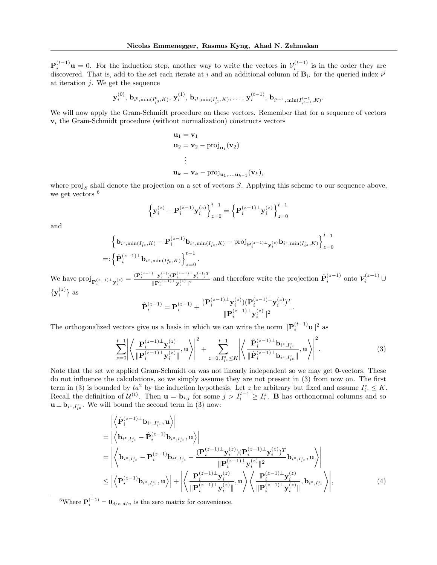${\bf P}_i^{(t-1)}$ **u** = 0. For the induction step, another way to write the vectors in  $\mathcal{V}_i^{(t-1)}$  is in the order they are discovered. That is, add to the set each iterate at i and an additional column of  $B_{ij}$  for the queried index  $i^j$ at iteration  $j$ . We get the sequence

$$
\mathbf{y}_{i}^{(0)}, \mathbf{b}_{i^0, \min(I_{i^0}^0, K)}, \mathbf{y}_{i}^{(1)}, \mathbf{b}_{i^1, \min(I_{i^1}^1, K)}, \dots, \mathbf{y}_{i}^{(t-1)}, \mathbf{b}_{i^{t-1}, \min(I_{i^{t-1}}^{t-1}, K)}
$$

.

We will now apply the Gram-Schmidt procedure on these vectors. Remember that for a sequence of vectors  $v_i$  the Gram-Schmidt procedure (without normalization) constructs vectors

$$
\mathbf{u}_1 = \mathbf{v}_1
$$
  
\n
$$
\mathbf{u}_2 = \mathbf{v}_2 - \text{proj}_{\mathbf{u}_1}(\mathbf{v}_2)
$$
  
\n
$$
\vdots
$$
  
\n
$$
\mathbf{u}_k = \mathbf{v}_k - \text{proj}_{\mathbf{u}_1, ..., \mathbf{u}_{k-1}}(\mathbf{v}_k),
$$

where  $proj_S$  shall denote the projection on a set of vectors S. Applying this scheme to our sequence above, we get vectors <sup>[6](#page-16-0)</sup>

$$
\left\{\mathbf{y}_{i}^{(z)} - \mathbf{P}_{i}^{(z-1)}\mathbf{y}_{i}^{(z)}\right\}_{z=0}^{t-1} = \left\{\mathbf{P}_{i}^{(z-1)\perp}\mathbf{y}_{i}^{(z)}\right\}_{z=0}^{t-1}
$$

and

$$
\left\{ \mathbf{b}_{i^{z},\min(I_{i^{z}}^{z},K)} - \mathbf{P}_{i}^{(z-1)} \mathbf{b}_{i^{z},\min(I_{i^{z}}^{z},K)} - \text{proj}_{\mathbf{P}_{i}^{(z-1)\perp}\mathbf{y}_{i}^{(z)}} \mathbf{b}_{i^{z},\min(I_{i^{z}}^{z},K)} \right\}_{z=0}^{t-1}
$$
\n
$$
=:\left\{ \hat{\mathbf{P}}_{i}^{(z-1)\perp} \mathbf{b}_{i^{z},\min(I_{i^{z}}^{z},K)} \right\}_{z=0}^{t-1}.
$$

We have  $\text{proj}_{\mathbf{P}_i^{(z-1)\perp}\mathbf{y}_i^{(z)}} = \frac{(\mathbf{P}_i^{(z-1)\perp}\mathbf{y}_i^{(z)})(\mathbf{P}_i^{(z-1)\perp}\mathbf{y}_i^{(z)})^T}{\|\mathbf{P}_i^{(z-1)\perp}\mathbf{y}_i^{(z)}\|^2}$  $\frac{(\sum_{i=1}^{n} (X_i^2)^2 - (\sum_{i=1}^{n} (X_i^2)^2)^T)}{||P_i^{(z-1)} - Y_i^{(z)}||^2}$  and therefore write the projection  $\hat{P}_i^{(z-1)}$  onto  $\mathcal{V}_i^{(z-1)} \cup$  $\{y_i^{(z)}\}$  as

<span id="page-16-1"></span>
$$
\hat{\mathbf{P}}_i^{(z-1)} = \mathbf{P}_i^{(z-1)} + \frac{(\mathbf{P}_i^{(z-1)} \bot \mathbf{y}_i^{(z)})(\mathbf{P}_i^{(z-1)} \bot \mathbf{y}_i^{(z)})^T}{\|\mathbf{P}_i^{(z-1)} \bot \mathbf{y}_i^{(z)}\|^2}.
$$

The orthogonalized vectors give us a basis in which we can write the norm  $\|\mathbf{P}_i^{(t-1)}\mathbf{u}\|^2$  as

$$
\sum_{z=0}^{t-1} \left| \left\langle \frac{\mathbf{P}_i^{(z-1)\perp} \mathbf{y}_i^{(z)}}{\|\mathbf{P}_i^{(z-1)\perp} \mathbf{y}_i^{(z)}\|} , \mathbf{u} \right\rangle \right|^2 + \sum_{z=0, I_{iz}^z \le K}^{t-1} \left| \left\langle \frac{\hat{\mathbf{P}}_i^{(z-1)\perp} \mathbf{b}_{i^z, I_{iz}^z}}{\|\hat{\mathbf{P}}_i^{(z-1)\perp} \mathbf{b}_{i^z, I_{iz}^z}\|} , \mathbf{u} \right\rangle \right|^2. \tag{3}
$$

Note that the set we applied Gram-Schmidt on was not linearly independent so we may get **0**-vectors. These do not influence the calculations, so we simply assume they are not present in [\(3\)](#page-16-1) from now on. The first term in [\(3\)](#page-16-1) is bounded by  $ta^2$  by the induction hypothesis. Let z be arbitrary but fixed and assume  $I_{i^z}^* \leq K$ . Recall the definition of  $\mathcal{U}^{(t)}$ . Then  $\mathbf{u} = \mathbf{b}_{i,j}$  for some  $j > I_i^{t-1} \geq I_i^z$ . **B** has orthonormal columns and so  $\mathbf{u} \perp \mathbf{b}_{i^z, I_{i^z}}$ . We will bound the second term in [\(3\)](#page-16-1) now:

<span id="page-16-2"></span>
$$
\begin{split}\n&= \left| \left\langle \hat{\mathbf{P}}_{i}^{(z-1)\perp} \mathbf{b}_{i^{z}, I_{i^{z}}^{z}}, \mathbf{u} \right\rangle \right| \\
&= \left| \left\langle \mathbf{b}_{i^{z}, I_{i^{z}}^{z}} - \hat{\mathbf{P}}_{i}^{(z-1)} \mathbf{b}_{i^{z}, I_{i^{z}}^{z}}, \mathbf{u} \right\rangle \right| \\
&= \left| \left\langle \mathbf{b}_{i^{z}, I_{i^{z}}^{z}} - \mathbf{P}_{i}^{(z-1)} \mathbf{b}_{i^{z}, I_{i^{z}}^{z}} - \frac{(\mathbf{P}_{i}^{(z-1)\perp} \mathbf{y}_{i}^{(z)})(\mathbf{P}_{i}^{(z-1)\perp} \mathbf{y}_{i}^{(z)})^{T}}{\|\mathbf{P}_{i}^{(z-1)\perp} \mathbf{y}_{i}^{(z)}\|^{2}} \mathbf{b}_{i^{z}, I_{i^{z}}^{z}}, \mathbf{u} \right\rangle \right| \\
&\leq \left| \left\langle \mathbf{P}_{i}^{(z-1)} \mathbf{b}_{i^{z}, I_{i^{z}}^{z}}, \mathbf{u} \right\rangle \right| + \left| \left\langle \frac{\mathbf{P}_{i}^{(z-1)\perp} \mathbf{y}_{i}^{(z)}}{\|\mathbf{P}_{i}^{(z-1)\perp} \mathbf{y}_{i}^{(z)}\|}, \mathbf{u} \right\rangle \left\langle \frac{\mathbf{P}_{i}^{(z-1)\perp} \mathbf{y}_{i}^{(z)}}{\|\mathbf{P}_{i}^{(z-1)\perp} \mathbf{y}_{i}^{(z)}\|}, \mathbf{b}_{i^{z}, I_{i^{z}}^{z}} \right\rangle \right|,\n\end{split} \tag{4}
$$

<span id="page-16-0"></span><sup>6</sup>Where  $\mathbf{P}_{i}^{(-1)} = \mathbf{0}_{d/n,d/n}$  is the zero matrix for convenience.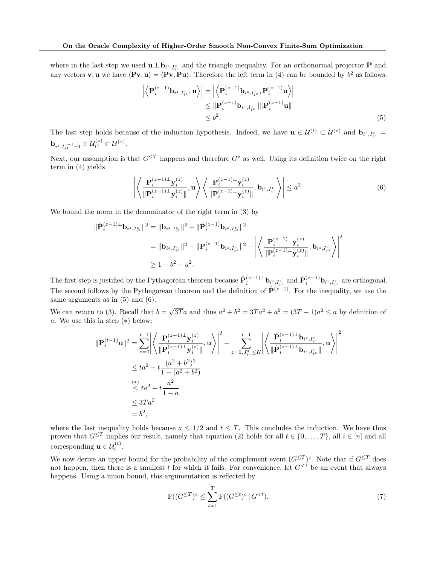where in the last step we used  $\mathbf{u} \perp \mathbf{b}_{i^z,I_{i^z}^z}$  and the triangle inequality. For an orthonormal projector **P** and any vectors **v**, **u** we have  $\langle \mathbf{Pv}, \mathbf{u} \rangle = \langle \mathbf{Pv}, \mathbf{Pu} \rangle$ . Therefore the left term in [\(4\)](#page-16-2) can be bounded by  $b^2$  as follows:

<span id="page-17-0"></span>
$$
\left| \left\langle \mathbf{P}_i^{(z-1)} \mathbf{b}_{i^z, I_{i^z}^z}, \mathbf{u} \right\rangle \right| = \left| \left\langle \mathbf{P}_i^{(z-1)} \mathbf{b}_{i^z, I_{i^z}^z}, \mathbf{P}_i^{(z-1)} \mathbf{u} \right\rangle \right|
$$
  
\n
$$
\leq \|\mathbf{P}_i^{(z-1)} \mathbf{b}_{i^z, I_{i^z}^z} \| \|\mathbf{P}_i^{(z-1)} \mathbf{u} \|
$$
  
\n
$$
\leq b^2.
$$
 (5)

The last step holds because of the induction hypothesis. Indeed, we have  $\mathbf{u} \in \mathcal{U}^{(t)} \subset \mathcal{U}^{(z)}$  and  $\mathbf{b}_{i^z, I_{i^z}^z} =$  $\mathbf{b}_{i^z,I^{z-1}_{i^z}+1} \in \mathcal{U}^{(z)}_{i^z} \subset \mathcal{U}^{(z)}.$ 

Next, our assumption is that  $G^{\leq T}$  happens and therefore  $G^z$  as well. Using its definition twice on the right term in [\(4\)](#page-16-2) yields

<span id="page-17-1"></span>
$$
\left| \left\langle \frac{\mathbf{P}_i^{(z-1)\perp} \mathbf{y}_i^{(z)}}{\|\mathbf{P}_i^{(z-1)\perp} \mathbf{y}_i^{(z)}\|}, \mathbf{u} \right\rangle \left\langle \frac{\mathbf{P}_i^{(z-1)\perp} \mathbf{y}_i^{(z)}}{\|\mathbf{P}_i^{(z-1)\perp} \mathbf{y}_i^{(z)}\|}, \mathbf{b}_{i^z, I_{i^z}^z} \right\rangle \right| \le a^2.
$$
\n(6)

We bound the norm in the denominator of the right term in [\(3\)](#page-16-1) by

$$
\begin{split} \|\hat{\mathbf{P}}_{i}^{(z-1)\perp}\mathbf{b}_{i^{z},I_{i^{z}}^{z}}\|^{2} &= \|\mathbf{b}_{i^{z},I_{i^{z}}^{z}}\|^{2} - \|\hat{\mathbf{P}}_{i}^{(z-1)}\mathbf{b}_{i^{z},I_{i^{z}}^{z}}\|^{2} \\ &= \|\mathbf{b}_{i^{z},I_{i^{z}}^{z}}\|^{2} - \|\mathbf{P}_{i}^{(z-1)}\mathbf{b}_{i^{z},I_{i^{z}}^{z}}\|^{2} - \left|\left\langle \frac{\mathbf{P}_{i}^{(z-1)\perp}\mathbf{y}_{i}^{(z)}}{\|\mathbf{P}_{i}^{(z-1)\perp}\mathbf{y}_{i}^{(z)}\|},\mathbf{b}_{i^{z},I_{i^{z}}^{z}}\right\rangle\right|^{2} \\ &\geq 1 - b^{2} - a^{2} .\end{split}
$$

The first step is justified by the Pythagorean theorem because  $\hat{\mathbf{P}}_i^{(z-1)\perp}$   $\mathbf{b}_{i^z,I_{i^z}^z}$  and  $\hat{\mathbf{P}}_i^{(z-1)}$   $\mathbf{b}_{i^z,I_{i^z}^z}$  are orthogonal. The second follows by the Pythagorean theorem and the definition of  $\hat{\mathbf{P}}^{(z-1)}$ . For the inequality, we use the same arguments as in [\(5\)](#page-17-0) and [\(6\)](#page-17-1).

We can return to [\(3\)](#page-16-1). Recall that  $b =$ √  $3\overline{T}a$  and thus  $a^2 + b^2 = 3Ta^2 + a^2 = (3T + 1)a^2 \le a$  by definition of a. We use this in step (∗) below:

$$
\begin{split} \|\mathbf{P}_{i}^{(t-1)}\mathbf{u}\|^{2} &= \sum_{z=0}^{t-1} \left| \left\langle \frac{\mathbf{P}_{i}^{(z-1)\perp}\mathbf{y}_{i}^{(z)}}{\|\mathbf{P}_{i}^{(z-1)\perp}\mathbf{y}_{i}^{(z)}\|}, \mathbf{u} \right\rangle \right|^{2} + \sum_{z=0, I_{i}^{z} \leq K}^{t-1} \left| \left\langle \frac{\hat{\mathbf{P}}_{i}^{(z-1)\perp}\mathbf{b}_{i^{z}, I_{i}^{z}}}{\|\hat{\mathbf{P}}_{i}^{(z-1)\perp}\mathbf{b}_{i^{z}, I_{i}^{z}}\|}, \mathbf{u} \right\rangle \right|^{2} \\ &\leq ta^{2} + t \frac{(a^{2} + b^{2})^{2}}{1 - (a^{2} + b^{2})} \\ &\stackrel{(*)}{\leq} ta^{2} + t \frac{a^{2}}{1 - a} \\ &\leq 3Ta^{2} \\ &= b^{2}, \end{split}
$$

where the last inequality holds because  $a \leq 1/2$  and  $t \leq T$ . This concludes the induction. We have thus proven that  $G^{\leq T}$  implies our result, namely that equation (2) holds for all  $t \in \{0, \ldots, T\}$ , all  $i \in [n]$  and all corresponding  $\mathbf{u} \in \mathcal{U}_i^{(t)}$ .

We now derive an upper bound for the probability of the complement event  $(G^{\leq T})^c$ . Note that if  $G^{\leq T}$  does not happen, then there is a smallest t for which it fails. For convenience, let  $G^{<1}$  be an event that always happens. Using a union bound, this argumentation is reflected by

<span id="page-17-2"></span>
$$
\mathbb{P}((G^{\leq T})^c \leq \sum_{t=1}^T \mathbb{P}((G^{\leq t})^c \mid G^{<}).\tag{7}
$$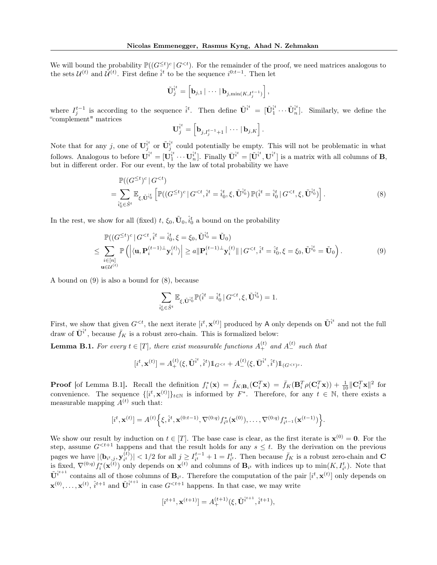We will bound the probability  $\mathbb{P}((G^{\leq t})^c \mid G^{< t})$ . For the remainder of the proof, we need matrices analogous to the sets  $\mathcal{U}^{(t)}$  and  $\tilde{\mathcal{U}}^{(t)}$ . First define  $\hat{i}^t$  to be the sequence  $i^{0:t-1}$ . Then let

$$
\tilde{\mathbf{U}}_j^{\hat{\imath}^t} = \left[\mathbf{b}_{j,1} \,|\, \cdots \,|\, \mathbf{b}_{j,\min(K,I_j^{t-1})}\right],
$$

where  $I_j^{t-1}$  is according to the sequence  $\hat{i}^t$ . Then define  $\tilde{\mathbf{U}}^{\hat{i}^t} = [\tilde{\mathbf{U}}_1^{\hat{i}^t} \cdots \tilde{\mathbf{U}}_n^{\hat{i}^t}]$ . Similarly, we define the "complement" matrices

<span id="page-18-1"></span>
$$
\mathbf{U}_j^{\hat{i}^t} = \left[\mathbf{b}_{j,I_j^{t-1}+1} | \cdots | \mathbf{b}_{j,K}\right].
$$

Note that for any j, one of  $\mathbf{U}_j^{\hat{i}^t}$  or  $\tilde{\mathbf{U}}_j^{\hat{i}^t}$  could potentially be empty. This will not be problematic in what follows. Analogous to before  $\mathbf{U}^{\hat{i}^t} = [\mathbf{U}_1^{\hat{i}^t} \cdots \mathbf{U}_n^{\hat{i}^t}].$  Finally  $\bar{\mathbf{U}}^{\hat{i}^t} = [\tilde{\mathbf{U}}^{\hat{i}^t}, \mathbf{U}^{\hat{i}^t}]$  is a matrix with all columns of  $\mathbf{B}$ , but in different order. For our event, by the law of total probability we have

$$
\mathbb{P}((G^{\leq t})^c | G^{\n
$$
= \sum_{\hat{i}_0 \in \hat{S}^t} \mathbb{E}_{\xi, \tilde{\mathbf{U}}^{\hat{i}_0}} \left[ \mathbb{P}((G^{\leq t})^c | G^{\n(8)
$$
$$

In the rest, we show for all (fixed)  $t, \xi_0, \tilde{\mathbf{U}}_0, \hat{i}_0^t$  a bound on the probability

$$
\mathbb{P}((G^{\leq t})^c | G^{\n(9)
$$

A bound on [\(9\)](#page-18-0) is also a bound for [\(8\)](#page-18-1), because

<span id="page-18-0"></span>
$$
\sum_{\hat{i}_0^t \in \hat{S}^t} \mathbb{E}_{\xi, \tilde{\mathbf{U}}^{\hat{i}_0^t}} \mathbb{P}(\hat{i}^t = \hat{i}_0^t \,|\, G^{
$$

First, we show that given  $G^{, the next iterate  $[i^t, \mathbf{x}^{(t)}]$  produced by A only depends on  $\tilde{\mathbf{U}}^{i^t}$  and not the full$ draw of  $\bar{\mathbf{U}}^{i}$ <sup>t</sup>, because  $\bar{f}_K$  is a robust zero-chain. This is formalized below:

<span id="page-18-2"></span>**Lemma B.1.** For every  $t \in [T]$ , there exist measurable functions  $A_+^{(t)}$  and  $A_-^{(t)}$  such that

$$
[i^t, \mathbf{x}^{(t)}] = A_+^{(t)}(\xi, \tilde{\mathbf{U}}^{i^t}, \hat{i}^t) \mathbb{1}_{G^{
$$

**Proof** [of Lemma [B.1\]](#page-18-2). Recall the definition  $f_i^*(\mathbf{x}) = \hat{f}_{K;\mathbf{B}_i}(\mathbf{C}_i^T\mathbf{x}) = \bar{f}_K(\mathbf{B}_i^T\rho(\mathbf{C}_i^T\mathbf{x})) + \frac{1}{10}\|\mathbf{C}_i^T\mathbf{x}\|^2$  for convenience. The sequence  $\{[i^t, \mathbf{x}^{(t)}]\}_{t\in\mathbb{N}}$  is informed by  $F^*$ . Therefore, for any  $t \in \mathbb{N}$ , there exists a measurable mapping  $A^{(t)}$  such that:

$$
[i^t, \mathbf{x}^{(t)}] = A^{(t)} \Big\{ \xi, \hat{i}^t, \mathbf{x}^{(0:t-1)}, \nabla^{(0:q)} f_{i^0}^*(\mathbf{x}^{(0)}), \dots, \nabla^{(0:q)} f_{i^{t-1}}^*(\mathbf{x}^{(t-1)}) \Big\}.
$$

We show our result by induction on  $t \in [T]$ . The base case is clear, as the first iterate is  $\mathbf{x}^{(0)} = \mathbf{0}$ . For the step, assume  $G^{ happens and that the result holds for any  $s \leq t$ . By the derivation on the previous$ pages we have  $|\langle \mathbf{b}_{i^t,j}, \mathbf{y}_{i^t}^{(t)} \rangle$  $|\hat{t}_{i'}^{(t)}\rangle|$  < 1/2 for all  $j \geq I_{i'}^{t-1} + 1 = I_{i'}^{t}$ . Then because  $\bar{f}_{K}$  is a robust zero-chain and C is fixed,  $\nabla^{(0:q)} f_i^*(\mathbf{x}^{(t)})$  only depends on  $\mathbf{x}^{(t)}$  and columns of  $\mathbf{B}_{i^t}$  with indices up to  $\min(K, I_{i^t}^t)$ . Note that  $\tilde{\mathbf{U}}^{i^{t+1}}$  contains all of those columns of  $\mathbf{B}_{i^t}$ . Therefore the computation of the pair  $[i^t, \mathbf{x}^{(t)}]$  only depends on  $\mathbf{x}^{(0)}, \ldots, \mathbf{x}^{(t)}$ ,  $\hat{i}^{t+1}$  and  $\tilde{\mathbf{U}}^{\hat{i}^{t+1}}$  in case  $G^{< t+1}$  happens. In that case, we may write

$$
[i^{t+1}, \mathbf{x}^{(t+1)}] = A_+^{(t+1)}(\xi, \tilde{\mathbf{U}}^{\tilde{i}^{t+1}}, \tilde{i}^{t+1}),
$$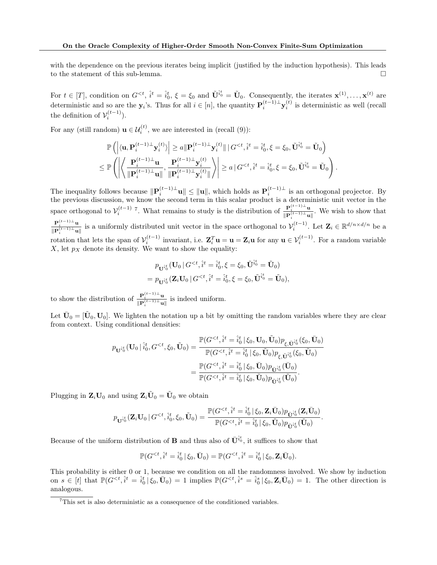with the dependence on the previous iterates being implicit (justified by the induction hypothesis). This leads to the statement of this sub-lemma.

For  $t \in [T]$ , condition on  $G^{,  $\hat{i}^t = \hat{i}^t_0$ ,  $\xi = \xi_0$  and  $\tilde{\mathbf{U}}^{\hat{i}^t_0} = \tilde{\mathbf{U}}_0$ . Consequently, the iterates  $\mathbf{x}^{(1)}, \ldots, \mathbf{x}^{(t)}$  are$ deterministic and so are the  $y_i$ 's. Thus for all  $i \in [n]$ , the quantity  $P_i^{(t-1)\perp} y_i^{(t)}$  is deterministic as well (recall the definition of  $\mathcal{V}_i^{(t-1)}$ ).

For any (still random)  $\mathbf{u} \in \mathcal{U}_i^{(t)}$ , we are interested in (recall [\(9\)](#page-18-0)):

$$
\mathbb{P}\left(\left|\langle\mathbf{u},\mathbf{P}_{i}^{(t-1)\perp}\mathbf{y}_{i}^{(t)}\rangle\right|\geq a\|\mathbf{P}_{i}^{(t-1)\perp}\mathbf{y}_{i}^{(t)}\|\,|G^{
$$

The inequality follows because  $\|\mathbf{P}_i^{(t-1)\perp}\mathbf{u}\| \leq \|\mathbf{u}\|$ , which holds as  $\mathbf{P}_i^{(t-1)\perp}$  is an orthogonal projector. By the previous discussion, we know the second term in this scalar product is a deterministic unit vector in the space orthogonal to  $\mathcal{V}_i^{(t-1)}$  [7](#page-19-0). What remains to study is the distribution of  $\frac{\mathbf{P}_i^{(t-1)}\perp \mathbf{u}}{\mathbf{P}_i^{(t-1)}\perp \mathbf{u}}$  $\frac{\mathbf{F}_i}{\|\mathbf{P}_i^{(t-1)}\perp \mathbf{u}\|}$ . We wish to show that  $\mathbf{P}_i^{(t-1)\perp}$ u  $\frac{\mathbf{P}_i^{(t-1)}\cdot \mathbf{u}}{\|\mathbf{P}_i^{(t-1)}\cdot \mathbf{u}\|}$  is a uniformly distributed unit vector in the space orthogonal to  $\mathcal{V}_i^{(t-1)}$ . Let  $\mathbf{Z}_i \in \mathbb{R}^{d/n \times d/n}$  be a rotation that lets the span of  $\mathcal{V}_i^{(t-1)}$  invariant, i.e.  $\mathbf{Z}_i^T \mathbf{u} = \mathbf{u} = \mathbf{Z}_i \mathbf{u}$  for any  $\mathbf{u} \in \mathcal{V}_i^{(t-1)}$ . For a random variable  $X$ , let  $p_X$  denote its density. We want to show the equality:

$$
p_{\mathbf{U}^{\hat{i}\hat{b}}}(\mathbf{U}_0 | G^{
$$

to show the distribution of  $\frac{\mathbf{P}_i^{(t-1)} \perp \mathbf{u}}{\mathbf{u} \cdot \mathbf{v}^{(t-1)} \perp}$  $\frac{\mathbf{F}_i}{\|\mathbf{P}_i^{(t-1)}\perp \mathbf{u}\|}$  is indeed uniform.

Let  $\bar{U}_0 = [\tilde{U}_0, U_0]$ . We lighten the notation up a bit by omitting the random variables where they are clear from context. Using conditional densities:

$$
\begin{aligned} p_{\mathbf{U}^{\hat{i}\hat{b}}}(\mathbf{U}_{0}\,|\,\hat{i}_{0}^{t},G^{
$$

Plugging in  $\mathbf{Z}_i \mathbf{U}_0$  and using  $\mathbf{Z}_i \tilde{\mathbf{U}}_0 = \tilde{\mathbf{U}}_0$  we obtain

$$
p_{\mathbf{U}^{\hat{i}\hat{t}}_{0}}(\mathbf{Z}_{i}\mathbf{U}_{0}\,|\,G^{
$$

Because of the uniform distribution of **B** and thus also of  $\bar{\mathbf{U}}^{i_0}$ , it suffices to show that

$$
\mathbb{P}(G^{
$$

This probability is either 0 or 1, because we condition on all the randomness involved. We show by induction on  $s \in [t]$  that  $\mathbb{P}(G^{ implies  $\mathbb{P}(G^{. The other direction is$$ analogous.

<span id="page-19-0"></span><sup>7</sup>This set is also deterministic as a consequence of the conditioned variables.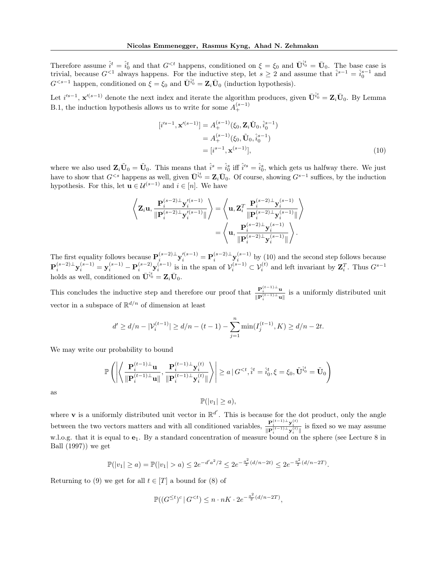Therefore assume  $\hat{i}^t = \hat{i}^t_0$  and that  $G^{ happens, conditioned on  $\xi = \xi_0$  and  $\bar{\mathbf{U}}^{\hat{i}^t_0} = \bar{\mathbf{U}}_0$ . The base case is$ trivial, because  $G^{<1}$  always happens. For the inductive step, let  $s \ge 2$  and assume that  $\hat{i}^{s-1} = \hat{i}_0^{s-1}$  and  $G^{< s-1}$  happen, conditioned on  $\xi = \xi_0$  and  $\bar{\mathbf{U}}^{i_0^t} = \mathbf{Z}_i \bar{\mathbf{U}}_0$  (induction hypothesis).

Let  $i'^{s-1}$ ,  $\mathbf{x}'^{(s-1)}$  denote the next index and iterate the algorithm produces, given  $\bar{\mathbf{U}}^{i_0^t} = \mathbf{Z}_i \bar{\mathbf{U}}_0$ . By Lemma [B.1,](#page-18-2) the induction hypothesis allows us to write for some  $A_{+}^{(s-1)}$ 

<span id="page-20-0"></span>
$$
[i'^{s-1}, \mathbf{x}'^{(s-1)}] = A_{+}^{(s-1)}(\xi_0, \mathbf{Z}_i \tilde{\mathbf{U}}_0, \hat{i}_0^{s-1})
$$
  
=  $A_{+}^{(s-1)}(\xi_0, \tilde{\mathbf{U}}_0, \hat{i}_0^{s-1})$   
=  $[i^{s-1}, \mathbf{x}^{(s-1)}],$  (10)

where we also used  $\mathbf{Z}_i \tilde{\mathbf{U}}_0 = \tilde{\mathbf{U}}_0$ . This means that  $\hat{i}^s = \hat{i}_0^s$  iff  $\hat{i}'^s = \hat{i}_0^s$ , which gets us halfway there. We just have to show that  $G^{ happens as well, given  $\bar{\mathbf{U}}^{i_0^t} = \mathbf{Z}_i \bar{\mathbf{U}}_0$ . Of course, showing  $G^{s-1}$  suffices, by the induction$ hypothesis. For this, let  $\mathbf{u} \in \mathcal{U}^{(s-1)}$  and  $i \in [n]$ . We have

$$
\left\langle \mathbf{Z}_{i} \mathbf{u}, \frac{\mathbf{P}_{i}^{(s-2)\perp} \mathbf{y}_{i}^{\prime (s-1)}}{\|\mathbf{P}_{i}^{(s-2)\perp} \mathbf{y}_{i}^{\prime (s-1)}\|} \right\rangle = \left\langle \mathbf{u}, \mathbf{Z}_{i}^{T} \frac{\mathbf{P}_{i}^{(s-2)\perp} \mathbf{y}_{i}^{\prime (s-1)}}{\|\mathbf{P}_{i}^{(s-2)\perp} \mathbf{y}_{i}^{\prime (s-1)}\|} \right\rangle
$$

$$
= \left\langle \mathbf{u}, \frac{\mathbf{P}_{i}^{(s-2)\perp} \mathbf{y}_{i}^{\prime (s-1)}}{\|\mathbf{P}_{i}^{(s-2)\perp} \mathbf{y}_{i}^{\prime (s-1)}\|} \right\rangle.
$$

The first equality follows because  $\mathbf{P}_i^{(s-2)\perp}\mathbf{y}_i^{(s-1)} = \mathbf{P}_i^{(s-2)\perp}\mathbf{y}_i^{(s-1)}$  by [\(10\)](#page-20-0) and the second step follows because  $\mathbf{P}_i^{(s-2)\perp}\mathbf{y}_i^{(s-1)} = \mathbf{y}_i^{(s-1)} - \mathbf{P}_i^{(s-2)}\mathbf{y}_i^{(s-1)}$  is in the span of  $\mathcal{V}_i^{(s-1)} \subset \mathcal{V}_i^{(t)}$  and left invariant by  $\mathbf{Z}_i^T$ . Thus  $G^{s-1}$ holds as well, conditioned on  $\bar{\mathbf{U}}_{0}^{it} = \mathbf{Z}_{i} \bar{\mathbf{U}}_{0}$ .

This concludes the inductive step and therefore our proof that  $\frac{\mathbf{P}_i^{(t-1)} \perp \mathbf{u}}{\mathbf{u}_i(t-1) \perp}$  $\frac{\mathbf{P}_i}{\|\mathbf{P}_i^{(t-1)}\perp \mathbf{u}\|}$  is a uniformly distributed unit vector in a subspace of  $\mathbb{R}^{d/n}$  of dimension at least

$$
d' \ge d/n - |\mathcal{V}_i^{(t-1)}| \ge d/n - (t-1) - \sum_{j=1}^n \min(I_j^{(t-1)}, K) \ge d/n - 2t.
$$

We may write our probability to bound

$$
\mathbb{P}\left(\left|\left\langle\frac{\mathbf{P}_i^{(t-1)\perp}\mathbf{u}}{\|\mathbf{P}_i^{(t-1)\perp}\mathbf{u}\|},\frac{\mathbf{P}_i^{(t-1)\perp}\mathbf{y}_i^{(t)}\mathbf{y}_i^{(t)}}{\|\mathbf{P}_i^{(t-1)\perp}\mathbf{y}_i^{(t)}\|}\right\rangle\right|\geq a\,|G^{
$$

as

$$
\mathbb{P}(|v_1| \ge a),
$$

where **v** is a uniformly distributed unit vector in  $\mathbb{R}^{d'}$ . This is because for the dot product, only the angle between the two vectors matters and with all conditioned variables,  $\frac{\mathbf{P}_i^{(t-1)} \perp \mathbf{y}_i^{(t)}}{\|\mathbf{P}_i^{(t-1)} \perp \mathbf{y}_i^{(t)}\|}$  is fixed so we may assume w.l.o.g. that it is equal to  $e_1$ . By a standard concentration of measure bound on the sphere (see Lecture 8 in [Ball](#page-8-18) [\(1997\)](#page-8-18)) we get

$$
\mathbb{P}(|v_1| \ge a) = \mathbb{P}(|v_1| > a) \le 2e^{-d'a^2/2} \le 2e^{-\frac{a^2}{2}(d/n - 2t)} \le 2e^{-\frac{a^2}{2}(d/n - 2T)}.
$$

Returning to [\(9\)](#page-18-0) we get for all  $t \in [T]$  a bound for [\(8\)](#page-18-1) of

$$
\mathbb{P}((G^{\leq t})^c \mid G^{<}) \leq n \cdot nK \cdot 2e^{-\frac{a^2}{2}(d/n - 2T)},
$$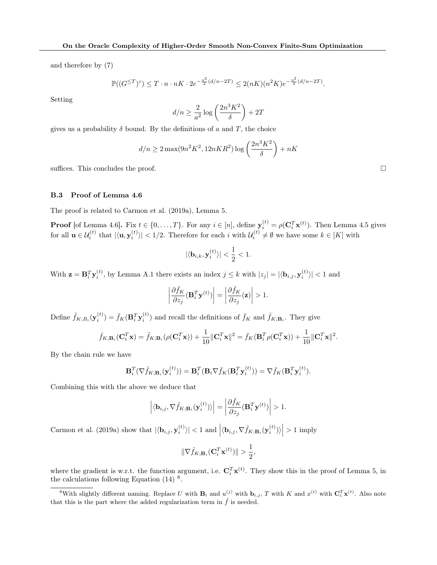and therefore by [\(7\)](#page-17-2)

$$
\mathbb{P}((G^{\leq T})^c) \leq T \cdot n \cdot nK \cdot 2e^{-\frac{a^2}{2}(d/n - 2T)} \leq 2(nK)(n^2K)e^{-\frac{a^2}{2}(d/n - 2T)}.
$$

Setting

$$
d/n \ge \frac{2}{a^2} \log \left( \frac{2n^3 K^2}{\delta} \right) + 2T
$$

gives us a probability  $\delta$  bound. By the definitions of a and T, the choice

$$
d/n \ge 2\max(9n^2K^2, 12nKR^2)\log\left(\frac{2n^3K^2}{\delta}\right) + nK
$$

suffices. This concludes the proof.

### <span id="page-21-0"></span>B.3 Proof of Lemma [4.6](#page-6-4)

The proof is related to [Carmon et al.](#page-8-2) [\(2019a\)](#page-8-2), Lemma 5.

**Proof** [of Lemma [4.6\]](#page-6-4). Fix  $t \in \{0, ..., T\}$ . For any  $i \in [n]$ , define  $\mathbf{y}_i^{(t)} = \rho(\mathbf{C}_i^T \mathbf{x}^{(t)})$ . Then Lemma [4.5](#page-6-1) gives for all  $\mathbf{u} \in \mathcal{U}_i^{(t)}$  that  $|\langle \mathbf{u}, \mathbf{y}_i^{(t)} \rangle| < 1/2$ . Therefore for each i with  $\mathcal{U}_i^{(t)} \neq \emptyset$  we have some  $k \in [K]$  with

$$
|\langle \mathbf{b}_{i,k}, \mathbf{y}_{i}^{(t)} \rangle| < \frac{1}{2} < 1.
$$

With  $\mathbf{z} = \mathbf{B}_i^T \mathbf{y}_i^{(t)}$ , by Lemma [A.1](#page-11-2) there exists an index  $j \leq k$  with  $|z_j| = |\langle \mathbf{b}_{i,j}, \mathbf{y}_i^{(t)} \rangle| < 1$  and

$$
\left| \frac{\partial \bar{f}_K}{\partial z_j} (\mathbf{B}_i^T \mathbf{y}^{(t)}) \right| = \left| \frac{\partial \bar{f}_K}{\partial z_j} (\mathbf{z}) \right| > 1.
$$

Define  $\tilde{f}_{K;B_i}(\mathbf{y}_i^{(t)}) = \bar{f}_K(\mathbf{B}_i^T \mathbf{y}_i^{(t)})$  and recall the definitions of  $\bar{f}_K$  and  $\hat{f}_{K;\mathbf{B}_i}$ . They give

$$
\hat{f}_{K;\mathbf{B}_i}(\mathbf{C}_i^T \mathbf{x}) = \tilde{f}_{K;\mathbf{B}_i}(\rho(\mathbf{C}_i^T \mathbf{x})) + \frac{1}{10} \|\mathbf{C}_i^T \mathbf{x}\|^2 = \bar{f}_K(\mathbf{B}_i^T \rho(\mathbf{C}_i^T \mathbf{x})) + \frac{1}{10} \|\mathbf{C}_i^T \mathbf{x}\|^2.
$$

By the chain rule we have

$$
\mathbf{B}_i^T(\nabla \tilde{f}_{K;\mathbf{B}_i}(\mathbf{y}_i^{(t)})) = \mathbf{B}_i^T(\mathbf{B}_i \nabla \bar{f}_K(\mathbf{B}_i^T \mathbf{y}_i^{(t)})) = \nabla \bar{f}_K(\mathbf{B}_i^T \mathbf{y}_i^{(t)}).
$$

Combining this with the above we deduce that

$$
\left| \langle \mathbf{b}_{i,j}, \nabla \tilde{f}_{K;\mathbf{B}_i}(\mathbf{y}_i^{(t)}) \rangle \right| = \left| \frac{\partial \bar{f}_K}{\partial z_j}(\mathbf{B}_i^T \mathbf{y}^{(t)}) \right| > 1.
$$

[Carmon et al.](#page-8-2) [\(2019a\)](#page-8-2) show that  $|\langle \mathbf{b}_{i,j}, \mathbf{y}_{i}^{(t)} \rangle| < 1$  and  $\left| \langle \mathbf{b}_{i,j}, \nabla \tilde{f}_{K;\mathbf{B}_{i}}(\mathbf{y}_{i}^{(t)}) \rangle \right| > 1$  imply

$$
\|\nabla \hat{f}_{K;\mathbf{B}_i}(\mathbf{C}_i^T \mathbf{x}^{(t)})\| > \frac{1}{2},
$$

where the gradient is w.r.t. the function argument, i.e.  $\mathbf{C}_i^T \mathbf{x}^{(t)}$ . They show this in the proof of Lemma 5, in the calculations following Equation  $(14)$ <sup>[8](#page-21-1)</sup>.

<span id="page-21-1"></span><sup>&</sup>lt;sup>8</sup>With slightly different naming. Replace U with  $B_i$  and  $u^{(j)}$  with  $b_{i,j}$ , T with K and  $x^{(t)}$  with  $C_i^T x^{(t)}$ . Also note that this is the part where the added regularization term in  $\hat{f}$  is needed.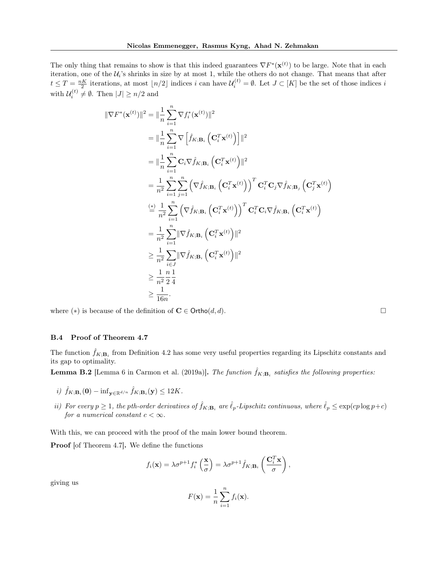The only thing that remains to show is that this indeed guarantees  $\nabla F^*(\mathbf{x}^{(t)})$  to be large. Note that in each iteration, one of the  $U_i$ 's shrinks in size by at most 1, while the others do not change. That means that after  $t \leq T = \frac{nK}{2}$  iterations, at most  $\lfloor n/2 \rfloor$  indices i can have  $\mathcal{U}_i^{(t)} = \emptyset$ . Let  $J \subset [K]$  be the set of those indices i with  $\mathcal{U}_i^{(t)} \neq \emptyset$ . Then  $|J| \geq n/2$  and

$$
\begin{split}\n\|\nabla F^*(\mathbf{x}^{(t)})\|^2 &= \|\frac{1}{n}\sum_{i=1}^n \nabla f_i^*(\mathbf{x}^{(t)})\|^2 \\
&= \|\frac{1}{n}\sum_{i=1}^n \nabla \left[\hat{f}_{K;\mathbf{B}_i} \left(\mathbf{C}_i^T \mathbf{x}^{(t)}\right)\right]\|^2 \\
&= \|\frac{1}{n}\sum_{i=1}^n \mathbf{C}_i \nabla \hat{f}_{K;\mathbf{B}_i} \left(\mathbf{C}_i^T \mathbf{x}^{(t)}\right)\|^2 \\
&= \frac{1}{n^2}\sum_{i=1}^n \sum_{j=1}^n \left(\nabla \hat{f}_{K;\mathbf{B}_i} \left(\mathbf{C}_i^T \mathbf{x}^{(t)}\right)\right)^T \mathbf{C}_i^T \mathbf{C}_j \nabla \hat{f}_{K;\mathbf{B}_j} \left(\mathbf{C}_j^T \mathbf{x}^{(t)}\right) \\
&\stackrel{\text{(s)}}{=} \frac{1}{n^2}\sum_{i=1}^n \left(\nabla \hat{f}_{K;\mathbf{B}_i} \left(\mathbf{C}_i^T \mathbf{x}^{(t)}\right)\right)^T \mathbf{C}_i^T \mathbf{C}_i \nabla \hat{f}_{K;\mathbf{B}_i} \left(\mathbf{C}_i^T \mathbf{x}^{(t)}\right) \\
&= \frac{1}{n^2}\sum_{i=1}^n \|\nabla \hat{f}_{K;\mathbf{B}_i} \left(\mathbf{C}_i^T \mathbf{x}^{(t)}\right)\|^2 \\
&\geq \frac{1}{n^2}\sum_{i\in J} \|\nabla \hat{f}_{K;\mathbf{B}_i} \left(\mathbf{C}_i^T \mathbf{x}^{(t)}\right)\|^2 \\
&\geq \frac{1}{n^2}\frac{n}{2}\frac{1}{4} \\
&\geq \frac{1}{16n}.\n\end{split}
$$

where ( $*$ ) is because of the definition of  $C \in \text{Ortho}(d, d)$ .

## <span id="page-22-0"></span>B.4 Proof of Theorem [4.7](#page-6-0)

The function  $\hat{f}_{K;\mathbf{B}_i}$  from Definition [4.2](#page-5-2) has some very useful properties regarding its Lipschitz constants and its gap to optimality.

<span id="page-22-1"></span>**Lemma B.2** [Lemma 6 in [Carmon et al.](#page-8-2) [\(2019a\)](#page-8-2)]. The function  $\hat{f}_{K;\mathbf{B}_i}$  satisfies the following properties:

- i)  $\hat{f}_{K;\mathbf{B}_i}(\mathbf{0}) \inf_{\mathbf{y}\in\mathbb{R}^{d/n}} \hat{f}_{K;\mathbf{B}_i}(\mathbf{y}) \le 12K.$
- ii) For every  $p \ge 1$ , the pth-order derivatives of  $\hat{f}_{K;\mathbf{B}_i}$  are  $\hat{\ell}_p$ -Lipschitz continuous, where  $\hat{\ell}_p \le \exp(c p \log p + c)$ for a numerical constant  $c < \infty$ .

With this, we can proceed with the proof of the main lower bound theorem.

Proof [of Theorem [4.7\]](#page-6-0). We define the functions

$$
f_i(\mathbf{x}) = \lambda \sigma^{p+1} f_i^* \left( \frac{\mathbf{x}}{\sigma} \right) = \lambda \sigma^{p+1} \hat{f}_{K; \mathbf{B}_i} \left( \frac{\mathbf{C}_i^T \mathbf{x}}{\sigma} \right),
$$

giving us

$$
F(\mathbf{x}) = \frac{1}{n} \sum_{i=1}^{n} f_i(\mathbf{x}).
$$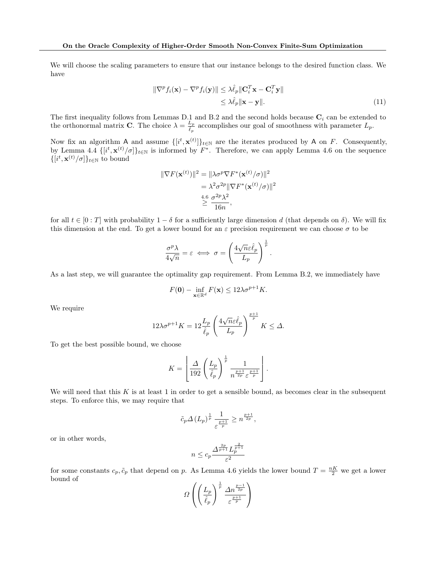We will choose the scaling parameters to ensure that our instance belongs to the desired function class. We have

$$
\|\nabla^p f_i(\mathbf{x}) - \nabla^p f_i(\mathbf{y})\| \leq \lambda \hat{\ell}_p \|\mathbf{C}_i^T \mathbf{x} - \mathbf{C}_i^T \mathbf{y}\|
$$
  
 
$$
\leq \lambda \hat{\ell}_p \|\mathbf{x} - \mathbf{y}\|.
$$
 (11)

The first inequality follows from Lemmas [D.1](#page-33-1) and [B.2](#page-22-1) and the second holds because  $C_i$  can be extended to the orthonormal matrix **C**. The choice  $\lambda = \frac{L_p}{\hat{i}}$  $\frac{L_p}{\hat{\ell}_p}$  accomplishes our goal of smoothness with parameter  $L_p$ .

Now fix an algorithm A and assume  $\{[i^t, \mathbf{x}^{(t)}]\}_{t\in\mathbb{N}}$  are the iterates produced by A on F. Consequently, by Lemma [4.4](#page-6-3)  $\{[i^t, \mathbf{x}^{(t)}/\sigma]\}_{t\in\mathbb{N}}$  is informed by  $F^*$ . Therefore, we can apply Lemma [4.6](#page-6-4) on the sequence  $\{[i^t, \mathbf{x}^{(t)}/\sigma]\}_{t\in\mathbb{N}}$  to bound

$$
\|\nabla F(\mathbf{x}^{(t)})\|^2 = \|\lambda \sigma^p \nabla F^*(\mathbf{x}^{(t)}/\sigma)\|^2
$$
  
=  $\lambda^2 \sigma^{2p} \|\nabla F^*(\mathbf{x}^{(t)}/\sigma)\|^2$   
 $\stackrel{4.6}{\geq} \frac{\sigma^{2p} \lambda^2}{16n},$ 

for all  $t \in [0:T]$  with probability  $1-\delta$  for a sufficiently large dimension d (that depends on  $\delta$ ). We will fix this dimension at the end. To get a lower bound for an  $\varepsilon$  precision requirement we can choose  $\sigma$  to be

$$
\frac{\sigma^p \lambda}{4\sqrt{n}} = \varepsilon \iff \sigma = \left(\frac{4\sqrt{n}\varepsilon \hat{\ell}_p}{L_p}\right)^{\frac{1}{p}}.
$$

As a last step, we will guarantee the optimality gap requirement. From Lemma [B.2,](#page-22-1) we immediately have

$$
F(\mathbf{0}) - \inf_{\mathbf{x} \in \mathbb{R}^d} F(\mathbf{x}) \le 12\lambda \sigma^{p+1} K.
$$

We require

$$
12\lambda\sigma^{p+1}K = 12\frac{L_p}{\hat{\ell}_p} \left(\frac{4\sqrt{n}\varepsilon\hat{\ell}_p}{L_p}\right)^{\frac{p+1}{p}}K \le \Delta.
$$

To get the best possible bound, we choose

$$
K = \left\lfloor \frac{\Delta}{192} \left( \frac{L_p}{\hat{\ell}_p} \right)^{\frac{1}{p}} \frac{1}{n^{\frac{p+1}{2p}} \varepsilon^{\frac{p+1}{p}}}
$$

We will need that this  $K$  is at least 1 in order to get a sensible bound, as becomes clear in the subsequent steps. To enforce this, we may require that

$$
\tilde{c}_p \Delta \left( L_p \right)^{\frac{1}{p}} \frac{1}{\varepsilon^{\frac{p+1}{p}}} \geq n^{\frac{p+1}{2p}},
$$

or in other words,

$$
n\leq c_p\frac{\Delta^{\frac{2p}{p+1}}L_p^{\frac{2}{p+1}}}{\varepsilon^2}
$$

for some constants  $c_p, \tilde{c}_p$  that depend on p. As Lemma [4.6](#page-6-4) yields the lower bound  $T = \frac{nK}{2}$  we get a lower bound of

$$
\varOmega\left(\left(\frac{L_p}{\hat{\ell}_p}\right)^{\frac{1}{p}}\frac{\Delta n^{\frac{p-1}{2p}}}{\varepsilon^{\frac{p+1}{p}}}\right)
$$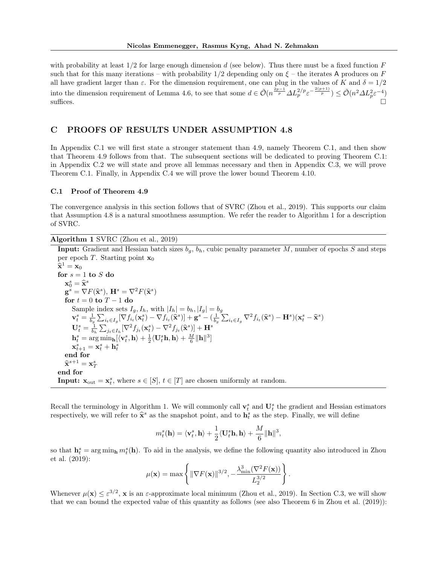with probability at least  $1/2$  for large enough dimension d (see below). Thus there must be a fixed function  $F$ such that for this many iterations – with probability  $1/2$  depending only on  $\xi$  – the iterates A produces on F all have gradient larger than  $\varepsilon$ . For the dimension requirement, one can plug in the values of K and  $\delta = 1/2$ into the dimension requirement of Lemma [4.6,](#page-6-4) to see that some  $d \in \tilde{\mathcal{O}}(n^{\frac{2p-1}{p}} \Delta L_p^{2/p} \varepsilon^{-\frac{2(p+1)}{p}}) \leq \tilde{\mathcal{O}}(n^2 \Delta L_p^2 \varepsilon^{-4})$ suffices.

# <span id="page-24-0"></span>C PROOFS OF RESULTS UNDER ASSUMPTION [4.8](#page-7-0)

In Appendix [C.1](#page-24-1) we will first state a stronger statement than [4.9,](#page-7-1) namely Theorem [C.1,](#page-25-0) and then show that Theorem [4.9](#page-7-1) follows from that. The subsequent sections will be dedicated to proving Theorem [C.1:](#page-25-0) in Appendix [C.2](#page-25-1) we will state and prove all lemmas necessary and then in Appendix [C.3,](#page-29-0) we will prove Theorem [C.1.](#page-25-0) Finally, in Appendix [C.4](#page-31-0) we will prove the lower bound Theorem [4.10.](#page-7-2)

### <span id="page-24-1"></span>C.1 Proof of Theorem [4.9](#page-7-1)

The convergence analysis in this section follows that of SVRC [\(Zhou et al., 2019\)](#page-9-2). This supports our claim that Assumption [4.8](#page-7-0) is a natural smoothness assumption. We refer the reader to Algorithm [1](#page-24-2) for a description of SVRC.

Algorithm 1 SVRC [\(Zhou et al., 2019\)](#page-9-2)

<span id="page-24-2"></span>**Input:** Gradient and Hessian batch sizes  $b<sub>q</sub>$ ,  $b<sub>h</sub>$ , cubic penalty parameter M, number of epochs S and steps per epoch T. Starting point  $x_0$ 

$$
\hat{\mathbf{x}}^1 = \mathbf{x}_0
$$
\nfor  $s = 1$  to  $S$  do\n
$$
\mathbf{x}_0^s = \hat{\mathbf{x}}^s
$$
\n
$$
\mathbf{g}^s = \nabla F(\hat{\mathbf{x}}^s), \mathbf{H}^s = \nabla^2 F(\hat{\mathbf{x}}^s)
$$
\nfor  $t = 0$  to  $T - 1$  do\n
$$
\text{Sample index sets } I_g, I_h, \text{ with } |I_h| = b_h, |I_g| = b_g
$$
\n
$$
\mathbf{v}_t^s = \frac{1}{b_g} \sum_{i_t \in I_g} [\nabla f_{i_t}(\mathbf{x}_t^s) - \nabla f_{i_t}(\hat{\mathbf{x}}^s)] + \mathbf{g}^s - (\frac{1}{b_g} \sum_{i_t \in I_g} \nabla^2 f_{i_t}(\hat{\mathbf{x}}^s) - \mathbf{H}^s)(\mathbf{x}_t^s - \hat{\mathbf{x}}^s)
$$
\n
$$
\mathbf{U}_t^s = \frac{1}{b_h} \sum_{j_t \in I_h} [\nabla^2 f_{j_t}(\mathbf{x}_t^s) - \nabla^2 f_{j_t}(\hat{\mathbf{x}}^s)] + \mathbf{H}^s
$$
\n
$$
\mathbf{h}_t^s = \arg \min_h [\langle \mathbf{v}_t^s, \mathbf{h} \rangle + \frac{1}{2} \langle \mathbf{U}_t^s \mathbf{h}, \mathbf{h} \rangle + \frac{M}{6} ||\mathbf{h}||^3]
$$
\n
$$
\mathbf{x}_{t+1}^s = \mathbf{x}_t^s + \mathbf{h}_t^s
$$
\nend for\n
$$
\hat{\mathbf{x}}^{s+1} = \mathbf{x}_T^s
$$
\nend for\n
$$
\mathbf{Input: } \mathbf{x}_{\text{out}} = \mathbf{x}_t^s, \text{ where } s \in [S], t \in [T] \text{ are chosen uniformly at random.}
$$

Recall the terminology in Algorithm [1.](#page-24-2) We will commonly call  $\mathbf{v}_t^s$  and  $\mathbf{U}_t^s$  the gradient and Hessian estimators respectively, we will refer to  $\hat{\mathbf{x}}^s$  as the snapshot point, and to  $\mathbf{h}_t^s$  as the step. Finally, we will define

$$
m_t^s(\mathbf{h}) = \langle \mathbf{v}_t^s,\mathbf{h}\rangle + \frac{1}{2}\langle \mathbf{U}_t^s\mathbf{h},\mathbf{h}\rangle + \frac{M}{6}\|\mathbf{h}\|^3,
$$

so that  $\mathbf{h}_t^s = \arg \min_{\mathbf{h}} m_t^s(\mathbf{h})$ . To aid in the analysis, we define the following quantity also introduced in [Zhou](#page-9-2) [et al.](#page-9-2) [\(2019\)](#page-9-2):

$$
\mu(\mathbf{x}) = \max \left\{ \|\nabla F(\mathbf{x})\|^{3/2}, -\frac{\lambda_{\min}^3(\nabla^2 F(\mathbf{x}))}{L_2^{3/2}} \right\}
$$

.

Whenever  $\mu(\mathbf{x}) \leq \varepsilon^{3/2}$ , x is an  $\varepsilon$ -approximate local minimum [\(Zhou et al., 2019\)](#page-9-2). In Section [C.3,](#page-29-0) we will show that we can bound the expected value of this quantity as follows (see also Theorem 6 in [Zhou et al.](#page-9-2) [\(2019\)](#page-9-2)):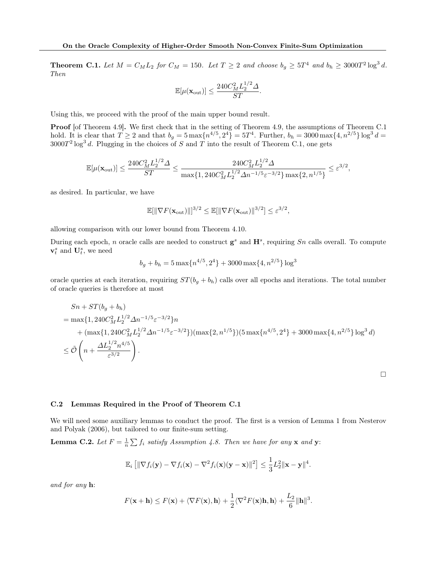<span id="page-25-0"></span>**Theorem C.1.** Let  $M = C_M L_2$  for  $C_M = 150$ . Let  $T \ge 2$  and choose  $b_g \ge 5T^4$  and  $b_h \ge 3000T^2 \log^3 d$ . Then

$$
\mathbb{E}[\mu(\mathbf{x}_{\text{out}})] \le \frac{240C_M^2 L_2^{1/2} \Delta}{ST}.
$$

Using this, we proceed with the proof of the main upper bound result.

Proof [of Theorem [4.9\]](#page-7-1). We first check that in the setting of Theorem [4.9,](#page-7-1) the assumptions of Theorem [C.1](#page-25-0) hold. It is clear that  $T \geq 2$  and that  $b_g = 5 \max\{n^{4/5}, 2^4\} = 5T^4$ . Further,  $b_h = 3000 \max\{4, n^{2/5}\} \log^3 d =$  $3000T^2 \log^3 d$ . Plugging in the choices of S and T into the result of Theorem [C.1,](#page-25-0) one gets

$$
\mathbb{E}[\mu(\mathbf{x}_{\text{out}})] \leq \frac{240C_M^2L_2^{1/2}\varDelta}{ST} \leq \frac{240C_M^2L_2^{1/2}\varDelta}{\max\{1, 240C_M^2L_2^{1/2}\varDelta n^{-1/5}\varepsilon^{-3/2}\}\max\{2, n^{1/5}\}} \leq \varepsilon^{3/2},
$$

as desired. In particular, we have

$$
\mathbb{E}[\|\nabla F(\mathbf{x}_{\text{out}})\|]^{3/2} \le \mathbb{E}[\|\nabla F(\mathbf{x}_{\text{out}})\|^{3/2}] \le \varepsilon^{3/2},
$$

allowing comparison with our lower bound from Theorem [4.10.](#page-7-2)

During each epoch, n oracle calls are needed to construct  $\mathbf{g}^s$  and  $\mathbf{H}^s$ , requiring Sn calls overall. To compute  $\mathbf{v}_t^s$  and  $\mathbf{U}_t^s$ , we need

$$
b_g + b_h = 5 \max\{n^{4/5}, 2^4\} + 3000 \max\{4, n^{2/5}\} \log^3
$$

oracle queries at each iteration, requiring  $ST(b<sub>g</sub> + b<sub>h</sub>)$  calls over all epochs and iterations. The total number of oracle queries is therefore at most

$$
Sn + ST(bg + bh)
$$
  
= max{1, 240 $CM2L21/2Δn-1/5ε-3/2}n+ (max{1, 240 $CM2L21/2Δn-1/5ε-3/2})(max{2, n1/5})(5 max{n4/5, 24} + 3000 max{4, n2/5} log3 d) $\leq \tilde{O}\left(n + \frac{\Delta L21/2n4/5}{ε3/2}\right).$$$ 

 $\Box$ 

### <span id="page-25-1"></span>C.2 Lemmas Required in the Proof of Theorem [C.1](#page-25-0)

We will need some auxiliary lemmas to conduct the proof. The first is a version of Lemma 1 from [Nesterov](#page-8-10) [and Polyak](#page-8-10) [\(2006\)](#page-8-10), but tailored to our finite-sum setting.

<span id="page-25-2"></span>**Lemma C.2.** Let  $F = \frac{1}{n} \sum f_i$  satisfy Assumption [4.8.](#page-7-0) Then we have for any **x** and **y**:

$$
\mathbb{E}_i\left[\|\nabla f_i(\mathbf{y}) - \nabla f_i(\mathbf{x}) - \nabla^2 f_i(\mathbf{x})(\mathbf{y} - \mathbf{x})\|^2\right] \leq \frac{1}{3}L_2^2 \|\mathbf{x} - \mathbf{y}\|^4.
$$

and for any h:

$$
F(\mathbf{x} + \mathbf{h}) \le F(\mathbf{x}) + \langle \nabla F(\mathbf{x}), \mathbf{h} \rangle + \frac{1}{2} \langle \nabla^2 F(\mathbf{x}) \mathbf{h}, \mathbf{h} \rangle + \frac{L_2}{6} \|\mathbf{h}\|^3.
$$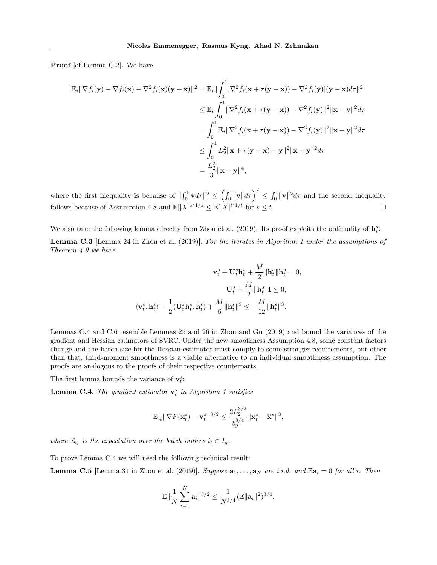Proof [of Lemma [C.2\]](#page-25-2). We have

$$
\mathbb{E}_{i} \|\nabla f_{i}(\mathbf{y}) - \nabla f_{i}(\mathbf{x}) - \nabla^{2} f_{i}(\mathbf{x}) (\mathbf{y} - \mathbf{x}) \|^{2} = \mathbb{E}_{i} \|\int_{0}^{1} [\nabla^{2} f_{i}(\mathbf{x} + \tau(\mathbf{y} - \mathbf{x})) - \nabla^{2} f_{i}(\mathbf{y})](\mathbf{y} - \mathbf{x}) d\tau \|^{2}
$$
  
\n
$$
\leq \mathbb{E}_{i} \int_{0}^{1} \|\nabla^{2} f_{i}(\mathbf{x} + \tau(\mathbf{y} - \mathbf{x})) - \nabla^{2} f_{i}(\mathbf{y}) \|^{2} \|\mathbf{x} - \mathbf{y}\|^{2} d\tau
$$
  
\n
$$
= \int_{0}^{1} \mathbb{E}_{i} \|\nabla^{2} f_{i}(\mathbf{x} + \tau(\mathbf{y} - \mathbf{x})) - \nabla^{2} f_{i}(\mathbf{y}) \|^{2} \|\mathbf{x} - \mathbf{y}\|^{2} d\tau
$$
  
\n
$$
\leq \int_{0}^{1} L_{2}^{2} \|\mathbf{x} + \tau(\mathbf{y} - \mathbf{x}) - \mathbf{y}\|^{2} \|\mathbf{x} - \mathbf{y}\|^{2} d\tau
$$
  
\n
$$
= \frac{L_{2}^{2}}{3} \|\mathbf{x} - \mathbf{y}\|^{4},
$$

where the first inequality is because of  $\|\int_0^1 \mathbf{v} d\tau\|^2 \le \left(\int_0^1 \|\mathbf{v}\| d\tau\right)^2 \le \int_0^1 \|\mathbf{v}\|^2 d\tau$  and the second inequality follows because of Assumption [4.8](#page-7-0) and  $\mathbb{E}[|X|^s]^{1/s} \leq \mathbb{E}[|X|^t]^{1/t}$  for  $s \leq t$ .

We also take the following lemma directly from [Zhou et al.](#page-9-2) [\(2019\)](#page-9-2). Its proof exploits the optimality of  $h_t^s$ .

<span id="page-26-2"></span>Lemma C.3 [Lemma 24 in [Zhou et al.](#page-9-2) [\(2019\)](#page-9-2)]. For the iterates in Algorithm [1](#page-24-2) under the assumptions of Theorem [4.9](#page-7-1) we have

$$
\mathbf{v}_t^s + \mathbf{U}_t^s \mathbf{h}_t^s + \frac{M}{2} ||\mathbf{h}_t^s||\mathbf{h}_t^s = 0,
$$
  

$$
\mathbf{U}_t^s + \frac{M}{2} ||\mathbf{h}_t^s||\mathbf{I} \succeq 0,
$$
  

$$
\langle \mathbf{v}_t^s, \mathbf{h}_t^s \rangle + \frac{1}{2} \langle \mathbf{U}_t^s \mathbf{h}_t^s, \mathbf{h}_t^s \rangle + \frac{M}{6} ||\mathbf{h}_t^s||^3 \le -\frac{M}{12} ||\mathbf{h}_t^s||^3.
$$

Lemmas [C.4](#page-26-0) and [C.6](#page-27-0) resemble Lemmas 25 and 26 in [Zhou and Gu](#page-9-1) [\(2019\)](#page-9-1) and bound the variances of the gradient and Hessian estimators of SVRC. Under the new smoothness Assumption [4.8,](#page-7-0) some constant factors change and the batch size for the Hessian estimator must comply to some stronger requirements, but other than that, third-moment smoothness is a viable alternative to an individual smoothness assumption. The proofs are analogous to the proofs of their respective counterparts.

The first lemma bounds the variance of  $\mathbf{v}_t^s$ :

<span id="page-26-0"></span>**Lemma C.4.** The gradient estimator  $\mathbf{v}_t^s$  in Algorithm [1](#page-24-2) satisfies

$$
\mathbb{E}_{i_t} \|\nabla F(\mathbf{x}_t^s) - \mathbf{v}_t^s\|^{3/2} \le \frac{2L_2^{3/2}}{b_g^{3/4}} \|\mathbf{x}_t^s - \hat{\mathbf{x}}^s\|^3,
$$

where  $\mathbb{E}_{i_t}$  is the expectation over the batch indices  $i_t \in I_g$ .

To prove Lemma [C.4](#page-26-0) we will need the following technical result:

<span id="page-26-1"></span>**Lemma C.5** [Lemma 31 in [Zhou et al.](#page-9-2) [\(2019\)](#page-9-2)]. Suppose  $\mathbf{a}_1, \ldots, \mathbf{a}_N$  are i.i.d. and  $\mathbb{E} \mathbf{a}_i = 0$  for all i. Then

$$
\mathbb{E}\|\frac{1}{N}\sum_{i=1}^N\mathbf{a}_i\|^{3/2}\leq \frac{1}{N^{3/4}}(\mathbb{E}\|\mathbf{a}_i\|^2)^{3/4}.
$$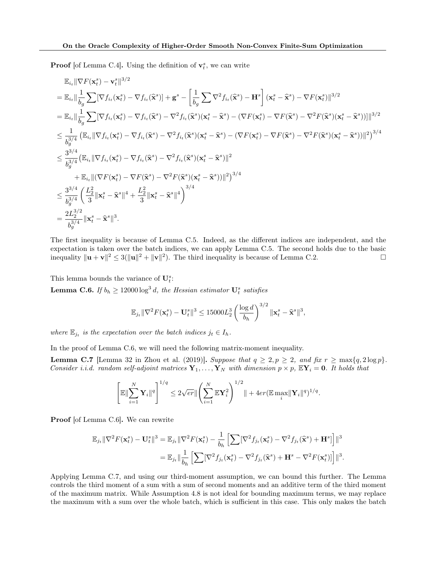**Proof** [of Lemma [C.4\]](#page-26-0). Using the definition of  $\mathbf{v}_t^s$ , we can write

$$
\mathbb{E}_{i_{t}}\|\nabla F(\mathbf{x}_{t}^{s})-\mathbf{v}_{t}^{s}\|^{3/2} \n= \mathbb{E}_{i_{t}}\|\frac{1}{b_{g}}\sum [\nabla f_{i_{t}}(\mathbf{x}_{t}^{s})-\nabla f_{i_{t}}(\hat{\mathbf{x}}^{s})] + \mathbf{g}^{s} - \left[\frac{1}{b_{g}}\sum \nabla^{2} f_{i_{t}}(\hat{\mathbf{x}}^{s}) - \mathbf{H}^{s}\right](\mathbf{x}_{t}^{s}-\hat{\mathbf{x}}^{s}) - \nabla F(\mathbf{x}_{t}^{s})\|^{3/2} \n= \mathbb{E}_{i_{t}}\|\frac{1}{b_{g}}\sum [\nabla f_{i_{t}}(\mathbf{x}_{t}^{s})-\nabla f_{i_{t}}(\hat{\mathbf{x}}^{s})-\nabla^{2} f_{i_{t}}(\hat{\mathbf{x}}^{s})(\mathbf{x}_{t}^{s}-\hat{\mathbf{x}}^{s}) - (\nabla F(\mathbf{x}_{t}^{s})-\nabla F(\hat{\mathbf{x}}^{s})-\nabla^{2} F(\hat{\mathbf{x}}^{s})(\mathbf{x}_{t}^{s}-\hat{\mathbf{x}}^{s}))]\|^{3/2} \n\leq \frac{1}{b_{g}^{3/4}}\left(\mathbb{E}_{i_{t}}\|\nabla f_{i_{t}}(\mathbf{x}_{t}^{s})-\nabla f_{i_{t}}(\hat{\mathbf{x}}^{s})-\nabla^{2} f_{i_{t}}(\hat{\mathbf{x}}^{s})(\mathbf{x}_{t}^{s}-\hat{\mathbf{x}}^{s}) - (\nabla F(\mathbf{x}_{t}^{s})-\nabla F(\hat{\mathbf{x}}^{s})-\nabla^{2} F(\hat{\mathbf{x}}^{s})(\mathbf{x}_{t}^{s}-\hat{\mathbf{x}}^{s}))\|^{2}\right)^{3/4} \n\leq \frac{3^{3/4}}{b_{g}^{3/4}}\left(\mathbb{E}_{i_{t}}\|\nabla f_{i_{t}}(\mathbf{x}_{t}^{s})-\nabla f_{i_{t}}(\hat{\mathbf{x}}^{s})-\nabla^{2} f_{i_{t}}(\hat{\mathbf{x}}^{s})(\mathbf{x}_{t}^{s}-\hat{\mathbf{x}}^{s})\|^{2}\right)^{3/4} \n+ \mathbb{E}_{i_{t}}\|(\nabla F(\mathbf{x}_{t}
$$

The first inequality is because of Lemma [C.5.](#page-26-1) Indeed, as the different indices are independent, and the expectation is taken over the batch indices, we can apply Lemma [C.5.](#page-26-1) The second holds due to the basic inequality  $\|\mathbf{u} + \mathbf{v}\|^2 \le 3(\|\mathbf{u}\|^2 + \|\mathbf{v}\|^2)$ . The third inequality is because of Lemma [C.2.](#page-25-2)

This lemma bounds the variance of  $\mathbf{U}_{t}^{s}$ :

<span id="page-27-0"></span>**Lemma C.6.** If  $b_h \ge 12000 \log^3 d$ , the Hessian estimator  $\mathbf{U}_t^s$  satisfies

$$
\mathbb{E}_{j_t} \|\nabla^2 F(\mathbf{x}_t^s) - \mathbf{U}_t^s\|^3 \le 15000 L_2^3 \left(\frac{\log d}{b_h}\right)^{3/2} \|\mathbf{x}_t^s - \hat{\mathbf{x}}^s\|^3,
$$

where  $\mathbb{E}_{j_t}$  is the expectation over the batch indices  $j_t \in I_h$ .

In the proof of Lemma [C.6,](#page-27-0) we will need the following matrix-moment inequality.

<span id="page-27-1"></span>**Lemma C.7** [Lemma 32 in [Zhou et al.](#page-9-2) [\(2019\)](#page-9-2)]. Suppose that  $q \geq 2$ ,  $p \geq 2$ , and fix  $r \geq \max\{q, 2\log p\}$ . Consider i.i.d. random self-adjoint matrices  $Y_1, \ldots, Y_N$  with dimension  $p \times p$ ,  $\mathbb{E}Y_i = 0$ . It holds that

$$
\left[ \mathbb{E} \|\sum_{i=1}^N \mathbf{Y}_i\|^q \right]^{1/q} \leq 2\sqrt{er} \|\left( \sum_{i=1}^N \mathbb{E} \mathbf{Y}_i^2 \right)^{1/2} \| + 4er(\mathbb{E} \max_i \|\mathbf{Y}_i\|^q)^{1/q}.
$$

Proof [of Lemma [C.6\]](#page-27-0). We can rewrite

$$
\mathbb{E}_{j_t} \|\nabla^2 F(\mathbf{x}_t^s) - \mathbf{U}_t^s\|^3 = \mathbb{E}_{j_t} \|\nabla^2 F(\mathbf{x}_t^s) - \frac{1}{b_h} \left[ \sum [\nabla^2 f_{j_t}(\mathbf{x}_t^s) - \nabla^2 f_{j_t}(\hat{\mathbf{x}}^s) + \mathbf{H}^s] \right] \|^3
$$
  

$$
= \mathbb{E}_{j_t} \|\frac{1}{b_h} \left[ \sum [\nabla^2 f_{j_t}(\mathbf{x}_t^s) - \nabla^2 f_{j_t}(\hat{\mathbf{x}}^s) + \mathbf{H}^s - \nabla^2 F(\mathbf{x}_t^s) \right] \|^3.
$$

Applying Lemma [C.7,](#page-27-1) and using our third-moment assumption, we can bound this further. The Lemma controls the third moment of a sum with a sum of second moments and an additive term of the third moment of the maximum matrix. While Assumption [4.8](#page-7-0) is not ideal for bounding maximum terms, we may replace the maximum with a sum over the whole batch, which is sufficient in this case. This only makes the batch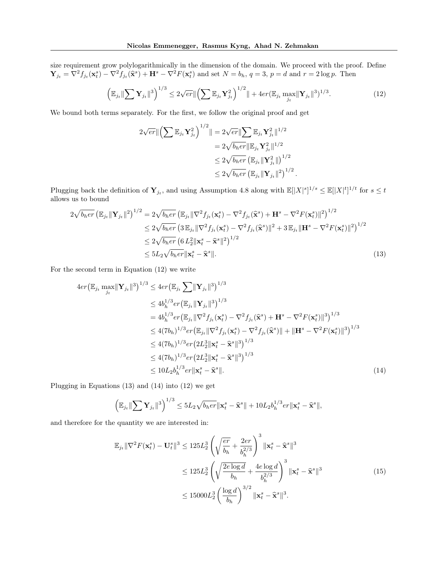size requirement grow polylogarithmically in the dimension of the domain. We proceed with the proof. Define  $\mathbf{Y}_{j_t} = \nabla^2 f_{j_t}(\mathbf{x}_t^s) - \nabla^2 f_{j_t}(\hat{\mathbf{x}}^s) + \mathbf{H}^s - \nabla^2 F(\mathbf{x}_t^s)$  and set  $N = b_h$ ,  $q = 3$ ,  $p = d$  and  $r = 2 \log p$ . Then

<span id="page-28-0"></span>
$$
\left(\mathbb{E}_{j_t} \|\sum \mathbf{Y}_{j_t}\|^3\right)^{1/3} \le 2\sqrt{er} \|\left(\sum \mathbb{E}_{j_t} \mathbf{Y}_{j_t}^2\right)^{1/2} + 4er(\mathbb{E}_{j_t} \max_{j_t} \|\mathbf{Y}_{j_t}\|^3)^{1/3}.
$$
 (12)

<span id="page-28-2"></span><span id="page-28-1"></span>.

We bound both terms separately. For the first, we follow the original proof and get

$$
2\sqrt{er} \|\left(\sum \mathbb{E}_{j_t} \mathbf{Y}_{j_t}^2\right)^{1/2} \| = 2\sqrt{er} \|\sum \mathbb{E}_{j_t} \mathbf{Y}_{j_t}^2\|^{1/2}
$$
  

$$
= 2\sqrt{b_h er} \|\mathbb{E}_{j_t} \mathbf{Y}_{j_t}^2\|^{1/2}
$$
  

$$
\leq 2\sqrt{b_h er} \left(\mathbb{E}_{j_t} \|\mathbf{Y}_{j_t}^2\|\right)^{1/2}
$$
  

$$
\leq 2\sqrt{b_h er} \left(\mathbb{E}_{j_t} \|\mathbf{Y}_{j_t}\|^2\right)^{1/2}
$$

Plugging back the definition of  $\mathbf{Y}_{j_t}$ , and using Assumption [4.8](#page-7-0) along with  $\mathbb{E}[|X|^s]^{1/s} \leq \mathbb{E}[|X|^t]^{1/t}$  for  $s \leq t$ allows us to bound

$$
2\sqrt{b_her} \left( \mathbb{E}_{j_t} ||\mathbf{Y}_{j_t}||^2 \right)^{1/2} = 2\sqrt{b_her} \left( \mathbb{E}_{j_t} ||\nabla^2 f_{j_t}(\mathbf{x}_t^s) - \nabla^2 f_{j_t}(\widehat{\mathbf{x}}^s) + \mathbf{H}^s - \nabla^2 F(\mathbf{x}_t^s) ||^2 \right)^{1/2}
$$
  
\n
$$
\leq 2\sqrt{b_her} \left( 3 \mathbb{E}_{j_t} ||\nabla^2 f_{j_t}(\mathbf{x}_t^s) - \nabla^2 f_{j_t}(\widehat{\mathbf{x}}^s) ||^2 + 3 \mathbb{E}_{j_t} ||\mathbf{H}^s - \nabla^2 F(\mathbf{x}_t^s) ||^2 \right)^{1/2}
$$
  
\n
$$
\leq 2\sqrt{b_her} \left( 6 L_2^2 ||\mathbf{x}_t^s - \widehat{\mathbf{x}}^s||^2 \right)^{1/2}
$$
  
\n
$$
\leq 5L_2\sqrt{b_her} ||\mathbf{x}_t^s - \widehat{\mathbf{x}}^s||. \tag{13}
$$

For the second term in Equation [\(12\)](#page-28-0) we write

$$
4er(\mathbb{E}_{j_t} \max_{j_t} \|\mathbf{Y}_{j_t}\|^3)^{1/3} \le 4er(\mathbb{E}_{j_t} \sum \|\mathbf{Y}_{j_t}\|^3)^{1/3}
$$
  
\n
$$
\le 4b_h^{1/3} er(\mathbb{E}_{j_t} \|\mathbf{Y}_{j_t}\|^3)^{1/3}
$$
  
\n
$$
= 4b_h^{1/3} er(\mathbb{E}_{j_t} \|\nabla^2 f_{j_t}(\mathbf{x}_t^s) - \nabla^2 f_{j_t}(\hat{\mathbf{x}}^s) + \mathbf{H}^s - \nabla^2 F(\mathbf{x}_t^s) \|^3)^{1/3}
$$
  
\n
$$
\le 4(7b_h)^{1/3} er(\mathbb{E}_{j_t} \|\nabla^2 f_{j_t}(\mathbf{x}_t^s) - \nabla^2 f_{j_t}(\hat{\mathbf{x}}^s) \| + \|\mathbf{H}^s - \nabla^2 F(\mathbf{x}_t^s) \|^3)^{1/3}
$$
  
\n
$$
\le 4(7b_h)^{1/3} er(2L_2^3 \|\mathbf{x}_t^s - \hat{\mathbf{x}}^s \|^3)^{1/3}
$$
  
\n
$$
\le 4(7b_h)^{1/3} er(2L_2^3 \|\mathbf{x}_t^s - \hat{\mathbf{x}}^s \|^3)^{1/3}
$$
  
\n
$$
\le 10L_2 b_h^{1/3} er|\mathbf{x}_t^s - \hat{\mathbf{x}}^s|.
$$
 (14)

Plugging in Equations [\(13\)](#page-28-1) and [\(14\)](#page-28-2) into [\(12\)](#page-28-0) we get

$$
\left(\mathbb{E}_{j_t}\|\sum \mathbf{Y}_{j_t}\|^3\right)^{1/3} \le 5L_2\sqrt{b_her}\|\mathbf{x}_t^s - \widehat{\mathbf{x}}^s\| + 10L_2b_h^{1/3}er\|\mathbf{x}_t^s - \widehat{\mathbf{x}}^s\|,
$$

and therefore for the quantity we are interested in:

<span id="page-28-3"></span>
$$
\mathbb{E}_{j_t} \|\nabla^2 F(\mathbf{x}_t^s) - \mathbf{U}_t^s\|^3 \le 125L_2^3 \left(\sqrt{\frac{er}{b_h}} + \frac{2er}{b_h^{2/3}}\right)^3 \|\mathbf{x}_t^s - \hat{\mathbf{x}}^s\|^3
$$
  
\n
$$
\le 125L_2^3 \left(\sqrt{\frac{2e \log d}{b_h}} + \frac{4e \log d}{b_h^{2/3}}\right)^3 \|\mathbf{x}_t^s - \hat{\mathbf{x}}^s\|^3
$$
  
\n
$$
\le 15000L_2^3 \left(\frac{\log d}{b_h}\right)^{3/2} \|\mathbf{x}_t^s - \hat{\mathbf{x}}^s\|^3.
$$
 (15)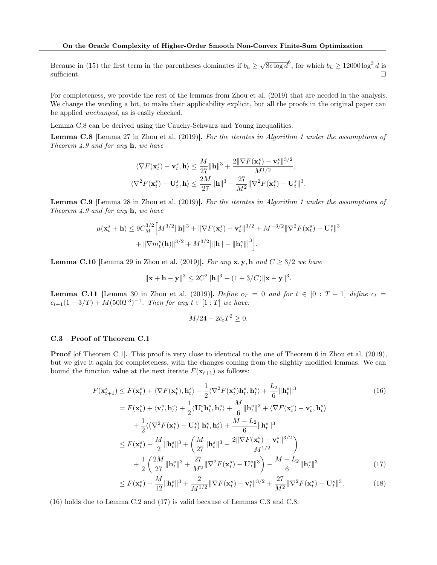Because in [\(15\)](#page-28-3) the first term in the parentheses dominates if  $b_h \geq \sqrt{8e \log d}^6$ , for which  $b_h \geq 12000 \log^3 d$  is sufficient.  $\Box$ 

For completeness, we provide the rest of the lemmas from [Zhou et al.](#page-9-2) [\(2019\)](#page-9-2) that are needed in the analysis. We change the wording a bit, to make their applicability explicit, but all the proofs in the original paper can be applied unchanged, as is easily checked.

Lemma [C.8](#page-29-1) can be derived using the Cauchy-Schwarz and Young inequalities.

<span id="page-29-1"></span>Lemma C.8 [Lemma 27 in [Zhou et al.](#page-9-2) [\(2019\)](#page-9-2)]. For the iterates in Algorithm [1](#page-24-2) under the assumptions of Theorem [4.9](#page-7-1) and for any  $h$ , we have

$$
\langle \nabla F(\mathbf{x}_t^s) - \mathbf{v}_t^s, \mathbf{h} \rangle \le \frac{M}{27} ||\mathbf{h}||^3 + \frac{2||\nabla F(\mathbf{x}_t^s) - \mathbf{v}_t^s||^{3/2}}{M^{1/2}},
$$
  

$$
\langle \nabla^2 F(\mathbf{x}_t^s) - \mathbf{U}_t^s, \mathbf{h} \rangle \le \frac{2M}{27} ||\mathbf{h}||^3 + \frac{27}{M^2} ||\nabla^2 F(\mathbf{x}_t^s) - \mathbf{U}_t^s||^3.
$$

<span id="page-29-5"></span>Lemma C.9 [Lemma 28 in [Zhou et al.](#page-9-2) [\(2019\)](#page-9-2)]. For the iterates in Algorithm [1](#page-24-2) under the assumptions of Theorem [4.9](#page-7-1) and for any  $h$ , we have

$$
\begin{split} \mu(\mathbf{x}_t^s+\mathbf{h}) &\leq 9C_M^{3/2}\Big[M^{3/2}\|\mathbf{h}\|^3+\|\nabla F(\mathbf{x}_t^s)-\mathbf{v}_t^s\|^{3/2}+M^{-3/2}\|\nabla^2 F(\mathbf{x}_t^s)-\mathbf{U}_t^s\|^3\\ &+\|\nabla m_t^s(\mathbf{h})\|^{3/2}+M^{3/2}\big|\|\mathbf{h}\|-\|\mathbf{h}_t^s\|\big|^3\Big]. \end{split}
$$

<span id="page-29-4"></span>**Lemma C.10** [Lemma 29 in [Zhou et al.](#page-9-2) [\(2019\)](#page-9-2)]. For any  $x, y, h$  and  $C \geq 3/2$  we have

$$
\|\mathbf{x} + \mathbf{h} - \mathbf{y}\|^3 \le 2C^2 \|\mathbf{h}\|^3 + (1 + 3/C) \|\mathbf{x} - \mathbf{y}\|^3.
$$

<span id="page-29-7"></span>**Lemma C.11** [Lemma 30 in [Zhou et al.](#page-9-2) [\(2019\)](#page-9-2)]. Define  $c_T = 0$  and for  $t \in [0 : T - 1]$  define  $c_t =$  $c_{t+1}(1+3/T) + M(500T^3)^{-1}$ . Then for any  $t \in [1:T]$  we have:

<span id="page-29-6"></span><span id="page-29-3"></span><span id="page-29-2"></span>
$$
M/24 - 2c_t T^2 \ge 0.
$$

### <span id="page-29-0"></span>C.3 Proof of Theorem [C.1](#page-25-0)

Proof [of Theorem [C.1\]](#page-25-0). This proof is very close to identical to the one of Theorem 6 in [Zhou et al.](#page-9-2) [\(2019\)](#page-9-2), but we give it again for completeness, with the changes coming from the slightly modified lemmas. We can bound the function value at the next iterate  $F(\mathbf{x}_{t+1})$  as follows:

$$
F(\mathbf{x}_{t+1}^{s}) \leq F(\mathbf{x}_{t}^{s}) + \langle \nabla F(\mathbf{x}_{t}^{s}), \mathbf{h}_{t}^{s} \rangle + \frac{1}{2} \langle \nabla^{2} F(\mathbf{x}_{t}^{s}) \mathbf{h}_{t}^{s}, \mathbf{h}_{t}^{s} \rangle + \frac{L_{2}}{6} \|\mathbf{h}_{t}^{s}\|^{3}
$$
\n
$$
= F(\mathbf{x}_{t}^{s}) + \langle \mathbf{v}_{t}^{s}, \mathbf{h}_{t}^{s} \rangle + \frac{1}{2} \langle \mathbf{U}_{t}^{s} \mathbf{h}_{t}^{s}, \mathbf{h}_{t}^{s} \rangle + \frac{M}{6} \|\mathbf{h}_{t}^{s}\|^{3} + \langle \nabla F(\mathbf{x}_{t}^{s}) - \mathbf{v}_{t}^{s}, \mathbf{h}_{t}^{s} \rangle
$$
\n
$$
+ \frac{1}{2} \langle (\nabla^{2} F(\mathbf{x}_{t}^{s}) - \mathbf{U}_{t}^{s}) \mathbf{h}_{t}^{s}, \mathbf{h}_{t}^{s} \rangle + \frac{M - L_{2}}{6} \|\mathbf{h}_{t}^{s}\|^{3}
$$
\n
$$
\leq F(\mathbf{x}_{t}^{s}) - \frac{M}{2} \|\mathbf{h}_{t}^{s}\|^{3} + \left(\frac{M}{27} \|\mathbf{h}_{t}^{s}\|^{3} + \frac{2 \|\nabla F(\mathbf{x}_{t}^{s}) - \mathbf{v}_{t}^{s}\|^{3/2}}{M^{1/2}}\right)
$$
\n
$$
+ \frac{1}{2} \left(\frac{2M}{27} \|\mathbf{h}_{t}^{s}\|^{3} + \frac{27}{M^{2}} \|\nabla^{2} F(\mathbf{x}_{t}^{s}) - \mathbf{U}_{t}^{s}\|^{3}\right) - \frac{M - L_{2}}{6} \|\mathbf{h}_{t}^{s}\|^{3}
$$
\n
$$
\leq F(\mathbf{x}_{t}^{s}) - \frac{M}{2} \|\mathbf{h}_{t}^{s}\|^{3} + \frac{2}{M^{2}} \|\nabla F(\mathbf{x}_{t}^{s}) - \mathbf{U}_{t}^{s}\|^{3}\right) - \frac{M - L_{2}}{6} \|\mathbf{h}_{t}^{s}\|
$$

$$
\leq F(\mathbf{x}_t^s) - \frac{M}{12} \|\mathbf{h}_t^s\|^3 + \frac{2}{M^{1/2}} \|\nabla F(\mathbf{x}_t^s) - \mathbf{v}_t^s\|^{3/2} + \frac{27}{M^2} \|\nabla^2 F(\mathbf{x}_t^s) - \mathbf{U}_t^s\|^3. \tag{18}
$$

[\(16\)](#page-29-2) holds due to Lemma [C.2](#page-25-2) and [\(17\)](#page-29-3) is valid because of Lemmas [C.3](#page-26-2) and [C.8.](#page-29-1)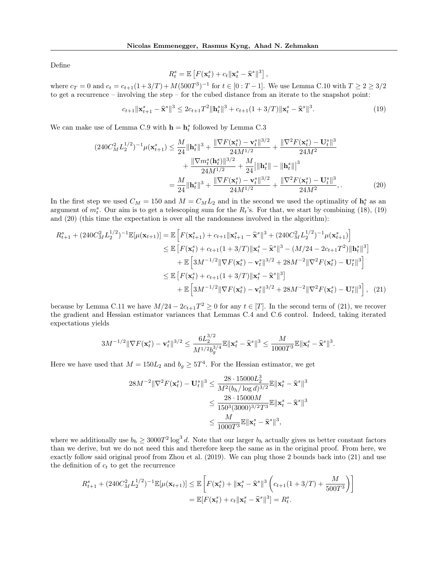Define

<span id="page-30-1"></span>
$$
R_t^s = \mathbb{E}\left[F(\mathbf{x}_t^s) + c_t \|\mathbf{x}_t^s - \hat{\mathbf{x}}^s\|^3\right],
$$

where  $c_T = 0$  and  $c_t = c_{t+1}(1+3/T) + M(500T^3)^{-1}$  for  $t \in [0:T-1]$ . We use Lemma [C.10](#page-29-4) with  $T \ge 2 \ge 3/2$ to get a recurrence – involving the step – for the cubed distance from an iterate to the snapshot point:

<span id="page-30-0"></span>
$$
c_{t+1} \|\mathbf{x}_{t+1}^s - \hat{\mathbf{x}}^s\|^3 \le 2c_{t+1}T^2 \|\mathbf{h}_t^s\|^3 + c_{t+1}(1+3/T) \|\mathbf{x}_t^s - \hat{\mathbf{x}}^s\|^3. \tag{19}
$$

We can make use of Lemma [C.9](#page-29-5) with  $\mathbf{h} = \mathbf{h}_t^s$  followed by Lemma [C.3](#page-26-2)

$$
(240C_M^2L_2^{1/2})^{-1}\mu(\mathbf{x}_{t+1}^s) \le \frac{M}{24} \|\mathbf{h}_t^s\|^3 + \frac{\|\nabla F(\mathbf{x}_t^s) - \mathbf{v}_t^s\|^{3/2}}{24M^{1/2}} + \frac{\|\nabla^2 F(\mathbf{x}_t^s) - \mathbf{U}_t^s\|^3}{24M^2} + \frac{\|\nabla m_t^s(\mathbf{h}_t^s)\|^{3/2}}{24M^{1/2}} + \frac{M}{24} \|\mathbf{h}_t^s\| - \|\mathbf{h}_t^s\|^3
$$

$$
= \frac{M}{24} \|\mathbf{h}_t^s\|^3 + \frac{\|\nabla F(\mathbf{x}_t^s) - \mathbf{v}_t^s\|^{3/2}}{24M^{1/2}} + \frac{\|\nabla^2 F(\mathbf{x}_t^s) - \mathbf{U}_t^s\|^3}{24M^2}, \qquad (20)
$$

In the first step we used  $C_M = 150$  and  $M = C_M L_2$  and in the second we used the optimality of  $\mathbf{h}_t^s$  as an argument of  $m_t^s$ . Our aim is to get a telescoping sum for the  $R_t$ 's. For that, we start by combining [\(18\)](#page-29-6), [\(19\)](#page-30-0) and [\(20\)](#page-30-1) (this time the expectation is over all the randomness involved in the algorithm):

$$
R_{t+1}^{s} + (240C_{M}^{2}L_{2}^{1/2})^{-1}\mathbb{E}[\mu(\mathbf{x}_{t+1})] = \mathbb{E}\left[F(\mathbf{x}_{t+1}^{s}) + c_{t+1}\|\mathbf{x}_{t+1}^{s} - \hat{\mathbf{x}}^{s}\|^{3} + (240C_{M}^{2}L_{2}^{1/2})^{-1}\mu(\mathbf{x}_{t+1}^{s})\right]
$$
  
\n
$$
\leq \mathbb{E}\left[F(\mathbf{x}_{t}^{s}) + c_{t+1}(1+3/T)\|\mathbf{x}_{t}^{s} - \hat{\mathbf{x}}^{s}\|^{3} - (M/24 - 2c_{t+1}T^{2})\|\mathbf{h}_{t}^{s}\|^{3}\right]
$$
  
\n
$$
+ \mathbb{E}\left[3M^{-1/2}\|\nabla F(\mathbf{x}_{t}^{s}) - \mathbf{v}_{t}^{s}\|^{3/2} + 28M^{-2}\|\nabla^{2}F(\mathbf{x}_{t}^{s}) - \mathbf{U}_{t}^{s}\|^{3}\right]
$$
  
\n
$$
\leq \mathbb{E}\left[F(\mathbf{x}_{t}^{s}) + c_{t+1}(1+3/T)\|\mathbf{x}_{t}^{s} - \hat{\mathbf{x}}^{s}\|^{3}\right]
$$
  
\n
$$
+ \mathbb{E}\left[3M^{-1/2}\|\nabla F(\mathbf{x}_{t}^{s}) - \mathbf{v}_{t}^{s}\|^{3/2} + 28M^{-2}\|\nabla^{2}F(\mathbf{x}_{t}^{s}) - \mathbf{U}_{t}^{s}\|^{3}\right],
$$
 (21)

because by Lemma [C.11](#page-29-7) we have  $M/24 - 2c_{t+1}T^2 \ge 0$  for any  $t \in [T]$ . In the second term of [\(21\)](#page-30-2), we recover the gradient and Hessian estimator variances that Lemmas [C.4](#page-26-0) and [C.6](#page-27-0) control. Indeed, taking iterated expectations yields

$$
3M^{-1/2}\|\nabla F(\mathbf{x}_t^s)-\mathbf{v}_t^s\|^{3/2}\leq \frac{6L_2^{3/2}}{M^{1/2}b_g^{3/4}}\mathbb{E}\|\mathbf{x}_t^s-\widehat{\mathbf{x}}^s\|^3\leq \frac{M}{1000T^3}\mathbb{E}\|\mathbf{x}_t^s-\widehat{\mathbf{x}}^s\|^3.
$$

Here we have used that  $M = 150L_2$  and  $b_g \geq 5T^4$ . For the Hessian estimator, we get

<span id="page-30-2"></span>
$$
28M^{-2} \|\nabla^2 F(\mathbf{x}_t^s) - \mathbf{U}_t^s\|^3 \le \frac{28 \cdot 15000L_2^3}{M^2(b_h/\log d)^{3/2}} \mathbb{E} \|\mathbf{x}_t^s - \hat{\mathbf{x}}^s\|^3
$$
  

$$
\le \frac{28 \cdot 15000M}{150^3(3000)^{3/2}T^3} \mathbb{E} \|\mathbf{x}_t^s - \hat{\mathbf{x}}^s\|^3
$$
  

$$
\le \frac{M}{1000T^3} \mathbb{E} \|\mathbf{x}_t^s - \hat{\mathbf{x}}^s\|^3,
$$

where we additionally use  $b_h \geq 3000T^2 \log^3 d$ . Note that our larger  $b_h$  actually gives us better constant factors than we derive, but we do not need this and therefore keep the same as in the original proof. From here, we exactly follow said original proof from [Zhou et al.](#page-9-2) [\(2019\)](#page-9-2). We can plug those 2 bounds back into [\(21\)](#page-30-2) and use the definition of  $c_t$  to get the recurrence

$$
R_{t+1}^{s} + (240C_{M}^{2}L_{2}^{1/2})^{-1}\mathbb{E}[\mu(\mathbf{x}_{t+1})] \leq \mathbb{E}\left[F(\mathbf{x}_{t}^{s}) + \|\mathbf{x}_{t}^{s} - \hat{\mathbf{x}}^{s}\|^{3}\left(c_{t+1}(1+3/T) + \frac{M}{500T^{3}}\right)\right]
$$
  
=  $\mathbb{E}[F(\mathbf{x}_{t}^{s}) + c_{t}\|\mathbf{x}_{t}^{s} - \hat{\mathbf{x}}^{s}\|^{3}] = R_{t}^{s}.$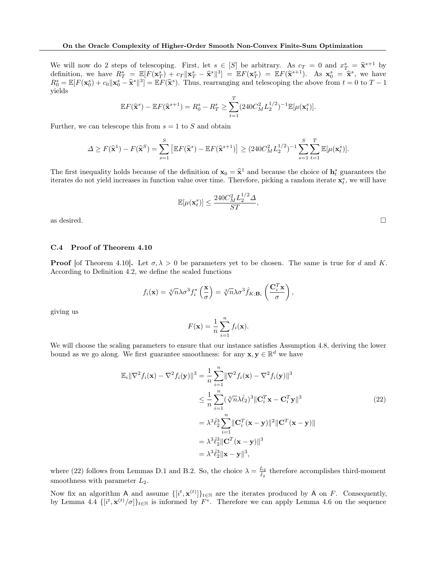We will now do 2 steps of telescoping. First, let  $s \in [S]$  be arbitrary. As  $c_T = 0$  and  $x_T^s = \hat{\mathbf{x}}^{s+1}$  by definition, we have  $B_s = \mathbb{E}[F(\mathbf{x}^s) + c - ||\mathbf{x}^s - \hat{\mathbf{x}}^{s}||_2^2] = \mathbb{E}[F(\mathbf{x}^s) - \mathbb{E}[F(\mathbf{x}^s)] - \mathbb{E}[F(\mathbf$ definition, we have  $R^s_T = \mathbb{E}[F(\mathbf{x}_T^s) + c_T ||\mathbf{x}_T^s - \hat{\mathbf{x}}^s||^3] = \mathbb{E}F(\mathbf{x}_T^s) = \mathbb{E}F(\hat{\mathbf{x}}^{s+1})$ . As  $\mathbf{x}_0^s = \hat{\mathbf{x}}^s$ , we have  $P^s = \mathbb{E}[F(\mathbf{x}_T^s) + c_T ||\mathbf{x}_T^s - \hat{\mathbf{x}}^s||^3] = \mathbb{E}F(\mathbf{x}_T^s)$ . As  $\mathbf{x}_0^s =$  $R_0^s = \mathbb{E}[F(\mathbf{x}_0^s) + c_0 || \mathbf{x}_0^s - \hat{\mathbf{x}}^s ||^3] = \mathbb{E}[F(\hat{\mathbf{x}}^s)]$ . Thus, rearranging and telescoping the above from  $t = 0$  to  $T - 1$ yields

$$
\mathbb{E}F(\widehat{\mathbf{x}}^s) - \mathbb{E}F(\widehat{\mathbf{x}}^{s+1}) = R_0^s - R_T^s \ge \sum_{t=1}^T (240C_M^2 L_2^{1/2})^{-1} \mathbb{E}[\mu(\mathbf{x}_t^s)].
$$

Further, we can telescope this from  $s = 1$  to S and obtain

$$
\Delta \ge F(\widehat{\mathbf{x}}^1) - F(\widehat{\mathbf{x}}^S) = \sum_{s=1}^S \left[ \mathbb{E}F(\widehat{\mathbf{x}}^s) - \mathbb{E}F(\widehat{\mathbf{x}}^{s+1}) \right] \ge (240C_M^2 L_2^{1/2})^{-1} \sum_{s=1}^S \sum_{t=1}^T \mathbb{E}[\mu(\mathbf{x}_t^s)].
$$

The first inequality holds because of the definition of  $\mathbf{x}_0 = \hat{\mathbf{x}}^1$  and because the choice of  $\mathbf{h}_t^s$  guarantees the iterates do not viold increases in function value over time. Therefore, nighing a random iter iterates do not yield increases in function value over time. Therefore, picking a random iterate  $\mathbf{x}_t^s$ , we will have

$$
\mathbb{E}[\mu(\mathbf{x}_t^s)] \le \frac{240C_M^2 L_2^{1/2} \Delta}{ST},
$$

as desired.  $\square$ 

## <span id="page-31-0"></span>C.4 Proof of Theorem [4.10](#page-7-2)

**Proof** [of Theorem [4.10\]](#page-7-2). Let  $\sigma, \lambda > 0$  be parameters yet to be chosen. The same is true for d and K. According to Definition [4.2,](#page-5-2) we define the scaled functions

$$
f_i(\mathbf{x}) = \sqrt[3]{n}\lambda \sigma^3 f_i^* \left(\frac{\mathbf{x}}{\sigma}\right) = \sqrt[3]{n}\lambda \sigma^3 \hat{f}_{K;\mathbf{B}_i} \left(\frac{\mathbf{C}_i^T \mathbf{x}}{\sigma}\right),
$$

giving us

<span id="page-31-1"></span>
$$
F(\mathbf{x}) = \frac{1}{n} \sum_{i=1}^{n} f_i(\mathbf{x}).
$$

We will choose the scaling parameters to ensure that our instance satisfies Assumption [4.8,](#page-7-0) deriving the lower bound as we go along. We first guarantee smoothness: for any  $\mathbf{x}, \mathbf{y} \in \mathbb{R}^d$  we have

$$
\mathbb{E}_{i} \|\nabla^{2} f_{i}(\mathbf{x}) - \nabla^{2} f_{i}(\mathbf{y})\|^{3} = \frac{1}{n} \sum_{i=1}^{n} \|\nabla^{2} f_{i}(\mathbf{x}) - \nabla^{2} f_{i}(\mathbf{y})\|^{3}
$$
  
\n
$$
\leq \frac{1}{n} \sum_{i=1}^{n} (\sqrt[3]{n} \lambda \hat{\ell}_{2})^{3} \|\mathbf{C}_{i}^{T} \mathbf{x} - \mathbf{C}_{i}^{T} \mathbf{y}\|^{3}
$$
  
\n
$$
= \lambda^{3} \hat{\ell}_{2}^{3} \sum_{i=1}^{n} \|\mathbf{C}_{i}^{T}(\mathbf{x} - \mathbf{y})\|^{2} \|\mathbf{C}^{T}(\mathbf{x} - \mathbf{y})\|
$$
  
\n
$$
= \lambda^{3} \hat{\ell}_{2}^{3} \|\mathbf{C}^{T}(\mathbf{x} - \mathbf{y})\|^{3}
$$
  
\n
$$
= \lambda^{3} \hat{\ell}_{2}^{3} \|\mathbf{x} - \mathbf{y}\|^{3},
$$
  
\n(22)

where [\(22\)](#page-31-1) follows from Lemmas [D.1](#page-33-1) and [B.2.](#page-22-1) So, the choice  $\lambda = \frac{L_2}{\hat{\ell}_2}$  therefore accomplishes third-moment smoothness with parameter  $L_2$ .

Now fix an algorithm A and assume  $\{[i^t, \mathbf{x}^{(t)}]\}_{t\in\mathbb{N}}$  are the iterates produced by A on F. Consequently, by Lemma [4.4](#page-6-3)  $\{[i^t, \mathbf{x}^{(t)}/\sigma]\}_{t\in\mathbb{N}}$  is informed by  $F^*$ . Therefore we can apply Lemma [4.6](#page-6-4) on the sequence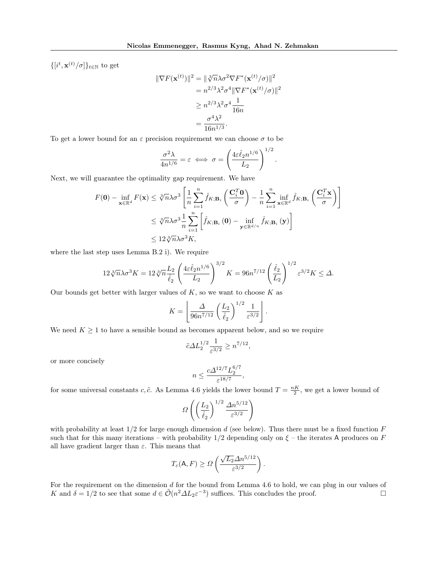$\{[i^t, \mathbf{x}^{(t)}/\sigma]\}_{t\in\mathbb{N}}$  to get

$$
\|\nabla F(\mathbf{x}^{(t)})\|^2 = \|\sqrt[3]{n}\lambda\sigma^2 \nabla F^*(\mathbf{x}^{(t)}/\sigma)\|^2
$$
  
=  $n^{2/3}\lambda^2\sigma^4 \|\nabla F^*(\mathbf{x}^{(t)}/\sigma)\|^2$   
 $\ge n^{2/3}\lambda^2\sigma^4 \frac{1}{16n}$   
=  $\frac{\sigma^4\lambda^2}{16n^{1/3}}$ .

To get a lower bound for an  $\varepsilon$  precision requirement we can choose  $\sigma$  to be

$$
\frac{\sigma^2 \lambda}{4n^{1/6}} = \varepsilon \iff \sigma = \left(\frac{4\varepsilon \hat{\ell}_2 n^{1/6}}{L_2}\right)^{1/2}
$$

.

Next, we will guarantee the optimality gap requirement. We have

$$
F(\mathbf{0}) - \inf_{\mathbf{x} \in \mathbb{R}^d} F(\mathbf{x}) \leq \sqrt[3]{n} \lambda \sigma^3 \left[ \frac{1}{n} \sum_{i=1}^n \hat{f}_{K; \mathbf{B}_i} \left( \frac{\mathbf{C}_i^T \mathbf{0}}{\sigma} \right) - \frac{1}{n} \sum_{i=1}^n \inf_{\mathbf{x} \in \mathbb{R}^d} \hat{f}_{K; \mathbf{B}_i} \left( \frac{\mathbf{C}_i^T \mathbf{x}}{\sigma} \right) \right]
$$
  

$$
\leq \sqrt[3]{n} \lambda \sigma^3 \frac{1}{n} \sum_{i=1}^n \left[ \hat{f}_{K; \mathbf{B}_i}(\mathbf{0}) - \inf_{\mathbf{y} \in \mathbb{R}^{d/n}} \hat{f}_{K; \mathbf{B}_i}(\mathbf{y}) \right]
$$
  

$$
\leq 12 \sqrt[3]{n} \lambda \sigma^3 K,
$$

where the last step uses Lemma [B.2](#page-22-1) i). We require

$$
12\sqrt[3]{n}\lambda\sigma^3 K = 12\sqrt[3]{n}\frac{L_2}{\hat{\ell}_2} \left(\frac{4\varepsilon\hat{\ell}_2 n^{1/6}}{L_2}\right)^{3/2} K = 96n^{7/12} \left(\frac{\hat{\ell}_2}{L_2}\right)^{1/2} \varepsilon^{3/2} K \le \Delta.
$$

Our bounds get better with larger values of  $K$ , so we want to choose  $K$  as

$$
K = \left\lfloor \frac{\Delta}{96n^{7/12}} \left( \frac{L_2}{\hat{\ell}_2} \right)^{1/2} \frac{1}{\varepsilon^{3/2}} \right\rfloor.
$$

We need  $K \geq 1$  to have a sensible bound as becomes apparent below, and so we require

$$
\tilde{c}\varDelta L_2^{1/2}\frac{1}{\varepsilon^{3/2}}\geq n^{7/12},
$$

or more concisely

$$
n \le \frac{c\Delta^{12/7}L_2^{6/7}}{\varepsilon^{18/7}},
$$

for some universal constants c,  $\tilde{c}$ . As Lemma [4.6](#page-6-4) yields the lower bound  $T = \frac{nK}{2}$ , we get a lower bound of

$$
\varOmega\left(\left(\frac{L_2}{\hat{\ell}_2}\right)^{1/2}\frac{\Delta n^{5/12}}{\varepsilon^{3/2}}\right)
$$

with probability at least  $1/2$  for large enough dimension d (see below). Thus there must be a fixed function F such that for this many iterations – with probability  $1/2$  depending only on  $\xi$  – the iterates A produces on F all have gradient larger than  $\varepsilon$ . This means that

$$
T_{\varepsilon}(\mathsf{A}, F) \geq \Omega\left(\frac{\sqrt{L_2}\Delta n^{5/12}}{\varepsilon^{3/2}}\right).
$$

For the requirement on the dimension d for the bound from Lemma [4.6](#page-6-4) to hold, we can plug in our values of K and  $\delta = 1/2$  to see that some  $d \in \tilde{\mathcal{O}}(n^2 \Delta L_2 \varepsilon^{-3})$  suffices. This concludes the proof.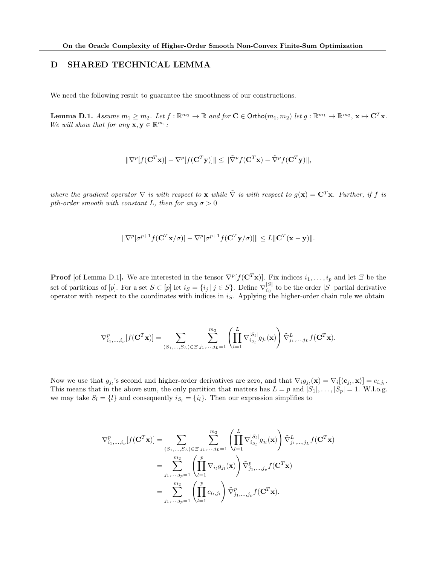# <span id="page-33-0"></span>D SHARED TECHNICAL LEMMA

We need the following result to guarantee the smoothness of our constructions.

<span id="page-33-1"></span>**Lemma D.1.** Assume  $m_1 \ge m_2$ . Let  $f : \mathbb{R}^{m_2} \to \mathbb{R}$  and for  $\mathbf{C} \in \mathsf{Ortho}(m_1, m_2)$  let  $g : \mathbb{R}^{m_1} \to \mathbb{R}^{m_2}$ ,  $\mathbf{x} \mapsto \mathbf{C}^T \mathbf{x}$ . We will show that for any  $\mathbf{x}, \mathbf{y} \in \mathbb{R}^{m_1}$ :

$$
\|\nabla^p[f(\mathbf{C}^T\mathbf{x})] - \nabla^p[f(\mathbf{C}^T\mathbf{y})]\| \leq \|\tilde{\nabla}^p f(\mathbf{C}^T\mathbf{x}) - \tilde{\nabla}^p f(\mathbf{C}^T\mathbf{y})\|,
$$

where the gradient operator  $\nabla$  is with respect to **x** while  $\tilde{\nabla}$  is with respect to  $g(\mathbf{x}) = \mathbf{C}^T \mathbf{x}$ . Further, if f is pth-order smooth with constant L, then for any  $\sigma > 0$ 

$$
\|\nabla^p[\sigma^{p+1}f(\mathbf{C}^T\mathbf{x}/\sigma)] - \nabla^p[\sigma^{p+1}f(\mathbf{C}^T\mathbf{y}/\sigma)]\| \le L\|\mathbf{C}^T(\mathbf{x} - \mathbf{y})\|.
$$

**Proof** [of Lemma [D.1\]](#page-33-1). We are interested in the tensor  $\nabla^p[f(\mathbf{C}^T\mathbf{x})]$ . Fix indices  $i_1,\ldots,i_p$  and let  $\Xi$  be the set of partitions of [p]. For a set  $S \subset [p]$  let  $i_S = \{i_j | j \in S\}$ . Define  $\nabla_{i_S}^{|S|}$  $\frac{S}{i_S}$  to be the order |S| partial derivative operator with respect to the coordinates with indices in  $i<sub>S</sub>$ . Applying the higher-order chain rule we obtain

$$
\nabla_{i_1,...,i_p}^p[f(\mathbf{C}^T\mathbf{x})] = \sum_{(S_1,...,S_L)\in\Xi} \sum_{j_1,...,j_L=1}^{m_2} \left( \prod_{l=1}^L \nabla_{i_{S_l}}^{|S_l|} g_{j_l}(\mathbf{x}) \right) \tilde{\nabla}_{j_1,...,j_L}^L f(\mathbf{C}^T\mathbf{x}).
$$

Now we use that  $g_{ji}$ 's second and higher-order derivatives are zero, and that  $\nabla_i g_{ji}(\mathbf{x}) = \nabla_i [ \langle \mathbf{c}_{ji}, \mathbf{x} \rangle ] = c_{i,j_l}$ . This means that in the above sum, the only partition that matters has  $L = p$  and  $|S_1|, \ldots, |S_p| = 1$ . W.l.o.g. we may take  $S_l = \{l\}$  and consequently  $i_{S_l} = \{i_l\}$ . Then our expression simplifies to

$$
\nabla_{i_1,...,i_p}^p[f(\mathbf{C}^T\mathbf{x})] = \sum_{(S_1,...,S_L)\in\Xi} \sum_{j_1,...,j_L=1}^{m_2} \left( \prod_{l=1}^L \nabla_{i_{S_l}}^{|S_l|} g_{j_l}(\mathbf{x}) \right) \tilde{\nabla}_{j_1,...,j_L}^L f(\mathbf{C}^T\mathbf{x})
$$
  
\n
$$
= \sum_{j_1,...,j_p=1}^{m_2} \left( \prod_{l=1}^p \nabla_{i_l} g_{j_l}(\mathbf{x}) \right) \tilde{\nabla}_{j_1,...,j_p}^p f(\mathbf{C}^T\mathbf{x})
$$
  
\n
$$
= \sum_{j_1,...,j_p=1}^{m_2} \left( \prod_{l=1}^p c_{i_l,j_l} \right) \tilde{\nabla}_{j_1,...,j_p}^p f(\mathbf{C}^T\mathbf{x}).
$$